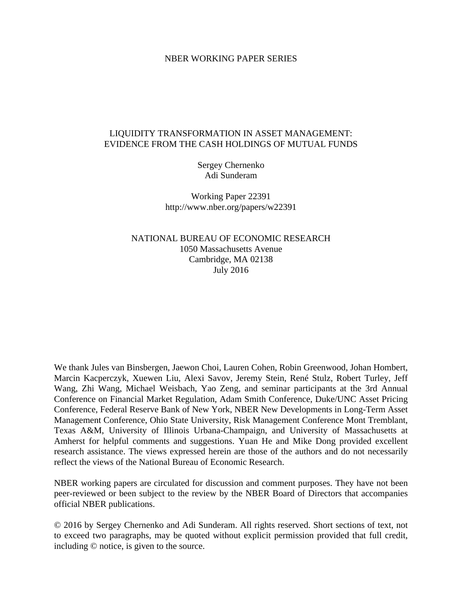#### NBER WORKING PAPER SERIES

# LIQUIDITY TRANSFORMATION IN ASSET MANAGEMENT: EVIDENCE FROM THE CASH HOLDINGS OF MUTUAL FUNDS

Sergey Chernenko Adi Sunderam

Working Paper 22391 http://www.nber.org/papers/w22391

NATIONAL BUREAU OF ECONOMIC RESEARCH 1050 Massachusetts Avenue Cambridge, MA 02138 July 2016

We thank Jules van Binsbergen, Jaewon Choi, Lauren Cohen, Robin Greenwood, Johan Hombert, Marcin Kacperczyk, Xuewen Liu, Alexi Savov, Jeremy Stein, René Stulz, Robert Turley, Jeff Wang, Zhi Wang, Michael Weisbach, Yao Zeng, and seminar participants at the 3rd Annual Conference on Financial Market Regulation, Adam Smith Conference, Duke/UNC Asset Pricing Conference, Federal Reserve Bank of New York, NBER New Developments in Long-Term Asset Management Conference, Ohio State University, Risk Management Conference Mont Tremblant, Texas A&M, University of Illinois Urbana-Champaign, and University of Massachusetts at Amherst for helpful comments and suggestions. Yuan He and Mike Dong provided excellent research assistance. The views expressed herein are those of the authors and do not necessarily reflect the views of the National Bureau of Economic Research.

NBER working papers are circulated for discussion and comment purposes. They have not been peer-reviewed or been subject to the review by the NBER Board of Directors that accompanies official NBER publications.

© 2016 by Sergey Chernenko and Adi Sunderam. All rights reserved. Short sections of text, not to exceed two paragraphs, may be quoted without explicit permission provided that full credit, including © notice, is given to the source.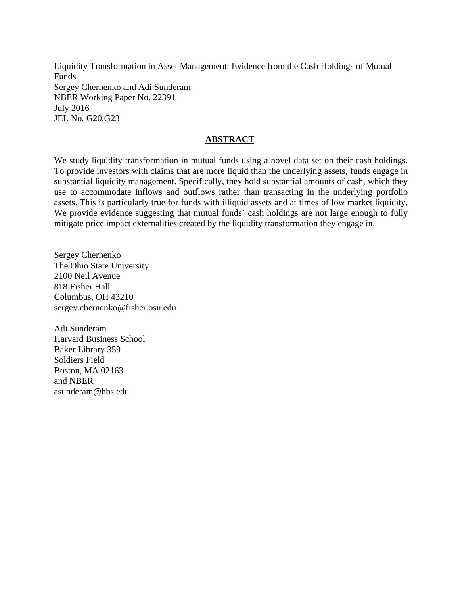Liquidity Transformation in Asset Management: Evidence from the Cash Holdings of Mutual Funds Sergey Chernenko and Adi Sunderam NBER Working Paper No. 22391 July 2016 JEL No. G20,G23

# **ABSTRACT**

We study liquidity transformation in mutual funds using a novel data set on their cash holdings. To provide investors with claims that are more liquid than the underlying assets, funds engage in substantial liquidity management. Specifically, they hold substantial amounts of cash, which they use to accommodate inflows and outflows rather than transacting in the underlying portfolio assets. This is particularly true for funds with illiquid assets and at times of low market liquidity. We provide evidence suggesting that mutual funds' cash holdings are not large enough to fully mitigate price impact externalities created by the liquidity transformation they engage in.

Sergey Chernenko The Ohio State University 2100 Neil Avenue 818 Fisher Hall Columbus, OH 43210 sergey.chernenko@fisher.osu.edu

Adi Sunderam Harvard Business School Baker Library 359 Soldiers Field Boston, MA 02163 and NBER asunderam@hbs.edu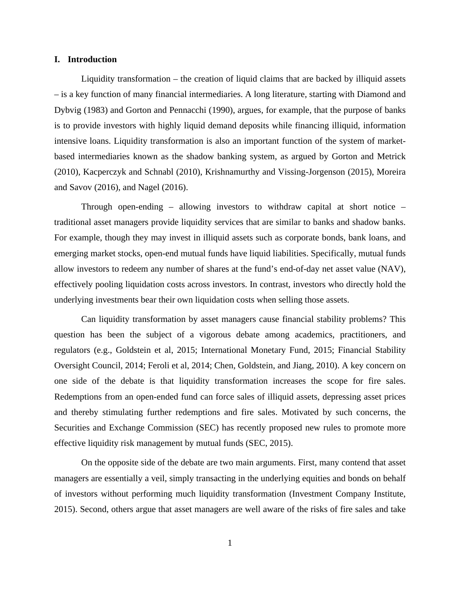#### **I. Introduction**

Liquidity transformation – the creation of liquid claims that are backed by illiquid assets – is a key function of many financial intermediaries. A long literature, starting with Diamond and Dybvig (1983) and Gorton and Pennacchi (1990), argues, for example, that the purpose of banks is to provide investors with highly liquid demand deposits while financing illiquid, information intensive loans. Liquidity transformation is also an important function of the system of marketbased intermediaries known as the shadow banking system, as argued by Gorton and Metrick (2010), Kacperczyk and Schnabl (2010), Krishnamurthy and Vissing-Jorgenson (2015), Moreira and Savov (2016), and Nagel (2016).

Through open-ending – allowing investors to withdraw capital at short notice – traditional asset managers provide liquidity services that are similar to banks and shadow banks. For example, though they may invest in illiquid assets such as corporate bonds, bank loans, and emerging market stocks, open-end mutual funds have liquid liabilities. Specifically, mutual funds allow investors to redeem any number of shares at the fund's end-of-day net asset value (NAV), effectively pooling liquidation costs across investors. In contrast, investors who directly hold the underlying investments bear their own liquidation costs when selling those assets.

Can liquidity transformation by asset managers cause financial stability problems? This question has been the subject of a vigorous debate among academics, practitioners, and regulators (e.g., Goldstein et al, 2015; International Monetary Fund, 2015; Financial Stability Oversight Council, 2014; Feroli et al, 2014; Chen, Goldstein, and Jiang, 2010). A key concern on one side of the debate is that liquidity transformation increases the scope for fire sales. Redemptions from an open-ended fund can force sales of illiquid assets, depressing asset prices and thereby stimulating further redemptions and fire sales. Motivated by such concerns, the Securities and Exchange Commission (SEC) has recently proposed new rules to promote more effective liquidity risk management by mutual funds (SEC, 2015).

On the opposite side of the debate are two main arguments. First, many contend that asset managers are essentially a veil, simply transacting in the underlying equities and bonds on behalf of investors without performing much liquidity transformation (Investment Company Institute, 2015). Second, others argue that asset managers are well aware of the risks of fire sales and take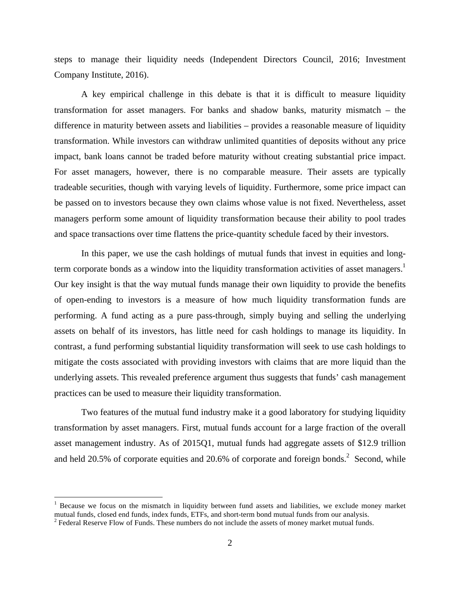steps to manage their liquidity needs (Independent Directors Council, 2016; Investment Company Institute, 2016).

A key empirical challenge in this debate is that it is difficult to measure liquidity transformation for asset managers. For banks and shadow banks, maturity mismatch – the difference in maturity between assets and liabilities – provides a reasonable measure of liquidity transformation. While investors can withdraw unlimited quantities of deposits without any price impact, bank loans cannot be traded before maturity without creating substantial price impact. For asset managers, however, there is no comparable measure. Their assets are typically tradeable securities, though with varying levels of liquidity. Furthermore, some price impact can be passed on to investors because they own claims whose value is not fixed. Nevertheless, asset managers perform some amount of liquidity transformation because their ability to pool trades and space transactions over time flattens the price-quantity schedule faced by their investors.

In this paper, we use the cash holdings of mutual funds that invest in equities and longterm corporate bonds as a window into the liquidity transformation activities of asset managers.<sup>1</sup> Our key insight is that the way mutual funds manage their own liquidity to provide the benefits of open-ending to investors is a measure of how much liquidity transformation funds are performing. A fund acting as a pure pass-through, simply buying and selling the underlying assets on behalf of its investors, has little need for cash holdings to manage its liquidity. In contrast, a fund performing substantial liquidity transformation will seek to use cash holdings to mitigate the costs associated with providing investors with claims that are more liquid than the underlying assets. This revealed preference argument thus suggests that funds' cash management practices can be used to measure their liquidity transformation.

Two features of the mutual fund industry make it a good laboratory for studying liquidity transformation by asset managers. First, mutual funds account for a large fraction of the overall asset management industry. As of 2015Q1, mutual funds had aggregate assets of \$12.9 trillion and held 20.5% of corporate equities and 20.6% of corporate and foreign bonds.<sup>2</sup> Second, while

<sup>&</sup>lt;sup>1</sup> Because we focus on the mismatch in liquidity between fund assets and liabilities, we exclude money market mutual funds, closed end funds, index funds, ETFs, and short-term bond mutual funds from our analysis.<br><sup>2</sup> Federal Reserve Flow of Funds. These numbers do not include the assets of money market mutual funds.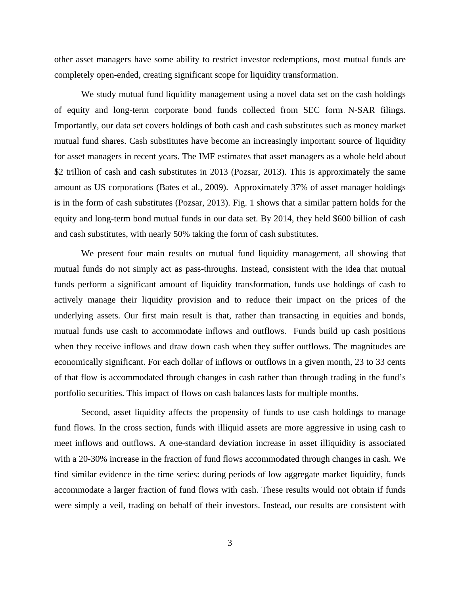other asset managers have some ability to restrict investor redemptions, most mutual funds are completely open-ended, creating significant scope for liquidity transformation.

We study mutual fund liquidity management using a novel data set on the cash holdings of equity and long-term corporate bond funds collected from SEC form N-SAR filings. Importantly, our data set covers holdings of both cash and cash substitutes such as money market mutual fund shares. Cash substitutes have become an increasingly important source of liquidity for asset managers in recent years. The IMF estimates that asset managers as a whole held about \$2 trillion of cash and cash substitutes in 2013 (Pozsar, 2013). This is approximately the same amount as US corporations (Bates et al., 2009). Approximately 37% of asset manager holdings is in the form of cash substitutes (Pozsar, 2013). Fig. 1 shows that a similar pattern holds for the equity and long-term bond mutual funds in our data set. By 2014, they held \$600 billion of cash and cash substitutes, with nearly 50% taking the form of cash substitutes.

We present four main results on mutual fund liquidity management, all showing that mutual funds do not simply act as pass-throughs. Instead, consistent with the idea that mutual funds perform a significant amount of liquidity transformation, funds use holdings of cash to actively manage their liquidity provision and to reduce their impact on the prices of the underlying assets. Our first main result is that, rather than transacting in equities and bonds, mutual funds use cash to accommodate inflows and outflows. Funds build up cash positions when they receive inflows and draw down cash when they suffer outflows. The magnitudes are economically significant. For each dollar of inflows or outflows in a given month, 23 to 33 cents of that flow is accommodated through changes in cash rather than through trading in the fund's portfolio securities. This impact of flows on cash balances lasts for multiple months.

Second, asset liquidity affects the propensity of funds to use cash holdings to manage fund flows. In the cross section, funds with illiquid assets are more aggressive in using cash to meet inflows and outflows. A one-standard deviation increase in asset illiquidity is associated with a 20-30% increase in the fraction of fund flows accommodated through changes in cash. We find similar evidence in the time series: during periods of low aggregate market liquidity, funds accommodate a larger fraction of fund flows with cash. These results would not obtain if funds were simply a veil, trading on behalf of their investors. Instead, our results are consistent with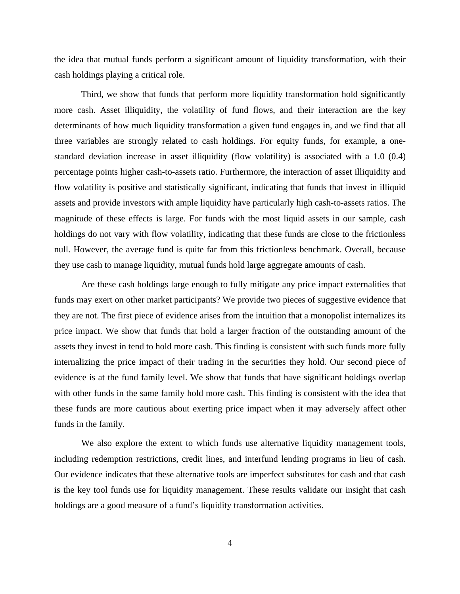the idea that mutual funds perform a significant amount of liquidity transformation, with their cash holdings playing a critical role.

Third, we show that funds that perform more liquidity transformation hold significantly more cash. Asset illiquidity, the volatility of fund flows, and their interaction are the key determinants of how much liquidity transformation a given fund engages in, and we find that all three variables are strongly related to cash holdings. For equity funds, for example, a onestandard deviation increase in asset illiquidity (flow volatility) is associated with a 1.0 (0.4) percentage points higher cash-to-assets ratio. Furthermore, the interaction of asset illiquidity and flow volatility is positive and statistically significant, indicating that funds that invest in illiquid assets and provide investors with ample liquidity have particularly high cash-to-assets ratios. The magnitude of these effects is large. For funds with the most liquid assets in our sample, cash holdings do not vary with flow volatility, indicating that these funds are close to the frictionless null. However, the average fund is quite far from this frictionless benchmark. Overall, because they use cash to manage liquidity, mutual funds hold large aggregate amounts of cash.

Are these cash holdings large enough to fully mitigate any price impact externalities that funds may exert on other market participants? We provide two pieces of suggestive evidence that they are not. The first piece of evidence arises from the intuition that a monopolist internalizes its price impact. We show that funds that hold a larger fraction of the outstanding amount of the assets they invest in tend to hold more cash. This finding is consistent with such funds more fully internalizing the price impact of their trading in the securities they hold. Our second piece of evidence is at the fund family level. We show that funds that have significant holdings overlap with other funds in the same family hold more cash. This finding is consistent with the idea that these funds are more cautious about exerting price impact when it may adversely affect other funds in the family.

We also explore the extent to which funds use alternative liquidity management tools, including redemption restrictions, credit lines, and interfund lending programs in lieu of cash. Our evidence indicates that these alternative tools are imperfect substitutes for cash and that cash is the key tool funds use for liquidity management. These results validate our insight that cash holdings are a good measure of a fund's liquidity transformation activities.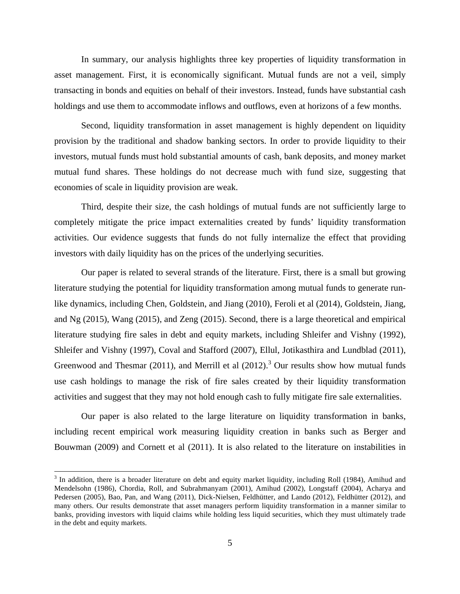In summary, our analysis highlights three key properties of liquidity transformation in asset management. First, it is economically significant. Mutual funds are not a veil, simply transacting in bonds and equities on behalf of their investors. Instead, funds have substantial cash holdings and use them to accommodate inflows and outflows, even at horizons of a few months.

Second, liquidity transformation in asset management is highly dependent on liquidity provision by the traditional and shadow banking sectors. In order to provide liquidity to their investors, mutual funds must hold substantial amounts of cash, bank deposits, and money market mutual fund shares. These holdings do not decrease much with fund size, suggesting that economies of scale in liquidity provision are weak.

Third, despite their size, the cash holdings of mutual funds are not sufficiently large to completely mitigate the price impact externalities created by funds' liquidity transformation activities. Our evidence suggests that funds do not fully internalize the effect that providing investors with daily liquidity has on the prices of the underlying securities.

Our paper is related to several strands of the literature. First, there is a small but growing literature studying the potential for liquidity transformation among mutual funds to generate runlike dynamics, including Chen, Goldstein, and Jiang (2010), Feroli et al (2014), Goldstein, Jiang, and Ng (2015), Wang (2015), and Zeng (2015). Second, there is a large theoretical and empirical literature studying fire sales in debt and equity markets, including Shleifer and Vishny (1992), Shleifer and Vishny (1997), Coval and Stafford (2007), Ellul, Jotikasthira and Lundblad (2011), Greenwood and Thesmar (2011), and Merrill et al (2012).<sup>3</sup> Our results show how mutual funds use cash holdings to manage the risk of fire sales created by their liquidity transformation activities and suggest that they may not hold enough cash to fully mitigate fire sale externalities.

Our paper is also related to the large literature on liquidity transformation in banks, including recent empirical work measuring liquidity creation in banks such as Berger and Bouwman (2009) and Cornett et al (2011). It is also related to the literature on instabilities in

 $3$  In addition, there is a broader literature on debt and equity market liquidity, including Roll (1984), Amihud and Mendelsohn (1986), Chordia, Roll, and Subrahmanyam (2001), Amihud (2002), Longstaff (2004), Acharya and Pedersen (2005), Bao, Pan, and Wang (2011), Dick-Nielsen, Feldhütter, and Lando (2012), Feldhütter (2012), and many others. Our results demonstrate that asset managers perform liquidity transformation in a manner similar to banks, providing investors with liquid claims while holding less liquid securities, which they must ultimately trade in the debt and equity markets.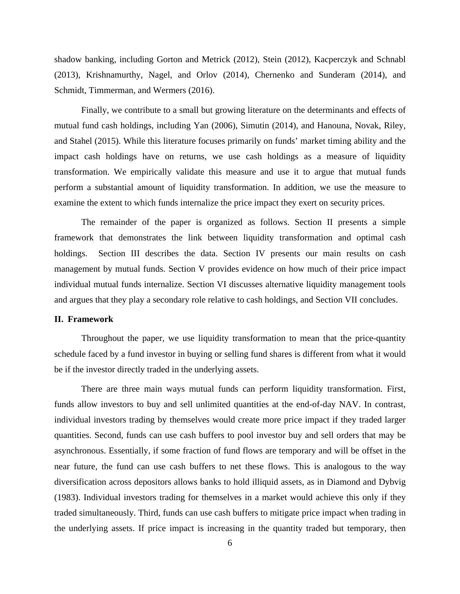shadow banking, including Gorton and Metrick (2012), Stein (2012), Kacperczyk and Schnabl (2013), Krishnamurthy, Nagel, and Orlov (2014), Chernenko and Sunderam (2014), and Schmidt, Timmerman, and Wermers (2016).

Finally, we contribute to a small but growing literature on the determinants and effects of mutual fund cash holdings, including Yan (2006), Simutin (2014), and Hanouna, Novak, Riley, and Stahel (2015). While this literature focuses primarily on funds' market timing ability and the impact cash holdings have on returns, we use cash holdings as a measure of liquidity transformation. We empirically validate this measure and use it to argue that mutual funds perform a substantial amount of liquidity transformation. In addition, we use the measure to examine the extent to which funds internalize the price impact they exert on security prices.

The remainder of the paper is organized as follows. Section II presents a simple framework that demonstrates the link between liquidity transformation and optimal cash holdings. Section III describes the data. Section IV presents our main results on cash management by mutual funds. Section V provides evidence on how much of their price impact individual mutual funds internalize. Section VI discusses alternative liquidity management tools and argues that they play a secondary role relative to cash holdings, and Section VII concludes.

#### **II. Framework**

Throughout the paper, we use liquidity transformation to mean that the price-quantity schedule faced by a fund investor in buying or selling fund shares is different from what it would be if the investor directly traded in the underlying assets.

There are three main ways mutual funds can perform liquidity transformation. First, funds allow investors to buy and sell unlimited quantities at the end-of-day NAV. In contrast, individual investors trading by themselves would create more price impact if they traded larger quantities. Second, funds can use cash buffers to pool investor buy and sell orders that may be asynchronous. Essentially, if some fraction of fund flows are temporary and will be offset in the near future, the fund can use cash buffers to net these flows. This is analogous to the way diversification across depositors allows banks to hold illiquid assets, as in Diamond and Dybvig (1983). Individual investors trading for themselves in a market would achieve this only if they traded simultaneously. Third, funds can use cash buffers to mitigate price impact when trading in the underlying assets. If price impact is increasing in the quantity traded but temporary, then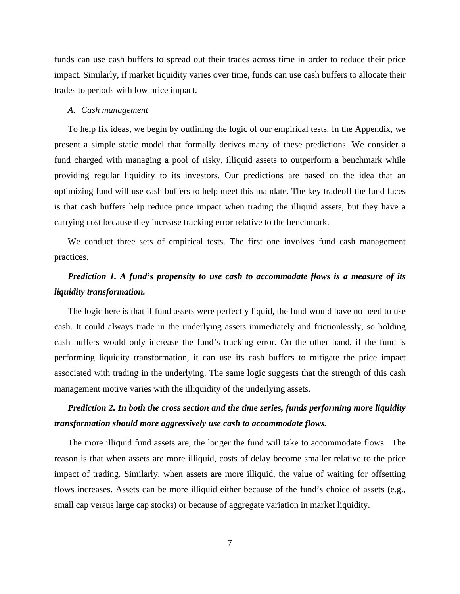funds can use cash buffers to spread out their trades across time in order to reduce their price impact. Similarly, if market liquidity varies over time, funds can use cash buffers to allocate their trades to periods with low price impact.

#### *A. Cash management*

To help fix ideas, we begin by outlining the logic of our empirical tests. In the Appendix, we present a simple static model that formally derives many of these predictions. We consider a fund charged with managing a pool of risky, illiquid assets to outperform a benchmark while providing regular liquidity to its investors. Our predictions are based on the idea that an optimizing fund will use cash buffers to help meet this mandate. The key tradeoff the fund faces is that cash buffers help reduce price impact when trading the illiquid assets, but they have a carrying cost because they increase tracking error relative to the benchmark.

We conduct three sets of empirical tests. The first one involves fund cash management practices.

# *Prediction 1. A fund's propensity to use cash to accommodate flows is a measure of its liquidity transformation.*

The logic here is that if fund assets were perfectly liquid, the fund would have no need to use cash. It could always trade in the underlying assets immediately and frictionlessly, so holding cash buffers would only increase the fund's tracking error. On the other hand, if the fund is performing liquidity transformation, it can use its cash buffers to mitigate the price impact associated with trading in the underlying. The same logic suggests that the strength of this cash management motive varies with the illiquidity of the underlying assets.

# *Prediction 2. In both the cross section and the time series, funds performing more liquidity transformation should more aggressively use cash to accommodate flows.*

The more illiquid fund assets are, the longer the fund will take to accommodate flows. The reason is that when assets are more illiquid, costs of delay become smaller relative to the price impact of trading. Similarly, when assets are more illiquid, the value of waiting for offsetting flows increases. Assets can be more illiquid either because of the fund's choice of assets (e.g., small cap versus large cap stocks) or because of aggregate variation in market liquidity.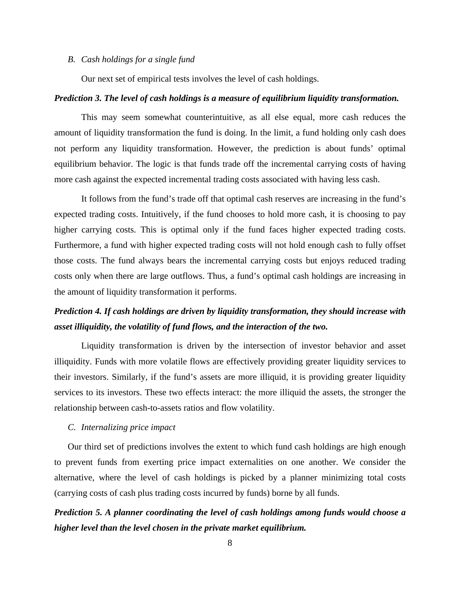#### *B. Cash holdings for a single fund*

Our next set of empirical tests involves the level of cash holdings.

#### *Prediction 3. The level of cash holdings is a measure of equilibrium liquidity transformation.*

This may seem somewhat counterintuitive, as all else equal, more cash reduces the amount of liquidity transformation the fund is doing. In the limit, a fund holding only cash does not perform any liquidity transformation. However, the prediction is about funds' optimal equilibrium behavior. The logic is that funds trade off the incremental carrying costs of having more cash against the expected incremental trading costs associated with having less cash.

It follows from the fund's trade off that optimal cash reserves are increasing in the fund's expected trading costs. Intuitively, if the fund chooses to hold more cash, it is choosing to pay higher carrying costs. This is optimal only if the fund faces higher expected trading costs. Furthermore, a fund with higher expected trading costs will not hold enough cash to fully offset those costs. The fund always bears the incremental carrying costs but enjoys reduced trading costs only when there are large outflows. Thus, a fund's optimal cash holdings are increasing in the amount of liquidity transformation it performs.

# *Prediction 4. If cash holdings are driven by liquidity transformation, they should increase with asset illiquidity, the volatility of fund flows, and the interaction of the two.*

Liquidity transformation is driven by the intersection of investor behavior and asset illiquidity. Funds with more volatile flows are effectively providing greater liquidity services to their investors. Similarly, if the fund's assets are more illiquid, it is providing greater liquidity services to its investors. These two effects interact: the more illiquid the assets, the stronger the relationship between cash-to-assets ratios and flow volatility.

#### *C. Internalizing price impact*

Our third set of predictions involves the extent to which fund cash holdings are high enough to prevent funds from exerting price impact externalities on one another. We consider the alternative, where the level of cash holdings is picked by a planner minimizing total costs (carrying costs of cash plus trading costs incurred by funds) borne by all funds.

*Prediction 5. A planner coordinating the level of cash holdings among funds would choose a higher level than the level chosen in the private market equilibrium.*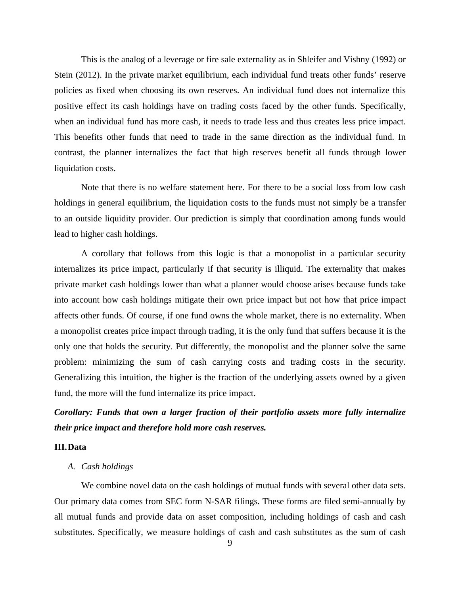This is the analog of a leverage or fire sale externality as in Shleifer and Vishny (1992) or Stein (2012). In the private market equilibrium, each individual fund treats other funds' reserve policies as fixed when choosing its own reserves. An individual fund does not internalize this positive effect its cash holdings have on trading costs faced by the other funds. Specifically, when an individual fund has more cash, it needs to trade less and thus creates less price impact. This benefits other funds that need to trade in the same direction as the individual fund. In contrast, the planner internalizes the fact that high reserves benefit all funds through lower liquidation costs.

Note that there is no welfare statement here. For there to be a social loss from low cash holdings in general equilibrium, the liquidation costs to the funds must not simply be a transfer to an outside liquidity provider. Our prediction is simply that coordination among funds would lead to higher cash holdings.

A corollary that follows from this logic is that a monopolist in a particular security internalizes its price impact, particularly if that security is illiquid. The externality that makes private market cash holdings lower than what a planner would choose arises because funds take into account how cash holdings mitigate their own price impact but not how that price impact affects other funds. Of course, if one fund owns the whole market, there is no externality. When a monopolist creates price impact through trading, it is the only fund that suffers because it is the only one that holds the security. Put differently, the monopolist and the planner solve the same problem: minimizing the sum of cash carrying costs and trading costs in the security. Generalizing this intuition, the higher is the fraction of the underlying assets owned by a given fund, the more will the fund internalize its price impact.

*Corollary: Funds that own a larger fraction of their portfolio assets more fully internalize their price impact and therefore hold more cash reserves.*

## **III.Data**

# *A. Cash holdings*

We combine novel data on the cash holdings of mutual funds with several other data sets. Our primary data comes from SEC form N-SAR filings. These forms are filed semi-annually by all mutual funds and provide data on asset composition, including holdings of cash and cash substitutes. Specifically, we measure holdings of cash and cash substitutes as the sum of cash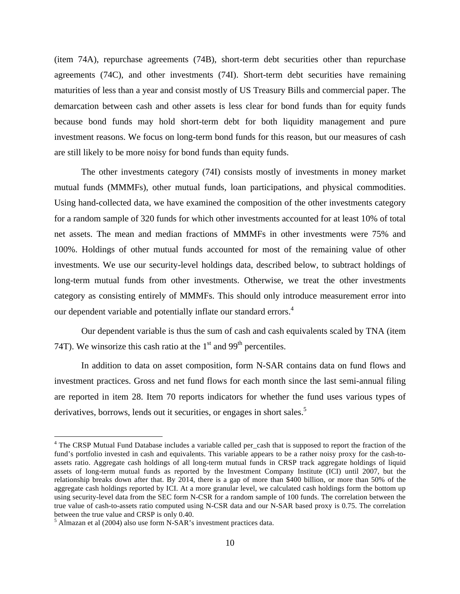(item 74A), repurchase agreements (74B), short-term debt securities other than repurchase agreements (74C), and other investments (74I). Short-term debt securities have remaining maturities of less than a year and consist mostly of US Treasury Bills and commercial paper. The demarcation between cash and other assets is less clear for bond funds than for equity funds because bond funds may hold short-term debt for both liquidity management and pure investment reasons. We focus on long-term bond funds for this reason, but our measures of cash are still likely to be more noisy for bond funds than equity funds.

The other investments category (74I) consists mostly of investments in money market mutual funds (MMMFs), other mutual funds, loan participations, and physical commodities. Using hand-collected data, we have examined the composition of the other investments category for a random sample of 320 funds for which other investments accounted for at least 10% of total net assets. The mean and median fractions of MMMFs in other investments were 75% and 100%. Holdings of other mutual funds accounted for most of the remaining value of other investments. We use our security-level holdings data, described below, to subtract holdings of long-term mutual funds from other investments. Otherwise, we treat the other investments category as consisting entirely of MMMFs. This should only introduce measurement error into our dependent variable and potentially inflate our standard errors.<sup>4</sup>

Our dependent variable is thus the sum of cash and cash equivalents scaled by TNA (item 74T). We winsorize this cash ratio at the  $1<sup>st</sup>$  and 99<sup>th</sup> percentiles.

In addition to data on asset composition, form N-SAR contains data on fund flows and investment practices. Gross and net fund flows for each month since the last semi-annual filing are reported in item 28. Item 70 reports indicators for whether the fund uses various types of derivatives, borrows, lends out it securities, or engages in short sales.<sup>5</sup>

<sup>&</sup>lt;sup>4</sup> The CRSP Mutual Fund Database includes a variable called per\_cash that is supposed to report the fraction of the fund's portfolio invested in cash and equivalents. This variable appears to be a rather noisy proxy for the cash-toassets ratio. Aggregate cash holdings of all long-term mutual funds in CRSP track aggregate holdings of liquid assets of long-term mutual funds as reported by the Investment Company Institute (ICI) until 2007, but the relationship breaks down after that. By 2014, there is a gap of more than \$400 billion, or more than 50% of the aggregate cash holdings reported by ICI. At a more granular level, we calculated cash holdings form the bottom up using security-level data from the SEC form N-CSR for a random sample of 100 funds. The correlation between the true value of cash-to-assets ratio computed using N-CSR data and our N-SAR based proxy is 0.75. The correlation between the true value and CRSP is only 0.40.

<sup>5</sup> Almazan et al (2004) also use form N-SAR's investment practices data.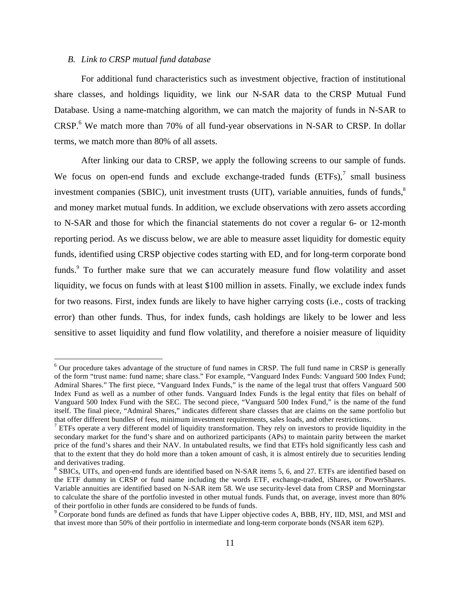# *B. Link to CRSP mutual fund database*

For additional fund characteristics such as investment objective, fraction of institutional share classes, and holdings liquidity, we link our N-SAR data to the CRSP Mutual Fund Database. Using a name-matching algorithm, we can match the majority of funds in N-SAR to CRSP.<sup>6</sup> We match more than 70% of all fund-year observations in N-SAR to CRSP. In dollar terms, we match more than 80% of all assets.

After linking our data to CRSP, we apply the following screens to our sample of funds. We focus on open-end funds and exclude exchange-traded funds  $(ETFs)$ , small business investment companies (SBIC), unit investment trusts (UIT), variable annuities, funds of funds, $\delta$ and money market mutual funds. In addition, we exclude observations with zero assets according to N-SAR and those for which the financial statements do not cover a regular 6- or 12-month reporting period. As we discuss below, we are able to measure asset liquidity for domestic equity funds, identified using CRSP objective codes starting with ED, and for long-term corporate bond funds.<sup>9</sup> To further make sure that we can accurately measure fund flow volatility and asset liquidity, we focus on funds with at least \$100 million in assets. Finally, we exclude index funds for two reasons. First, index funds are likely to have higher carrying costs (i.e., costs of tracking error) than other funds. Thus, for index funds, cash holdings are likely to be lower and less sensitive to asset liquidity and fund flow volatility, and therefore a noisier measure of liquidity

<sup>&</sup>lt;sup>6</sup> Our procedure takes advantage of the structure of fund names in CRSP. The full fund name in CRSP is generally of the form "trust name: fund name; share class." For example, "Vanguard Index Funds: Vanguard 500 Index Fund; Admiral Shares." The first piece, "Vanguard Index Funds," is the name of the legal trust that offers Vanguard 500 Index Fund as well as a number of other funds. Vanguard Index Funds is the legal entity that files on behalf of Vanguard 500 Index Fund with the SEC. The second piece, "Vanguard 500 Index Fund," is the name of the fund itself. The final piece, "Admiral Shares," indicates different share classes that are claims on the same portfolio but that offer different bundles of fees, minimum investment requirements, sales loads, and other restrictions.

 $<sup>7</sup>$  ETFs operate a very different model of liquidity transformation. They rely on investors to provide liquidity in the</sup> secondary market for the fund's share and on authorized participants (APs) to maintain parity between the market price of the fund's shares and their NAV. In untabulated results, we find that ETFs hold significantly less cash and that to the extent that they do hold more than a token amount of cash, it is almost entirely due to securities lending and derivatives trading.

<sup>&</sup>lt;sup>8</sup> SBICs, UITs, and open-end funds are identified based on N-SAR items 5, 6, and 27. ETFs are identified based on the ETF dummy in CRSP or fund name including the words ETF, exchange-traded, iShares, or PowerShares. Variable annuities are identified based on N-SAR item 58. We use security-level data from CRSP and Morningstar to calculate the share of the portfolio invested in other mutual funds. Funds that, on average, invest more than 80% of their portfolio in other funds are considered to be funds of funds.

<sup>&</sup>lt;sup>9</sup> Corporate bond funds are defined as funds that have Lipper objective codes A, BBB, HY, IID, MSI, and MSI and that invest more than 50% of their portfolio in intermediate and long-term corporate bonds (NSAR item 62P).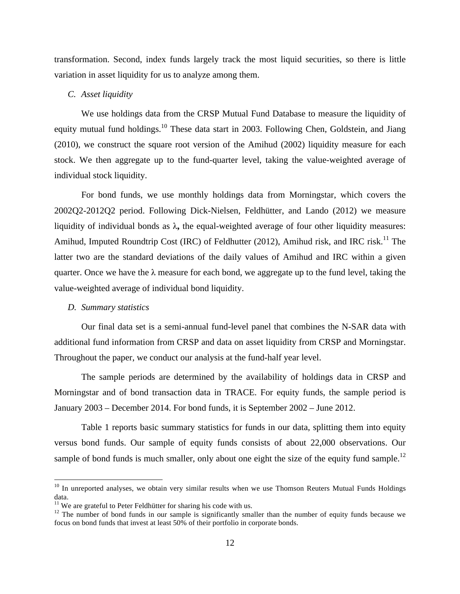transformation. Second, index funds largely track the most liquid securities, so there is little variation in asset liquidity for us to analyze among them.

# *C. Asset liquidity*

We use holdings data from the CRSP Mutual Fund Database to measure the liquidity of equity mutual fund holdings.<sup>10</sup> These data start in 2003. Following Chen, Goldstein, and Jiang (2010), we construct the square root version of the Amihud (2002) liquidity measure for each stock. We then aggregate up to the fund-quarter level, taking the value-weighted average of individual stock liquidity.

For bond funds, we use monthly holdings data from Morningstar, which covers the 2002Q2-2012Q2 period. Following Dick-Nielsen, Feldhütter, and Lando (2012) we measure liquidity of individual bonds as λ**,** the equal-weighted average of four other liquidity measures: Amihud, Imputed Roundtrip Cost (IRC) of Feldhutter (2012), Amihud risk, and IRC risk.<sup>11</sup> The latter two are the standard deviations of the daily values of Amihud and IRC within a given quarter. Once we have the  $\lambda$  measure for each bond, we aggregate up to the fund level, taking the value-weighted average of individual bond liquidity.

## *D. Summary statistics*

Our final data set is a semi-annual fund-level panel that combines the N-SAR data with additional fund information from CRSP and data on asset liquidity from CRSP and Morningstar. Throughout the paper, we conduct our analysis at the fund-half year level.

The sample periods are determined by the availability of holdings data in CRSP and Morningstar and of bond transaction data in TRACE. For equity funds, the sample period is January 2003 – December 2014. For bond funds, it is September 2002 – June 2012.

Table 1 reports basic summary statistics for funds in our data, splitting them into equity versus bond funds. Our sample of equity funds consists of about 22,000 observations. Our sample of bond funds is much smaller, only about one eight the size of the equity fund sample.<sup>12</sup>

<sup>&</sup>lt;sup>10</sup> In unreported analyses, we obtain very similar results when we use Thomson Reuters Mutual Funds Holdings data.<br><sup>11</sup> We are grateful to Peter Feldhütter for sharing his code with us.

 $12$  The number of bond funds in our sample is significantly smaller than the number of equity funds because we focus on bond funds that invest at least 50% of their portfolio in corporate bonds.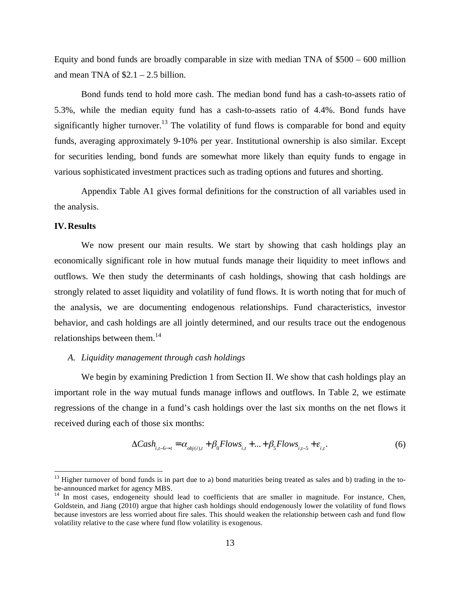Equity and bond funds are broadly comparable in size with median TNA of \$500 – 600 million and mean TNA of  $$2.1 - 2.5$  billion.

Bond funds tend to hold more cash. The median bond fund has a cash-to-assets ratio of 5.3%, while the median equity fund has a cash-to-assets ratio of 4.4%. Bond funds have significantly higher turnover.<sup>13</sup> The volatility of fund flows is comparable for bond and equity funds, averaging approximately 9-10% per year. Institutional ownership is also similar. Except for securities lending, bond funds are somewhat more likely than equity funds to engage in various sophisticated investment practices such as trading options and futures and shorting.

Appendix Table A1 gives formal definitions for the construction of all variables used in the analysis.

#### **IV.Results**

We now present our main results. We start by showing that cash holdings play an economically significant role in how mutual funds manage their liquidity to meet inflows and outflows. We then study the determinants of cash holdings, showing that cash holdings are strongly related to asset liquidity and volatility of fund flows. It is worth noting that for much of the analysis, we are documenting endogenous relationships. Fund characteristics, investor behavior, and cash holdings are all jointly determined, and our results trace out the endogenous relationships between them.<sup>14</sup>

#### *A. Liquidity management through cash holdings*

We begin by examining Prediction 1 from Section II. We show that cash holdings play an important role in the way mutual funds manage inflows and outflows. In Table 2, we estimate regressions of the change in a fund's cash holdings over the last six months on the net flows it received during each of those six months:

$$
\Delta Cash_{i,t-6\rightarrow t} = \alpha_{obj(i),t} + \beta_0Flows_{i,t} + ... + \beta_5Flows_{i,t-5} + \varepsilon_{i,t}.
$$
 (6)

 $13$  Higher turnover of bond funds is in part due to a) bond maturities being treated as sales and b) trading in the to-<br>be-announced market for agency MBS.

 $14$  In most cases, endogeneity should lead to coefficients that are smaller in magnitude. For instance, Chen, Goldstein, and Jiang (2010) argue that higher cash holdings should endogenously lower the volatility of fund flows because investors are less worried about fire sales. This should weaken the relationship between cash and fund flow volatility relative to the case where fund flow volatility is exogenous.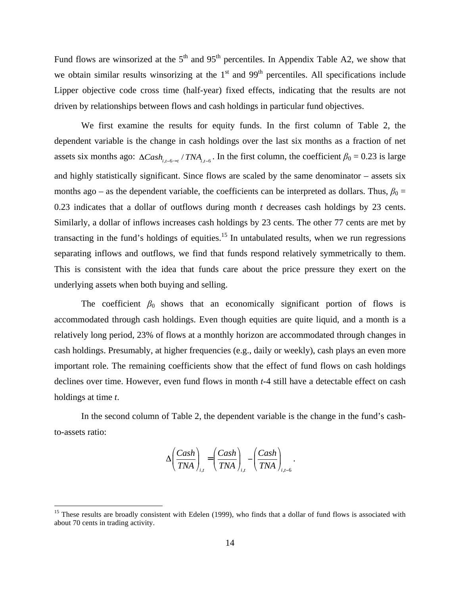Fund flows are winsorized at the  $5<sup>th</sup>$  and  $95<sup>th</sup>$  percentiles. In Appendix Table A2, we show that we obtain similar results winsorizing at the  $1<sup>st</sup>$  and  $99<sup>th</sup>$  percentiles. All specifications include Lipper objective code cross time (half-year) fixed effects, indicating that the results are not driven by relationships between flows and cash holdings in particular fund objectives.

We first examine the results for equity funds. In the first column of Table 2, the dependent variable is the change in cash holdings over the last six months as a fraction of net assets six months ago:  $\Delta Cash_{i,t-6\rightarrow t}$  /  $TNA_{i,t-6}$ . In the first column, the coefficient  $\beta_0 = 0.23$  is large and highly statistically significant. Since flows are scaled by the same denominator – assets six months ago – as the dependent variable, the coefficients can be interpreted as dollars. Thus,  $\beta_0$  = 0.23 indicates that a dollar of outflows during month *t* decreases cash holdings by 23 cents. Similarly, a dollar of inflows increases cash holdings by 23 cents. The other 77 cents are met by transacting in the fund's holdings of equities.<sup>15</sup> In untabulated results, when we run regressions separating inflows and outflows, we find that funds respond relatively symmetrically to them. This is consistent with the idea that funds care about the price pressure they exert on the underlying assets when both buying and selling.

The coefficient  $\beta_0$  shows that an economically significant portion of flows is accommodated through cash holdings. Even though equities are quite liquid, and a month is a relatively long period, 23% of flows at a monthly horizon are accommodated through changes in cash holdings. Presumably, at higher frequencies (e.g., daily or weekly), cash plays an even more important role. The remaining coefficients show that the effect of fund flows on cash holdings declines over time. However, even fund flows in month *t*-4 still have a detectable effect on cash holdings at time *t*.

In the second column of Table 2, the dependent variable is the change in the fund's cashto-assets ratio:

$$
\Delta \left(\frac{Cash}{TNA}\right)_{i,t} = \left(\frac{Cash}{TNA}\right)_{i,t} - \left(\frac{Cash}{TNA}\right)_{i,t-6}.
$$

<sup>&</sup>lt;sup>15</sup> These results are broadly consistent with Edelen (1999), who finds that a dollar of fund flows is associated with about 70 cents in trading activity.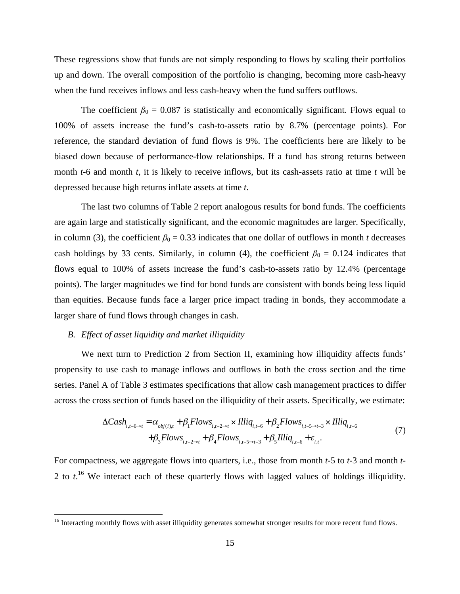These regressions show that funds are not simply responding to flows by scaling their portfolios up and down. The overall composition of the portfolio is changing, becoming more cash-heavy when the fund receives inflows and less cash-heavy when the fund suffers outflows.

The coefficient  $\beta_0 = 0.087$  is statistically and economically significant. Flows equal to 100% of assets increase the fund's cash-to-assets ratio by 8.7% (percentage points). For reference, the standard deviation of fund flows is 9%. The coefficients here are likely to be biased down because of performance-flow relationships. If a fund has strong returns between month *t*-6 and month *t*, it is likely to receive inflows, but its cash-assets ratio at time *t* will be depressed because high returns inflate assets at time *t*.

The last two columns of Table 2 report analogous results for bond funds. The coefficients are again large and statistically significant, and the economic magnitudes are larger. Specifically, in column (3), the coefficient  $\beta_0 = 0.33$  indicates that one dollar of outflows in month *t* decreases cash holdings by 33 cents. Similarly, in column (4), the coefficient  $\beta_0 = 0.124$  indicates that flows equal to 100% of assets increase the fund's cash-to-assets ratio by 12.4% (percentage points). The larger magnitudes we find for bond funds are consistent with bonds being less liquid than equities. Because funds face a larger price impact trading in bonds, they accommodate a larger share of fund flows through changes in cash.

#### *B. Effect of asset liquidity and market illiquidity*

We next turn to Prediction 2 from Section II, examining how illiquidity affects funds' propensity to use cash to manage inflows and outflows in both the cross section and the time series. Panel A of Table 3 estimates specifications that allow cash management practices to differ across the cross section of funds based on the illiquidity of their assets. Specifically, we estimate:

$$
\Delta Cash_{i,t-6\rightarrow t} = \alpha_{obj(i),t} + \beta_1 Flows_{i,t-2\rightarrow t} \times Illiq_{i,t-6} + \beta_2 Flows_{i,t-5\rightarrow t-3} \times Illiq_{i,t-6} + \beta_3 Flows_{i,t-2\rightarrow t} + \beta_4 Flows_{i,t-5\rightarrow t-3} + \beta_5 Illiq_{i,t-6} + \varepsilon_{i,t}.
$$
\n(7)

For compactness, we aggregate flows into quarters, i.e., those from month *t-*5 to *t-*3 and month *t-*2 to *t*<sup>16</sup> We interact each of these quarterly flows with lagged values of holdings illiquidity.

<sup>&</sup>lt;sup>16</sup> Interacting monthly flows with asset illiquidity generates somewhat stronger results for more recent fund flows.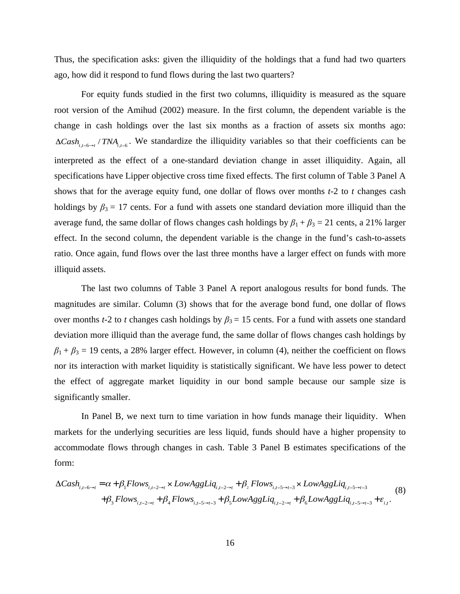Thus, the specification asks: given the illiquidity of the holdings that a fund had two quarters ago, how did it respond to fund flows during the last two quarters?

For equity funds studied in the first two columns, illiquidity is measured as the square root version of the Amihud (2002) measure. In the first column, the dependent variable is the change in cash holdings over the last six months as a fraction of assets six months ago:  $\Delta Cash_{i,t-6\rightarrow t}$  / *TNA*<sub> $i,t-6$ </sub>. We standardize the illiquidity variables so that their coefficients can be interpreted as the effect of a one-standard deviation change in asset illiquidity. Again, all specifications have Lipper objective cross time fixed effects. The first column of Table 3 Panel A shows that for the average equity fund, one dollar of flows over months *t-*2 to *t* changes cash holdings by  $\beta_3 = 17$  cents. For a fund with assets one standard deviation more illiquid than the average fund, the same dollar of flows changes cash holdings by  $\beta_1 + \beta_3 = 21$  cents, a 21% larger effect. In the second column, the dependent variable is the change in the fund's cash-to-assets ratio. Once again, fund flows over the last three months have a larger effect on funds with more illiquid assets.

The last two columns of Table 3 Panel A report analogous results for bond funds. The magnitudes are similar. Column (3) shows that for the average bond fund, one dollar of flows over months *t*-2 to *t* changes cash holdings by  $\beta_3 = 15$  cents. For a fund with assets one standard deviation more illiquid than the average fund, the same dollar of flows changes cash holdings by  $\beta_1 + \beta_3 = 19$  cents, a 28% larger effect. However, in column (4), neither the coefficient on flows nor its interaction with market liquidity is statistically significant. We have less power to detect the effect of aggregate market liquidity in our bond sample because our sample size is significantly smaller.

In Panel B, we next turn to time variation in how funds manage their liquidity. When markets for the underlying securities are less liquid, funds should have a higher propensity to accommodate flows through changes in cash. Table 3 Panel B estimates specifications of the form:

$$
\Delta Cash_{i,t-6\rightarrow t} = \alpha + \beta_1 Flows_{i,t-2\rightarrow t} \times LowAggLiq_{i,t-2\rightarrow t} + \beta_2 Flows_{i,t-5\rightarrow t-3} \times LowAggLiq_{i,t-5\rightarrow t-3}
$$
  
+
$$
\beta_3 Flows_{i,t-2\rightarrow t} + \beta_4 Flows_{i,t-5\rightarrow t-3} + \beta_5 LowAggLiq_{i,t-2\rightarrow t} + \beta_6 LowAggLiq_{i,t-5\rightarrow t-3} + \varepsilon_{i,t}.
$$
 (8)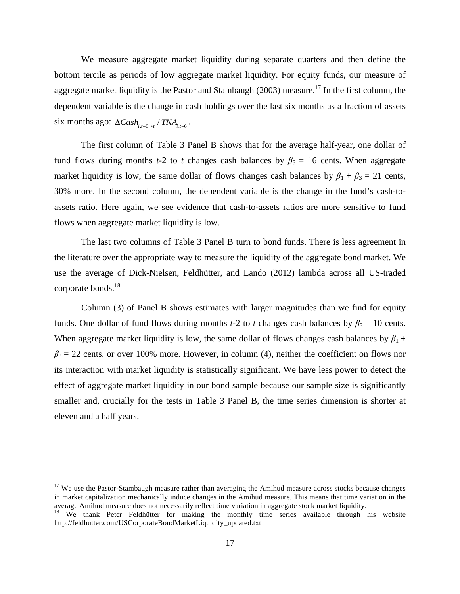We measure aggregate market liquidity during separate quarters and then define the bottom tercile as periods of low aggregate market liquidity. For equity funds, our measure of aggregate market liquidity is the Pastor and Stambaugh (2003) measure.<sup>17</sup> In the first column, the dependent variable is the change in cash holdings over the last six months as a fraction of assets six months ago:  $\Delta Cash_{i,t-6\rightarrow t}$  /  $TNA_{i,t-6}$ .

The first column of Table 3 Panel B shows that for the average half-year, one dollar of fund flows during months *t*-2 to *t* changes cash balances by  $\beta_3 = 16$  cents. When aggregate market liquidity is low, the same dollar of flows changes cash balances by  $\beta_1 + \beta_3 = 21$  cents, 30% more. In the second column, the dependent variable is the change in the fund's cash-toassets ratio. Here again, we see evidence that cash-to-assets ratios are more sensitive to fund flows when aggregate market liquidity is low.

The last two columns of Table 3 Panel B turn to bond funds. There is less agreement in the literature over the appropriate way to measure the liquidity of the aggregate bond market. We use the average of Dick-Nielsen, Feldhütter, and Lando (2012) lambda across all US-traded corporate bonds. 18

Column (3) of Panel B shows estimates with larger magnitudes than we find for equity funds. One dollar of fund flows during months *t*-2 to *t* changes cash balances by  $\beta_3 = 10$  cents. When aggregate market liquidity is low, the same dollar of flows changes cash balances by  $\beta_1$  +  $\beta_3 = 22$  cents, or over 100% more. However, in column (4), neither the coefficient on flows nor its interaction with market liquidity is statistically significant. We have less power to detect the effect of aggregate market liquidity in our bond sample because our sample size is significantly smaller and, crucially for the tests in Table 3 Panel B, the time series dimension is shorter at eleven and a half years.

<sup>&</sup>lt;sup>17</sup> We use the Pastor-Stambaugh measure rather than averaging the Amihud measure across stocks because changes in market capitalization mechanically induce changes in the Amihud measure. This means that time variation in the average Amihud measure does not necessarily reflect time variation in aggregate stock market liquidity.<br><sup>18</sup> We thank Peter Feldhütter for making the monthly time series available through his website

http://feldhutter.com/USCorporateBondMarketLiquidity\_updated.txt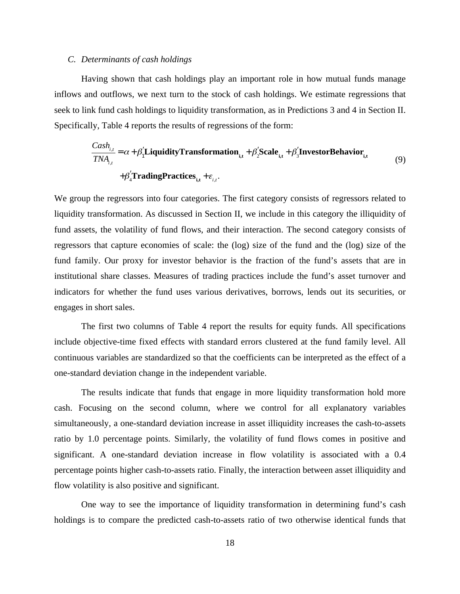#### *C. Determinants of cash holdings*

Having shown that cash holdings play an important role in how mutual funds manage inflows and outflows, we next turn to the stock of cash holdings. We estimate regressions that seek to link fund cash holdings to liquidity transformation, as in Predictions 3 and 4 in Section II. Specifically, Table 4 reports the results of regressions of the form:

$$
\frac{Cash_{i,t}}{TNA_{i,t}} = \alpha + \beta_1' \text{Liquidity} \text{Transformation}_{i,t} + \beta_2' \text{Scale}_{i,t} + \beta_3' \text{InvestorBehavior}_{i,t}
$$
\n
$$
+ \beta_4' \text{TradingPractice}_{i,t} + \varepsilon_{i,t}.
$$
\n(9)

We group the regressors into four categories. The first category consists of regressors related to liquidity transformation. As discussed in Section II, we include in this category the illiquidity of fund assets, the volatility of fund flows, and their interaction. The second category consists of regressors that capture economies of scale: the (log) size of the fund and the (log) size of the fund family. Our proxy for investor behavior is the fraction of the fund's assets that are in institutional share classes. Measures of trading practices include the fund's asset turnover and indicators for whether the fund uses various derivatives, borrows, lends out its securities, or engages in short sales.

The first two columns of Table 4 report the results for equity funds. All specifications include objective-time fixed effects with standard errors clustered at the fund family level. All continuous variables are standardized so that the coefficients can be interpreted as the effect of a one-standard deviation change in the independent variable.

The results indicate that funds that engage in more liquidity transformation hold more cash. Focusing on the second column, where we control for all explanatory variables simultaneously, a one-standard deviation increase in asset illiquidity increases the cash-to-assets ratio by 1.0 percentage points. Similarly, the volatility of fund flows comes in positive and significant. A one-standard deviation increase in flow volatility is associated with a 0.4 percentage points higher cash-to-assets ratio. Finally, the interaction between asset illiquidity and flow volatility is also positive and significant.

One way to see the importance of liquidity transformation in determining fund's cash holdings is to compare the predicted cash-to-assets ratio of two otherwise identical funds that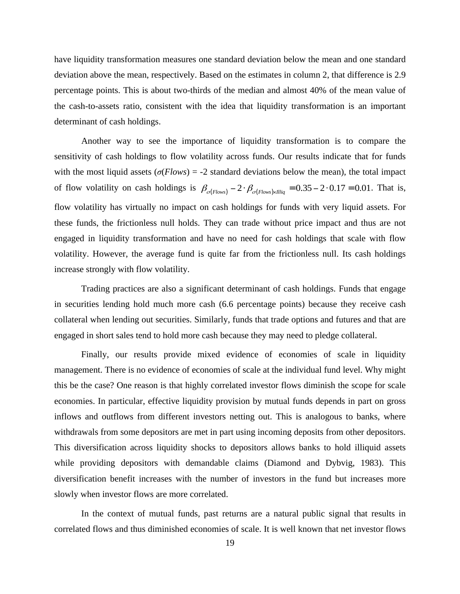have liquidity transformation measures one standard deviation below the mean and one standard deviation above the mean, respectively. Based on the estimates in column 2, that difference is 2.9 percentage points. This is about two-thirds of the median and almost 40% of the mean value of the cash-to-assets ratio, consistent with the idea that liquidity transformation is an important determinant of cash holdings.

Another way to see the importance of liquidity transformation is to compare the sensitivity of cash holdings to flow volatility across funds. Our results indicate that for funds with the most liquid assets  $(\sigma$ (*Flows*) = -2 standard deviations below the mean), the total impact of flow volatility on cash holdings is  $\beta_{\sigma(Flows)} - 2 \cdot \beta_{\sigma(Flows) \times Illiq}} = 0.35 - 2 \cdot 0.17 = 0.01$ . That is, flow volatility has virtually no impact on cash holdings for funds with very liquid assets. For these funds, the frictionless null holds. They can trade without price impact and thus are not engaged in liquidity transformation and have no need for cash holdings that scale with flow volatility. However, the average fund is quite far from the frictionless null. Its cash holdings increase strongly with flow volatility.

Trading practices are also a significant determinant of cash holdings. Funds that engage in securities lending hold much more cash (6.6 percentage points) because they receive cash collateral when lending out securities. Similarly, funds that trade options and futures and that are engaged in short sales tend to hold more cash because they may need to pledge collateral.

Finally, our results provide mixed evidence of economies of scale in liquidity management. There is no evidence of economies of scale at the individual fund level. Why might this be the case? One reason is that highly correlated investor flows diminish the scope for scale economies. In particular, effective liquidity provision by mutual funds depends in part on gross inflows and outflows from different investors netting out. This is analogous to banks, where withdrawals from some depositors are met in part using incoming deposits from other depositors. This diversification across liquidity shocks to depositors allows banks to hold illiquid assets while providing depositors with demandable claims (Diamond and Dybvig, 1983). This diversification benefit increases with the number of investors in the fund but increases more slowly when investor flows are more correlated.

In the context of mutual funds, past returns are a natural public signal that results in correlated flows and thus diminished economies of scale. It is well known that net investor flows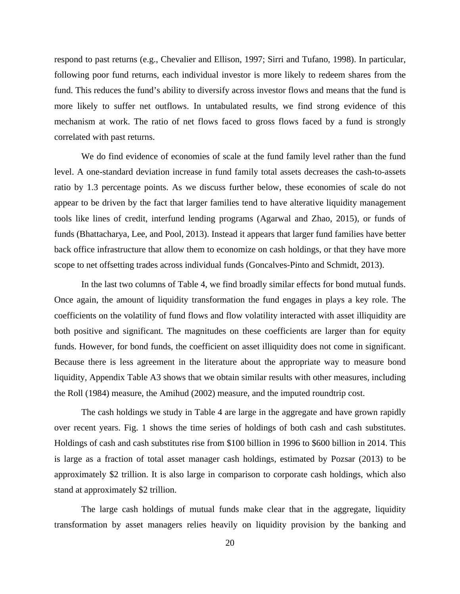respond to past returns (e.g., Chevalier and Ellison, 1997; Sirri and Tufano, 1998). In particular, following poor fund returns, each individual investor is more likely to redeem shares from the fund. This reduces the fund's ability to diversify across investor flows and means that the fund is more likely to suffer net outflows. In untabulated results, we find strong evidence of this mechanism at work. The ratio of net flows faced to gross flows faced by a fund is strongly correlated with past returns.

We do find evidence of economies of scale at the fund family level rather than the fund level. A one-standard deviation increase in fund family total assets decreases the cash-to-assets ratio by 1.3 percentage points. As we discuss further below, these economies of scale do not appear to be driven by the fact that larger families tend to have alterative liquidity management tools like lines of credit, interfund lending programs (Agarwal and Zhao, 2015), or funds of funds (Bhattacharya, Lee, and Pool, 2013). Instead it appears that larger fund families have better back office infrastructure that allow them to economize on cash holdings, or that they have more scope to net offsetting trades across individual funds (Goncalves-Pinto and Schmidt, 2013).

In the last two columns of Table 4, we find broadly similar effects for bond mutual funds. Once again, the amount of liquidity transformation the fund engages in plays a key role. The coefficients on the volatility of fund flows and flow volatility interacted with asset illiquidity are both positive and significant. The magnitudes on these coefficients are larger than for equity funds. However, for bond funds, the coefficient on asset illiquidity does not come in significant. Because there is less agreement in the literature about the appropriate way to measure bond liquidity, Appendix Table A3 shows that we obtain similar results with other measures, including the Roll (1984) measure, the Amihud (2002) measure, and the imputed roundtrip cost.

The cash holdings we study in Table 4 are large in the aggregate and have grown rapidly over recent years. Fig. 1 shows the time series of holdings of both cash and cash substitutes. Holdings of cash and cash substitutes rise from \$100 billion in 1996 to \$600 billion in 2014. This is large as a fraction of total asset manager cash holdings, estimated by Pozsar (2013) to be approximately \$2 trillion. It is also large in comparison to corporate cash holdings, which also stand at approximately \$2 trillion.

The large cash holdings of mutual funds make clear that in the aggregate, liquidity transformation by asset managers relies heavily on liquidity provision by the banking and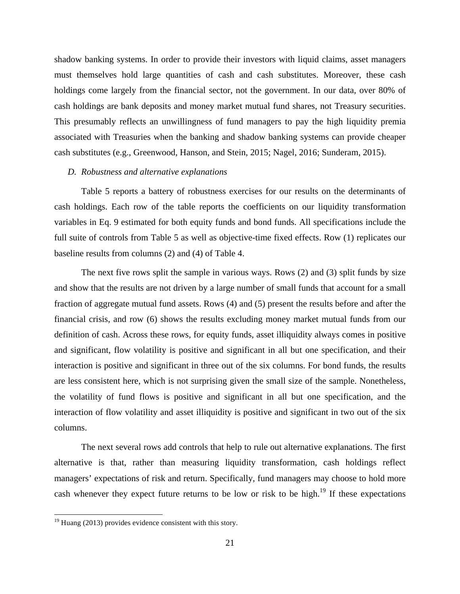shadow banking systems. In order to provide their investors with liquid claims, asset managers must themselves hold large quantities of cash and cash substitutes. Moreover, these cash holdings come largely from the financial sector, not the government. In our data, over 80% of cash holdings are bank deposits and money market mutual fund shares, not Treasury securities. This presumably reflects an unwillingness of fund managers to pay the high liquidity premia associated with Treasuries when the banking and shadow banking systems can provide cheaper cash substitutes (e.g., Greenwood, Hanson, and Stein, 2015; Nagel, 2016; Sunderam, 2015).

#### *D. Robustness and alternative explanations*

Table 5 reports a battery of robustness exercises for our results on the determinants of cash holdings. Each row of the table reports the coefficients on our liquidity transformation variables in Eq. 9 estimated for both equity funds and bond funds. All specifications include the full suite of controls from Table 5 as well as objective-time fixed effects. Row (1) replicates our baseline results from columns (2) and (4) of Table 4.

The next five rows split the sample in various ways. Rows (2) and (3) split funds by size and show that the results are not driven by a large number of small funds that account for a small fraction of aggregate mutual fund assets. Rows (4) and (5) present the results before and after the financial crisis, and row (6) shows the results excluding money market mutual funds from our definition of cash. Across these rows, for equity funds, asset illiquidity always comes in positive and significant, flow volatility is positive and significant in all but one specification, and their interaction is positive and significant in three out of the six columns. For bond funds, the results are less consistent here, which is not surprising given the small size of the sample. Nonetheless, the volatility of fund flows is positive and significant in all but one specification, and the interaction of flow volatility and asset illiquidity is positive and significant in two out of the six columns.

The next several rows add controls that help to rule out alternative explanations. The first alternative is that, rather than measuring liquidity transformation, cash holdings reflect managers' expectations of risk and return. Specifically, fund managers may choose to hold more cash whenever they expect future returns to be low or risk to be high.<sup>19</sup> If these expectations

 $19$  Huang (2013) provides evidence consistent with this story.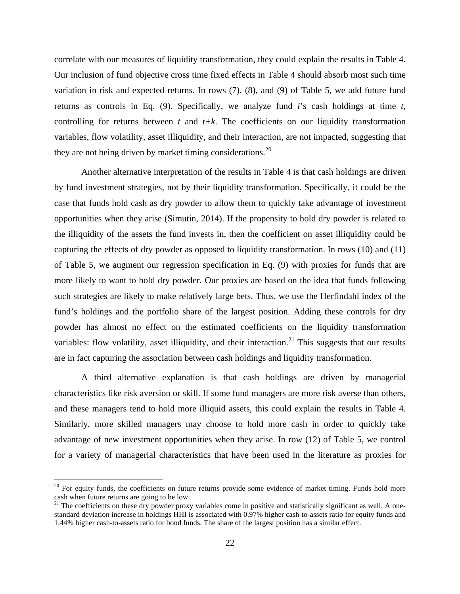correlate with our measures of liquidity transformation, they could explain the results in Table 4. Our inclusion of fund objective cross time fixed effects in Table 4 should absorb most such time variation in risk and expected returns. In rows (7), (8), and (9) of Table 5, we add future fund returns as controls in Eq. (9). Specifically, we analyze fund *i*'s cash holdings at time *t*, controlling for returns between  $t$  and  $t+k$ . The coefficients on our liquidity transformation variables, flow volatility, asset illiquidity, and their interaction, are not impacted, suggesting that they are not being driven by market timing considerations. $^{20}$ 

Another alternative interpretation of the results in Table 4 is that cash holdings are driven by fund investment strategies, not by their liquidity transformation. Specifically, it could be the case that funds hold cash as dry powder to allow them to quickly take advantage of investment opportunities when they arise (Simutin, 2014). If the propensity to hold dry powder is related to the illiquidity of the assets the fund invests in, then the coefficient on asset illiquidity could be capturing the effects of dry powder as opposed to liquidity transformation. In rows (10) and (11) of Table 5, we augment our regression specification in Eq. (9) with proxies for funds that are more likely to want to hold dry powder. Our proxies are based on the idea that funds following such strategies are likely to make relatively large bets. Thus, we use the Herfindahl index of the fund's holdings and the portfolio share of the largest position. Adding these controls for dry powder has almost no effect on the estimated coefficients on the liquidity transformation variables: flow volatility, asset illiquidity, and their interaction.<sup>21</sup> This suggests that our results are in fact capturing the association between cash holdings and liquidity transformation.

A third alternative explanation is that cash holdings are driven by managerial characteristics like risk aversion or skill. If some fund managers are more risk averse than others, and these managers tend to hold more illiquid assets, this could explain the results in Table 4. Similarly, more skilled managers may choose to hold more cash in order to quickly take advantage of new investment opportunities when they arise. In row (12) of Table 5, we control for a variety of managerial characteristics that have been used in the literature as proxies for

<sup>&</sup>lt;sup>20</sup> For equity funds, the coefficients on future returns provide some evidence of market timing. Funds hold more cash when future returns are going to be low.

 $21$  The coefficients on these dry powder proxy variables come in positive and statistically significant as well. A onestandard deviation increase in holdings HHI is associated with 0.97% higher cash-to-assets ratio for equity funds and 1.44% higher cash-to-assets ratio for bond funds. The share of the largest position has a similar effect.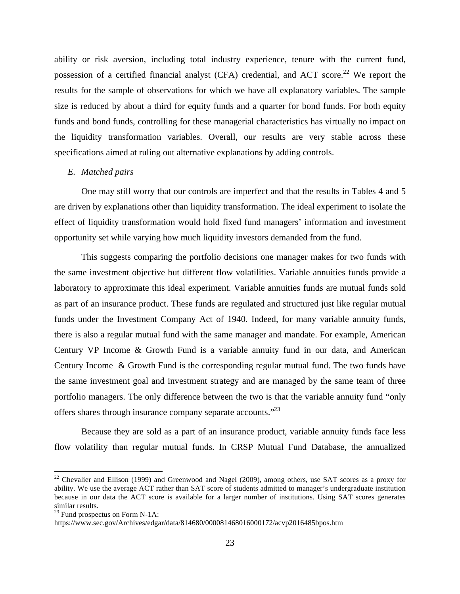ability or risk aversion, including total industry experience, tenure with the current fund, possession of a certified financial analyst (CFA) credential, and ACT score.<sup>22</sup> We report the results for the sample of observations for which we have all explanatory variables. The sample size is reduced by about a third for equity funds and a quarter for bond funds. For both equity funds and bond funds, controlling for these managerial characteristics has virtually no impact on the liquidity transformation variables. Overall, our results are very stable across these specifications aimed at ruling out alternative explanations by adding controls.

#### *E. Matched pairs*

One may still worry that our controls are imperfect and that the results in Tables 4 and 5 are driven by explanations other than liquidity transformation. The ideal experiment to isolate the effect of liquidity transformation would hold fixed fund managers' information and investment opportunity set while varying how much liquidity investors demanded from the fund.

This suggests comparing the portfolio decisions one manager makes for two funds with the same investment objective but different flow volatilities. Variable annuities funds provide a laboratory to approximate this ideal experiment. Variable annuities funds are mutual funds sold as part of an insurance product. These funds are regulated and structured just like regular mutual funds under the Investment Company Act of 1940. Indeed, for many variable annuity funds, there is also a regular mutual fund with the same manager and mandate. For example, American Century VP Income & Growth Fund is a variable annuity fund in our data, and American Century Income & Growth Fund is the corresponding regular mutual fund. The two funds have the same investment goal and investment strategy and are managed by the same team of three portfolio managers. The only difference between the two is that the variable annuity fund "only offers shares through insurance company separate accounts."<sup>23</sup>

Because they are sold as a part of an insurance product, variable annuity funds face less flow volatility than regular mutual funds. In CRSP Mutual Fund Database, the annualized

<sup>&</sup>lt;sup>22</sup> Chevalier and Ellison (1999) and Greenwood and Nagel (2009), among others, use SAT scores as a proxy for ability. We use the average ACT rather than SAT score of students admitted to manager's undergraduate institution because in our data the ACT score is available for a larger number of institutions. Using SAT scores generates similar results.

 $23$  Fund prospectus on Form N-1A:

https://www.sec.gov/Archives/edgar/data/814680/000081468016000172/acvp2016485bpos.htm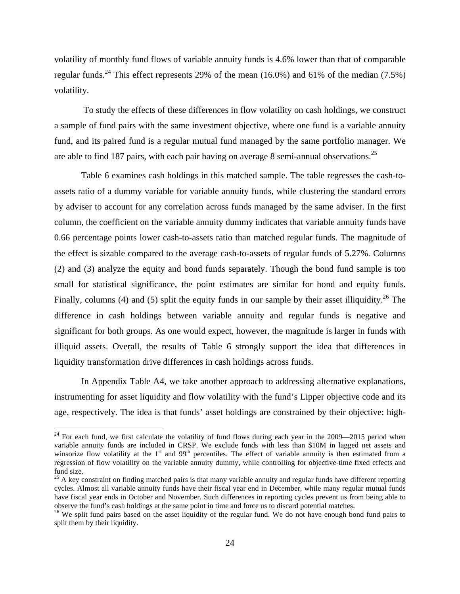volatility of monthly fund flows of variable annuity funds is 4.6% lower than that of comparable regular funds.<sup>24</sup> This effect represents 29% of the mean (16.0%) and 61% of the median (7.5%) volatility.

To study the effects of these differences in flow volatility on cash holdings, we construct a sample of fund pairs with the same investment objective, where one fund is a variable annuity fund, and its paired fund is a regular mutual fund managed by the same portfolio manager. We are able to find 187 pairs, with each pair having on average 8 semi-annual observations.<sup>25</sup>

Table 6 examines cash holdings in this matched sample. The table regresses the cash-toassets ratio of a dummy variable for variable annuity funds, while clustering the standard errors by adviser to account for any correlation across funds managed by the same adviser. In the first column, the coefficient on the variable annuity dummy indicates that variable annuity funds have 0.66 percentage points lower cash-to-assets ratio than matched regular funds. The magnitude of the effect is sizable compared to the average cash-to-assets of regular funds of 5.27%. Columns (2) and (3) analyze the equity and bond funds separately. Though the bond fund sample is too small for statistical significance, the point estimates are similar for bond and equity funds. Finally, columns (4) and (5) split the equity funds in our sample by their asset illiquidity.<sup>26</sup> The difference in cash holdings between variable annuity and regular funds is negative and significant for both groups. As one would expect, however, the magnitude is larger in funds with illiquid assets. Overall, the results of Table 6 strongly support the idea that differences in liquidity transformation drive differences in cash holdings across funds.

In Appendix Table A4, we take another approach to addressing alternative explanations, instrumenting for asset liquidity and flow volatility with the fund's Lipper objective code and its age, respectively. The idea is that funds' asset holdings are constrained by their objective: high-

 $24$  For each fund, we first calculate the volatility of fund flows during each year in the 2009—2015 period when variable annuity funds are included in CRSP. We exclude funds with less than \$10M in lagged net assets and winsorize flow volatility at the  $1<sup>st</sup>$  and  $99<sup>th</sup>$  percentiles. The effect of variable annuity is then estimated from a regression of flow volatility on the variable annuity dummy, while controlling for objective-time fixed effects and fund size.

<sup>&</sup>lt;sup>25</sup> A key constraint on finding matched pairs is that many variable annuity and regular funds have different reporting cycles. Almost all variable annuity funds have their fiscal year end in December, while many regular mutual funds have fiscal year ends in October and November. Such differences in reporting cycles prevent us from being able to observe the fund's cash holdings at the same point in time and force us to discard potential matches.

 $^{26}$  We split fund pairs based on the asset liquidity of the regular fund. We do not have enough bond fund pairs to split them by their liquidity.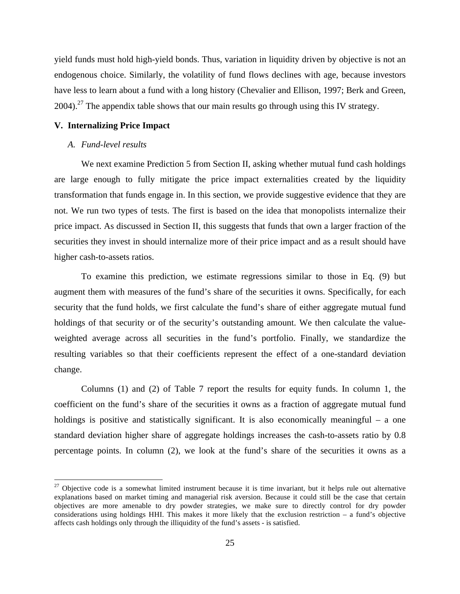yield funds must hold high-yield bonds. Thus, variation in liquidity driven by objective is not an endogenous choice. Similarly, the volatility of fund flows declines with age, because investors have less to learn about a fund with a long history (Chevalier and Ellison, 1997; Berk and Green, 2004).<sup>27</sup> The appendix table shows that our main results go through using this IV strategy.

# **V. Internalizing Price Impact**

#### *A. Fund-level results*

We next examine Prediction 5 from Section II, asking whether mutual fund cash holdings are large enough to fully mitigate the price impact externalities created by the liquidity transformation that funds engage in. In this section, we provide suggestive evidence that they are not. We run two types of tests. The first is based on the idea that monopolists internalize their price impact. As discussed in Section II, this suggests that funds that own a larger fraction of the securities they invest in should internalize more of their price impact and as a result should have higher cash-to-assets ratios.

To examine this prediction, we estimate regressions similar to those in Eq. (9) but augment them with measures of the fund's share of the securities it owns. Specifically, for each security that the fund holds, we first calculate the fund's share of either aggregate mutual fund holdings of that security or of the security's outstanding amount. We then calculate the valueweighted average across all securities in the fund's portfolio. Finally, we standardize the resulting variables so that their coefficients represent the effect of a one-standard deviation change.

Columns (1) and (2) of Table 7 report the results for equity funds. In column 1, the coefficient on the fund's share of the securities it owns as a fraction of aggregate mutual fund holdings is positive and statistically significant. It is also economically meaningful – a one standard deviation higher share of aggregate holdings increases the cash-to-assets ratio by 0.8 percentage points. In column (2), we look at the fund's share of the securities it owns as a

 $27$  Objective code is a somewhat limited instrument because it is time invariant, but it helps rule out alternative explanations based on market timing and managerial risk aversion. Because it could still be the case that certain objectives are more amenable to dry powder strategies, we make sure to directly control for dry powder considerations using holdings HHI. This makes it more likely that the exclusion restriction – a fund's objective affects cash holdings only through the illiquidity of the fund's assets - is satisfied.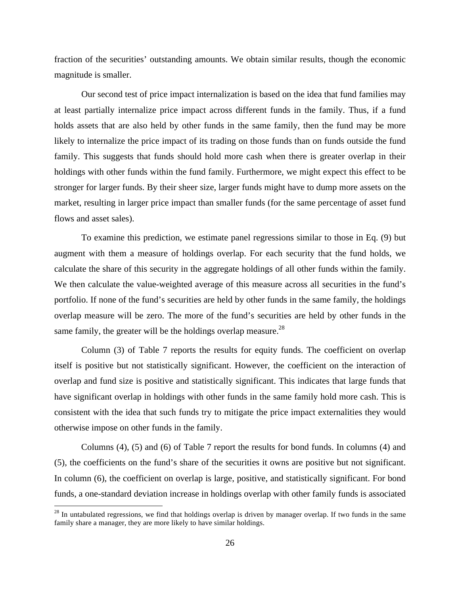fraction of the securities' outstanding amounts. We obtain similar results, though the economic magnitude is smaller.

Our second test of price impact internalization is based on the idea that fund families may at least partially internalize price impact across different funds in the family. Thus, if a fund holds assets that are also held by other funds in the same family, then the fund may be more likely to internalize the price impact of its trading on those funds than on funds outside the fund family. This suggests that funds should hold more cash when there is greater overlap in their holdings with other funds within the fund family. Furthermore, we might expect this effect to be stronger for larger funds. By their sheer size, larger funds might have to dump more assets on the market, resulting in larger price impact than smaller funds (for the same percentage of asset fund flows and asset sales).

To examine this prediction, we estimate panel regressions similar to those in Eq. (9) but augment with them a measure of holdings overlap. For each security that the fund holds, we calculate the share of this security in the aggregate holdings of all other funds within the family. We then calculate the value-weighted average of this measure across all securities in the fund's portfolio. If none of the fund's securities are held by other funds in the same family, the holdings overlap measure will be zero. The more of the fund's securities are held by other funds in the same family, the greater will be the holdings overlap measure.<sup>28</sup>

Column (3) of Table 7 reports the results for equity funds. The coefficient on overlap itself is positive but not statistically significant. However, the coefficient on the interaction of overlap and fund size is positive and statistically significant. This indicates that large funds that have significant overlap in holdings with other funds in the same family hold more cash. This is consistent with the idea that such funds try to mitigate the price impact externalities they would otherwise impose on other funds in the family.

Columns (4), (5) and (6) of Table 7 report the results for bond funds. In columns (4) and (5), the coefficients on the fund's share of the securities it owns are positive but not significant. In column (6), the coefficient on overlap is large, positive, and statistically significant. For bond funds, a one-standard deviation increase in holdings overlap with other family funds is associated

 $28$  In untabulated regressions, we find that holdings overlap is driven by manager overlap. If two funds in the same family share a manager, they are more likely to have similar holdings.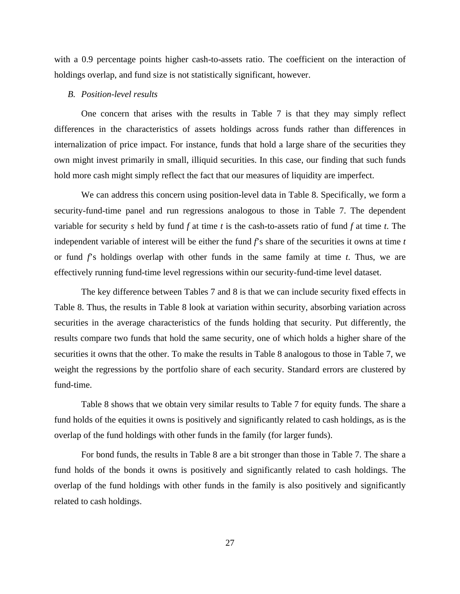with a 0.9 percentage points higher cash-to-assets ratio. The coefficient on the interaction of holdings overlap, and fund size is not statistically significant, however.

## *B. Position-level results*

One concern that arises with the results in Table 7 is that they may simply reflect differences in the characteristics of assets holdings across funds rather than differences in internalization of price impact. For instance, funds that hold a large share of the securities they own might invest primarily in small, illiquid securities. In this case, our finding that such funds hold more cash might simply reflect the fact that our measures of liquidity are imperfect.

We can address this concern using position-level data in Table 8. Specifically, we form a security-fund-time panel and run regressions analogous to those in Table 7. The dependent variable for security *s* held by fund *f* at time *t* is the cash-to-assets ratio of fund *f* at time *t*. The independent variable of interest will be either the fund *f*'s share of the securities it owns at time *t* or fund *f*'s holdings overlap with other funds in the same family at time *t*. Thus, we are effectively running fund-time level regressions within our security-fund-time level dataset.

The key difference between Tables 7 and 8 is that we can include security fixed effects in Table 8. Thus, the results in Table 8 look at variation within security, absorbing variation across securities in the average characteristics of the funds holding that security. Put differently, the results compare two funds that hold the same security, one of which holds a higher share of the securities it owns that the other. To make the results in Table 8 analogous to those in Table 7, we weight the regressions by the portfolio share of each security. Standard errors are clustered by fund-time.

Table 8 shows that we obtain very similar results to Table 7 for equity funds. The share a fund holds of the equities it owns is positively and significantly related to cash holdings, as is the overlap of the fund holdings with other funds in the family (for larger funds).

For bond funds, the results in Table 8 are a bit stronger than those in Table 7. The share a fund holds of the bonds it owns is positively and significantly related to cash holdings. The overlap of the fund holdings with other funds in the family is also positively and significantly related to cash holdings.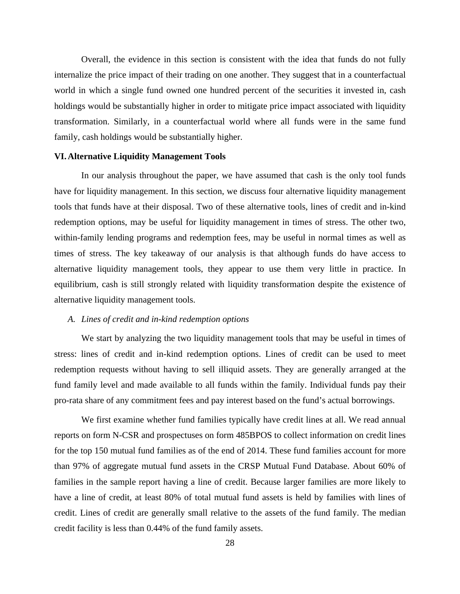Overall, the evidence in this section is consistent with the idea that funds do not fully internalize the price impact of their trading on one another. They suggest that in a counterfactual world in which a single fund owned one hundred percent of the securities it invested in, cash holdings would be substantially higher in order to mitigate price impact associated with liquidity transformation. Similarly, in a counterfactual world where all funds were in the same fund family, cash holdings would be substantially higher.

#### **VI.Alternative Liquidity Management Tools**

In our analysis throughout the paper, we have assumed that cash is the only tool funds have for liquidity management. In this section, we discuss four alternative liquidity management tools that funds have at their disposal. Two of these alternative tools, lines of credit and in-kind redemption options, may be useful for liquidity management in times of stress. The other two, within-family lending programs and redemption fees, may be useful in normal times as well as times of stress. The key takeaway of our analysis is that although funds do have access to alternative liquidity management tools, they appear to use them very little in practice. In equilibrium, cash is still strongly related with liquidity transformation despite the existence of alternative liquidity management tools.

# *A. Lines of credit and in-kind redemption options*

We start by analyzing the two liquidity management tools that may be useful in times of stress: lines of credit and in-kind redemption options. Lines of credit can be used to meet redemption requests without having to sell illiquid assets. They are generally arranged at the fund family level and made available to all funds within the family. Individual funds pay their pro-rata share of any commitment fees and pay interest based on the fund's actual borrowings.

We first examine whether fund families typically have credit lines at all. We read annual reports on form N-CSR and prospectuses on form 485BPOS to collect information on credit lines for the top 150 mutual fund families as of the end of 2014. These fund families account for more than 97% of aggregate mutual fund assets in the CRSP Mutual Fund Database. About 60% of families in the sample report having a line of credit. Because larger families are more likely to have a line of credit, at least 80% of total mutual fund assets is held by families with lines of credit. Lines of credit are generally small relative to the assets of the fund family. The median credit facility is less than 0.44% of the fund family assets.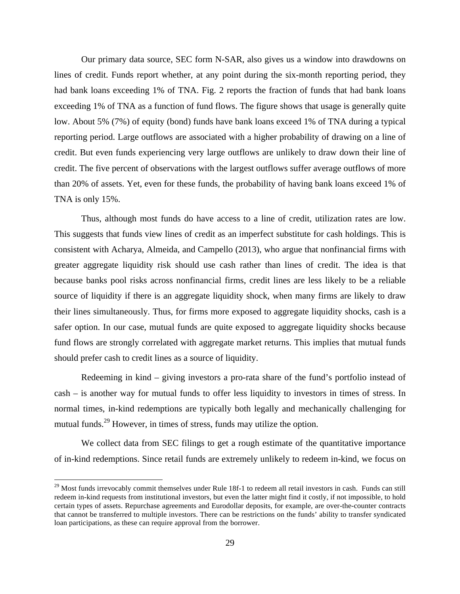Our primary data source, SEC form N-SAR, also gives us a window into drawdowns on lines of credit. Funds report whether, at any point during the six-month reporting period, they had bank loans exceeding 1% of TNA. Fig. 2 reports the fraction of funds that had bank loans exceeding 1% of TNA as a function of fund flows. The figure shows that usage is generally quite low. About 5% (7%) of equity (bond) funds have bank loans exceed 1% of TNA during a typical reporting period. Large outflows are associated with a higher probability of drawing on a line of credit. But even funds experiencing very large outflows are unlikely to draw down their line of credit. The five percent of observations with the largest outflows suffer average outflows of more than 20% of assets. Yet, even for these funds, the probability of having bank loans exceed 1% of TNA is only 15%.

Thus, although most funds do have access to a line of credit, utilization rates are low. This suggests that funds view lines of credit as an imperfect substitute for cash holdings. This is consistent with Acharya, Almeida, and Campello (2013), who argue that nonfinancial firms with greater aggregate liquidity risk should use cash rather than lines of credit. The idea is that because banks pool risks across nonfinancial firms, credit lines are less likely to be a reliable source of liquidity if there is an aggregate liquidity shock, when many firms are likely to draw their lines simultaneously. Thus, for firms more exposed to aggregate liquidity shocks, cash is a safer option. In our case, mutual funds are quite exposed to aggregate liquidity shocks because fund flows are strongly correlated with aggregate market returns. This implies that mutual funds should prefer cash to credit lines as a source of liquidity.

Redeeming in kind – giving investors a pro-rata share of the fund's portfolio instead of cash – is another way for mutual funds to offer less liquidity to investors in times of stress. In normal times, in-kind redemptions are typically both legally and mechanically challenging for mutual funds.<sup>29</sup> However, in times of stress, funds may utilize the option.

We collect data from SEC filings to get a rough estimate of the quantitative importance of in-kind redemptions. Since retail funds are extremely unlikely to redeem in-kind, we focus on

<sup>&</sup>lt;sup>29</sup> Most funds irrevocably commit themselves under Rule 18f-1 to redeem all retail investors in cash. Funds can still redeem in-kind requests from institutional investors, but even the latter might find it costly, if not impossible, to hold certain types of assets. Repurchase agreements and Eurodollar deposits, for example, are over-the-counter contracts that cannot be transferred to multiple investors. There can be restrictions on the funds' ability to transfer syndicated loan participations, as these can require approval from the borrower.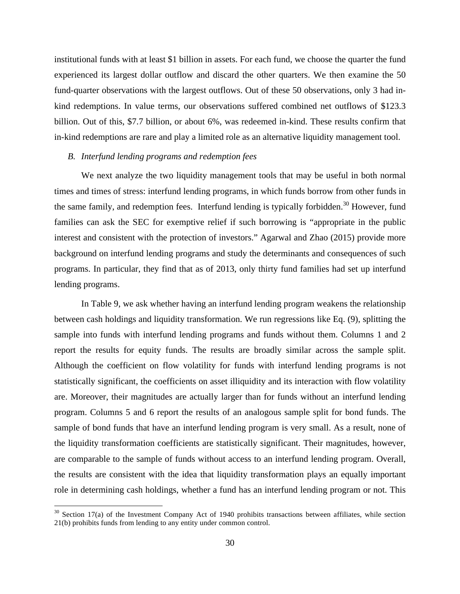institutional funds with at least \$1 billion in assets. For each fund, we choose the quarter the fund experienced its largest dollar outflow and discard the other quarters. We then examine the 50 fund-quarter observations with the largest outflows. Out of these 50 observations, only 3 had inkind redemptions. In value terms, our observations suffered combined net outflows of \$123.3 billion. Out of this, \$7.7 billion, or about 6%, was redeemed in-kind. These results confirm that in-kind redemptions are rare and play a limited role as an alternative liquidity management tool.

# *B. Interfund lending programs and redemption fees*

We next analyze the two liquidity management tools that may be useful in both normal times and times of stress: interfund lending programs, in which funds borrow from other funds in the same family, and redemption fees. Interfund lending is typically forbidden.<sup>30</sup> However, fund families can ask the SEC for exemptive relief if such borrowing is "appropriate in the public interest and consistent with the protection of investors." Agarwal and Zhao (2015) provide more background on interfund lending programs and study the determinants and consequences of such programs. In particular, they find that as of 2013, only thirty fund families had set up interfund lending programs.

In Table 9, we ask whether having an interfund lending program weakens the relationship between cash holdings and liquidity transformation. We run regressions like Eq. (9), splitting the sample into funds with interfund lending programs and funds without them. Columns 1 and 2 report the results for equity funds. The results are broadly similar across the sample split. Although the coefficient on flow volatility for funds with interfund lending programs is not statistically significant, the coefficients on asset illiquidity and its interaction with flow volatility are. Moreover, their magnitudes are actually larger than for funds without an interfund lending program. Columns 5 and 6 report the results of an analogous sample split for bond funds. The sample of bond funds that have an interfund lending program is very small. As a result, none of the liquidity transformation coefficients are statistically significant. Their magnitudes, however, are comparable to the sample of funds without access to an interfund lending program. Overall, the results are consistent with the idea that liquidity transformation plays an equally important role in determining cash holdings, whether a fund has an interfund lending program or not. This

 $30$  Section 17(a) of the Investment Company Act of 1940 prohibits transactions between affiliates, while section 21(b) prohibits funds from lending to any entity under common control.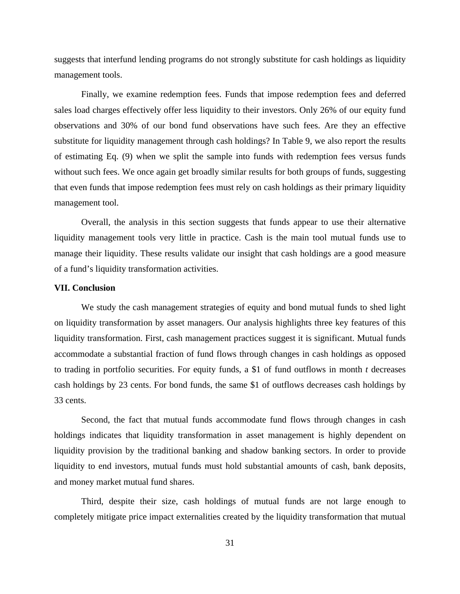suggests that interfund lending programs do not strongly substitute for cash holdings as liquidity management tools.

Finally, we examine redemption fees. Funds that impose redemption fees and deferred sales load charges effectively offer less liquidity to their investors. Only 26% of our equity fund observations and 30% of our bond fund observations have such fees. Are they an effective substitute for liquidity management through cash holdings? In Table 9, we also report the results of estimating Eq. (9) when we split the sample into funds with redemption fees versus funds without such fees. We once again get broadly similar results for both groups of funds, suggesting that even funds that impose redemption fees must rely on cash holdings as their primary liquidity management tool.

Overall, the analysis in this section suggests that funds appear to use their alternative liquidity management tools very little in practice. Cash is the main tool mutual funds use to manage their liquidity. These results validate our insight that cash holdings are a good measure of a fund's liquidity transformation activities.

#### **VII. Conclusion**

We study the cash management strategies of equity and bond mutual funds to shed light on liquidity transformation by asset managers. Our analysis highlights three key features of this liquidity transformation. First, cash management practices suggest it is significant. Mutual funds accommodate a substantial fraction of fund flows through changes in cash holdings as opposed to trading in portfolio securities. For equity funds, a \$1 of fund outflows in month *t* decreases cash holdings by 23 cents. For bond funds, the same \$1 of outflows decreases cash holdings by 33 cents.

Second, the fact that mutual funds accommodate fund flows through changes in cash holdings indicates that liquidity transformation in asset management is highly dependent on liquidity provision by the traditional banking and shadow banking sectors. In order to provide liquidity to end investors, mutual funds must hold substantial amounts of cash, bank deposits, and money market mutual fund shares.

Third, despite their size, cash holdings of mutual funds are not large enough to completely mitigate price impact externalities created by the liquidity transformation that mutual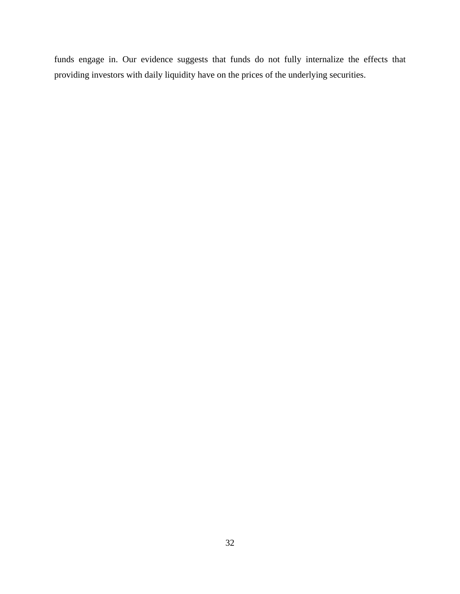funds engage in. Our evidence suggests that funds do not fully internalize the effects that providing investors with daily liquidity have on the prices of the underlying securities.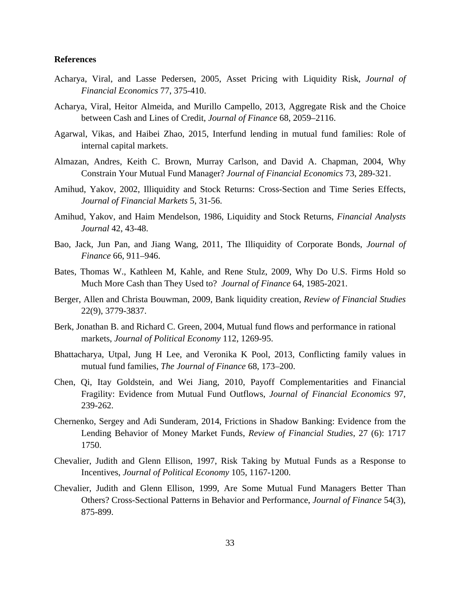# **References**

- Acharya, Viral, and Lasse Pedersen, 2005, Asset Pricing with Liquidity Risk, *Journal of Financial Economics* 77, 375-410.
- Acharya, Viral, Heitor Almeida, and Murillo Campello, 2013, Aggregate Risk and the Choice between Cash and Lines of Credit, *Journal of Finance* 68, 2059–2116.
- Agarwal, Vikas, and Haibei Zhao, 2015, Interfund lending in mutual fund families: Role of internal capital markets.
- Almazan, Andres, Keith C. Brown, Murray Carlson, and David A. Chapman, 2004, Why Constrain Your Mutual Fund Manager? *Journal of Financial Economics* 73, 289-321.
- Amihud, Yakov, 2002, Illiquidity and Stock Returns: Cross-Section and Time Series Effects, *Journal of Financial Markets* 5, 31-56.
- Amihud, Yakov, and Haim Mendelson, 1986, Liquidity and Stock Returns, *Financial Analysts Journal* 42, 43-48.
- Bao, Jack, Jun Pan, and Jiang Wang, 2011, The Illiquidity of Corporate Bonds, *Journal of Finance* 66, 911–946.
- Bates, Thomas W., Kathleen M, Kahle, and Rene Stulz, 2009, Why Do U.S. Firms Hold so Much More Cash than They Used to? *Journal of Finance* 64, 1985-2021.
- Berger, Allen and Christa Bouwman, 2009, Bank liquidity creation, *Review of Financial Studies* 22(9), 3779-3837.
- Berk, Jonathan B. and Richard C. Green, 2004, Mutual fund flows and performance in rational markets, *Journal of Political Economy* 112, 1269-95.
- Bhattacharya, Utpal, Jung H Lee, and Veronika K Pool, 2013, Conflicting family values in mutual fund families, *The Journal of Finance* 68, 173–200.
- Chen, Qi, Itay Goldstein, and Wei Jiang, 2010, Payoff Complementarities and Financial Fragility: Evidence from Mutual Fund Outflows, *Journal of Financial Economics* 97, 239-262.
- Chernenko, Sergey and Adi Sunderam, 2014, Frictions in Shadow Banking: Evidence from the Lending Behavior of Money Market Funds, *Review of Financial Studies*, 27 (6): 1717 1750.
- Chevalier, Judith and Glenn Ellison, 1997, Risk Taking by Mutual Funds as a Response to Incentives, *Journal of Political Economy* 105, 1167-1200.
- Chevalier, Judith and Glenn Ellison, 1999, Are Some Mutual Fund Managers Better Than Others? Cross-Sectional Patterns in Behavior and Performance, *Journal of Finance* 54(3), 875-899.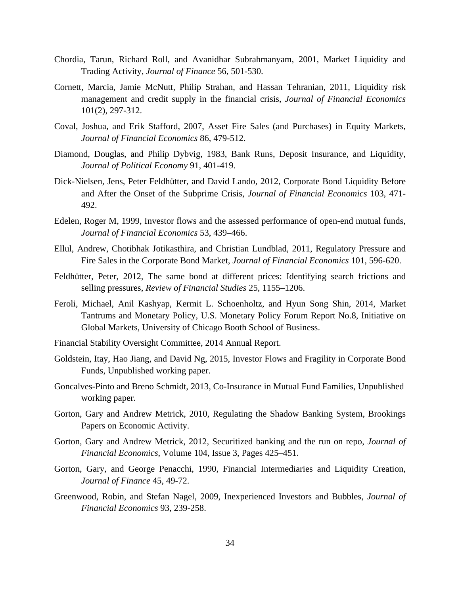- Chordia, Tarun, Richard Roll, and Avanidhar Subrahmanyam, 2001, Market Liquidity and Trading Activity, *Journal of Finance* 56, 501-530.
- Cornett, Marcia, Jamie McNutt, Philip Strahan, and Hassan Tehranian, 2011, Liquidity risk management and credit supply in the financial crisis, *Journal of Financial Economics* 101(2), 297-312.
- Coval, Joshua, and Erik Stafford, 2007, Asset Fire Sales (and Purchases) in Equity Markets, *Journal of Financial Economics* 86, 479-512.
- Diamond, Douglas, and Philip Dybvig, 1983, Bank Runs, Deposit Insurance, and Liquidity, *Journal of Political Economy* 91, 401-419.
- Dick-Nielsen, Jens, Peter Feldhütter, and David Lando, 2012, Corporate Bond Liquidity Before and After the Onset of the Subprime Crisis, *Journal of Financial Economics* 103, 471- 492.
- Edelen, Roger M, 1999, Investor flows and the assessed performance of open-end mutual funds, *Journal of Financial Economics* 53, 439–466.
- Ellul, Andrew, Chotibhak Jotikasthira, and Christian Lundblad, 2011, Regulatory Pressure and Fire Sales in the Corporate Bond Market, *Journal of Financial Economics* 101, 596-620.
- Feldhütter, Peter, 2012, The same bond at different prices: Identifying search frictions and selling pressures, *Review of Financial Studies* 25, 1155–1206.
- Feroli, Michael, Anil Kashyap, Kermit L. Schoenholtz, and Hyun Song Shin, 2014, Market Tantrums and Monetary Policy, U.S. Monetary Policy Forum Report No.8, Initiative on Global Markets, University of Chicago Booth School of Business.
- Financial Stability Oversight Committee, 2014 Annual Report.
- Goldstein, Itay, Hao Jiang, and David Ng, 2015, Investor Flows and Fragility in Corporate Bond Funds, Unpublished working paper.
- Goncalves-Pinto and Breno Schmidt, 2013, Co-Insurance in Mutual Fund Families, Unpublished working paper.
- Gorton, Gary and Andrew Metrick, 2010, Regulating the Shadow Banking System, Brookings Papers on Economic Activity.
- Gorton, Gary and Andrew Metrick, 2012, Securitized banking and the run on repo, *Journal of Financial Economics*, Volume 104, Issue 3, Pages 425–451.
- Gorton, Gary, and George Penacchi, 1990, Financial Intermediaries and Liquidity Creation, *Journal of Finance* 45, 49-72.
- Greenwood, Robin, and Stefan Nagel, 2009, Inexperienced Investors and Bubbles, *Journal of Financial Economics* 93, 239-258.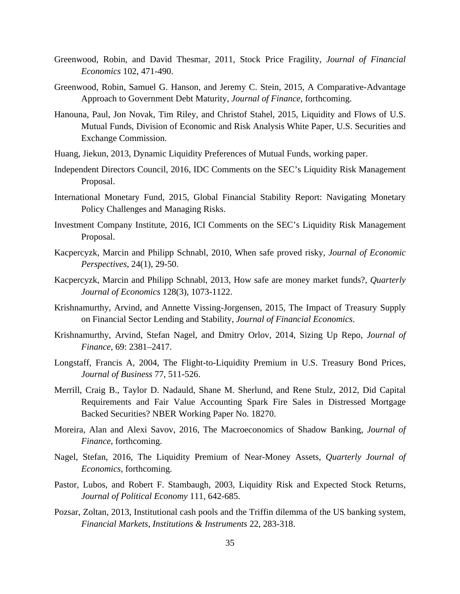- Greenwood, Robin, and David Thesmar, 2011, Stock Price Fragility, *Journal of Financial Economics* 102, 471-490.
- Greenwood, Robin, Samuel G. Hanson, and Jeremy C. Stein, 2015, A Comparative-Advantage Approach to Government Debt Maturity, *Journal of Finance*, forthcoming.
- Hanouna, Paul, Jon Novak, Tim Riley, and Christof Stahel, 2015, Liquidity and Flows of U.S. Mutual Funds, Division of Economic and Risk Analysis White Paper, U.S. Securities and Exchange Commission.
- Huang, Jiekun, 2013, Dynamic Liquidity Preferences of Mutual Funds, working paper.
- Independent Directors Council, 2016, IDC Comments on the SEC's Liquidity Risk Management Proposal.
- International Monetary Fund, 2015, Global Financial Stability Report: Navigating Monetary Policy Challenges and Managing Risks.
- Investment Company Institute, 2016, ICI Comments on the SEC's Liquidity Risk Management Proposal.
- Kacpercyzk, Marcin and Philipp Schnabl, 2010, When safe proved risky, *Journal of Economic Perspectives*, 24(1), 29-50.
- Kacpercyzk, Marcin and Philipp Schnabl, 2013, How safe are money market funds?, *Quarterly Journal of Economics* 128(3), 1073-1122.
- Krishnamurthy, Arvind, and Annette Vissing-Jorgensen, 2015, The Impact of Treasury Supply on Financial Sector Lending and Stability, *Journal of Financial Economics*.
- Krishnamurthy, Arvind, Stefan Nagel, and Dmitry Orlov, 2014, Sizing Up Repo, *Journal of Finance*, 69: 2381–2417.
- Longstaff, Francis A, 2004, The Flight-to-Liquidity Premium in U.S. Treasury Bond Prices, *Journal of Business* 77, 511-526.
- Merrill, Craig B., Taylor D. Nadauld, Shane M. Sherlund, and Rene Stulz, 2012, Did Capital Requirements and Fair Value Accounting Spark Fire Sales in Distressed Mortgage Backed Securities? NBER Working Paper No. 18270.
- Moreira, Alan and Alexi Savov, 2016, The Macroeconomics of Shadow Banking, *Journal of Finance*, forthcoming.
- Nagel, Stefan, 2016, The Liquidity Premium of Near-Money Assets, *Quarterly Journal of Economics*, forthcoming.
- Pastor, Lubos, and Robert F. Stambaugh, 2003, Liquidity Risk and Expected Stock Returns, *Journal of Political Economy* 111, 642-685.
- Pozsar, Zoltan, 2013, Institutional cash pools and the Triffin dilemma of the US banking system, *Financial Markets, Institutions & Instruments* 22, 283-318.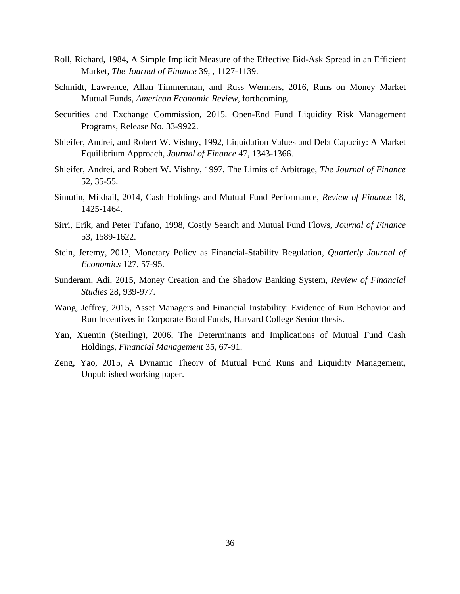- Roll, Richard, 1984, A Simple Implicit Measure of the Effective Bid-Ask Spread in an Efficient Market, *The Journal of Finance* 39, , 1127-1139.
- Schmidt, Lawrence, Allan Timmerman, and Russ Wermers, 2016, Runs on Money Market Mutual Funds, *American Economic Review*, forthcoming.
- Securities and Exchange Commission, 2015. Open-End Fund Liquidity Risk Management Programs, Release No. 33-9922.
- Shleifer, Andrei, and Robert W. Vishny, 1992, Liquidation Values and Debt Capacity: A Market Equilibrium Approach, *Journal of Finance* 47, 1343-1366.
- Shleifer, Andrei, and Robert W. Vishny, 1997, The Limits of Arbitrage, *The Journal of Finance* 52, 35-55.
- Simutin, Mikhail, 2014, Cash Holdings and Mutual Fund Performance, *Review of Finance* 18, 1425-1464.
- Sirri, Erik, and Peter Tufano, 1998, Costly Search and Mutual Fund Flows, *Journal of Finance* 53, 1589-1622.
- Stein, Jeremy, 2012, Monetary Policy as Financial-Stability Regulation, *Quarterly Journal of Economics* 127, 57-95.
- Sunderam, Adi, 2015, Money Creation and the Shadow Banking System, *Review of Financial Studies* 28, 939-977.
- Wang, Jeffrey, 2015, Asset Managers and Financial Instability: Evidence of Run Behavior and Run Incentives in Corporate Bond Funds, Harvard College Senior thesis.
- Yan, Xuemin (Sterling), 2006, The Determinants and Implications of Mutual Fund Cash Holdings, *Financial Management* 35, 67-91.
- Zeng, Yao, 2015, A Dynamic Theory of Mutual Fund Runs and Liquidity Management, Unpublished working paper.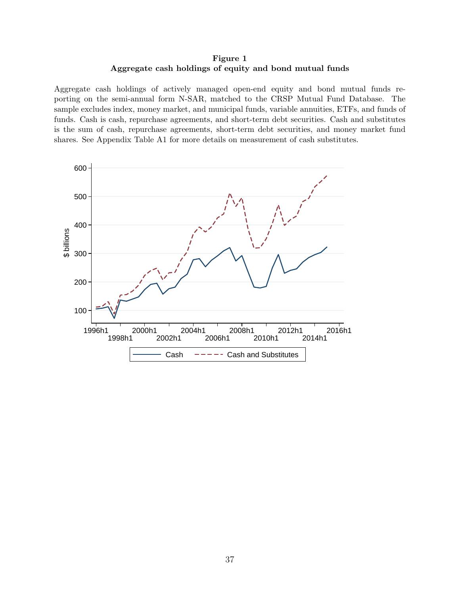# Figure 1 Aggregate cash holdings of equity and bond mutual funds

Aggregate cash holdings of actively managed open-end equity and bond mutual funds reporting on the semi-annual form N-SAR, matched to the CRSP Mutual Fund Database. The sample excludes index, money market, and municipal funds, variable annuities, ETFs, and funds of funds. Cash is cash, repurchase agreements, and short-term debt securities. Cash and substitutes is the sum of cash, repurchase agreements, short-term debt securities, and money market fund shares. See Appendix Table A1 for more details on measurement of cash substitutes.

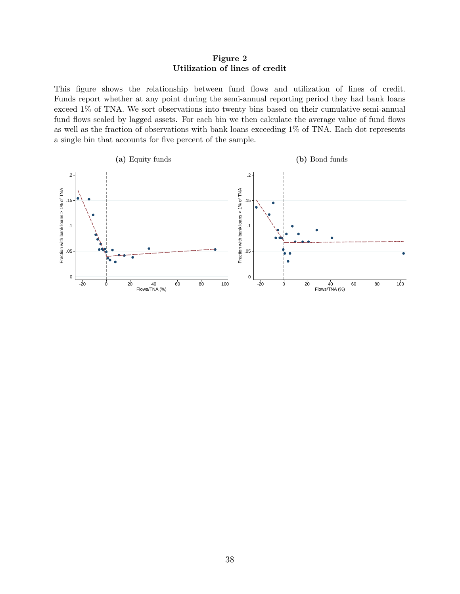# Figure 2 Utilization of lines of credit

This figure shows the relationship between fund flows and utilization of lines of credit. Funds report whether at any point during the semi-annual reporting period they had bank loans exceed 1% of TNA. We sort observations into twenty bins based on their cumulative semi-annual fund flows scaled by lagged assets. For each bin we then calculate the average value of fund flows as well as the fraction of observations with bank loans exceeding 1% of TNA. Each dot represents a single bin that accounts for five percent of the sample.

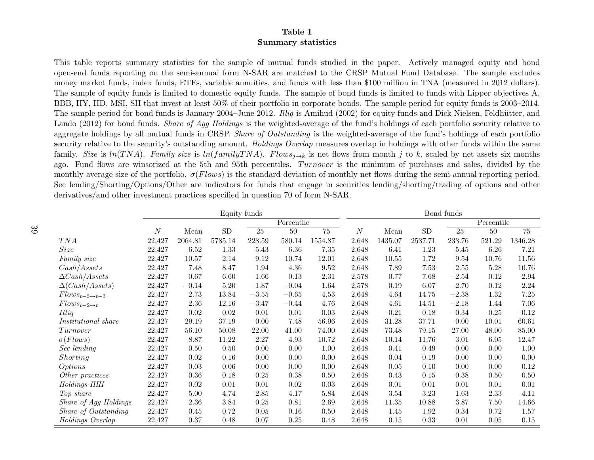# Table 1Summary statistics

This table reports summary statistics for the sample of mutual funds studied in the paper. Actively managed equity and bond open-end funds reporting on the semi-annual form N-SAR are matched to the CRSP Mutual Fund Database. The sample excludes money market funds, index funds, ETFs, variable annuities, and funds with less than \$100 million in TNA (measured in <sup>2012</sup> dollars). The sample of equity funds is limited to domestic equity funds. The sample of bond funds is limited to funds with Lipper objectives A, BBB, HY, IID, MSI, SII that invest at least 50% of their portfolio in corporate bonds. The sample period for equity funds is 2003–2014. The sample period for bond funds is January 2004–June 2012. *Illiq* is Amihud (2002) for equity funds and Dick-Nielsen, Feldhütter, and Lando (2012) for bond funds. *Share of Agg Holdings* is the weighted-average of the fund's holdings of each portfolio security relative to aggregate holdings by all mutual funds in CRSP. *Share of Outstanding* is the weighted-average of the fund's holdings of each portfolio security relative to the security's outstanding amount. *Holdings Overlap* measures overlap in holdings with other funds within the same family. Size is ln(TNA). Family size is ln(family TNA). Flows<sub>i-bk</sub> is net flows from month j to k, scaled by net assets six months ago. Fund flows are winsorized at the 5th and 95th percentiles. *Turnover* is the minimum of purchases and sales, divided by the monthly average size of the portfolio.  $\sigma$ (*Flows*) is the standard deviation of monthly net flows during the semi-annual reporting period. Sec lending/Shorting/Options/Other are indicators for funds that engage in securities lending/shorting/trading of options and other derivatives/and other investment practices specified in question <sup>70</sup> of form N-SAR.

|                              |                  |          |          | Equity funds |            |          |          |         |            | Bond funds      |            |          |
|------------------------------|------------------|----------|----------|--------------|------------|----------|----------|---------|------------|-----------------|------------|----------|
|                              |                  |          |          |              | Percentile |          |          |         |            |                 | Percentile |          |
|                              | $\boldsymbol{N}$ | Mean     | SD       | 25           | 50         | 75       | $\cal N$ | Mean    | ${\rm SD}$ | $\overline{25}$ | 50         | 75       |
| TNA                          | 22,427           | 2064.81  | 5785.14  | 228.59       | 580.14     | 1554.87  | 2,648    | 1435.07 | 2537.71    | 233.76          | 521.29     | 1346.28  |
| <i>Size</i>                  | 22,427           | 6.52     | 1.33     | $5.43\,$     | $6.36\,$   | $7.35\,$ | 2,648    | 6.41    | 1.23       | 5.45            | 6.26       | 7.21     |
| Family size                  | 22,427           | 10.57    | 2.14     | $9.12\,$     | 10.74      | 12.01    | 2,648    | 10.55   | 1.72       | 9.54            | 10.76      | 11.56    |
| Cash/Assets                  | 22,427           | 7.48     | 8.47     | 1.94         | 4.36       | 9.52     | 2,648    | 7.89    | 7.53       | 2.55            | 5.28       | 10.76    |
| $\Delta Cash/Assets$         | 22,427           | 0.67     | 6.60     | $-1.66$      | 0.13       | 2.31     | 2,578    | 0.77    | 7.68       | $-2.54$         | 0.12       | 2.94     |
| $\Delta(Cash/Assets)$        | 22,427           | $-0.14$  | $5.20\,$ | $-1.87$      | $-0.04$    | 1.64     | 2,578    | $-0.19$ | 6.07       | $-2.70$         | $-0.12$    | 2.24     |
| $Flows_{t-5\rightarrow t-3}$ | 22,427           | 2.73     | 13.84    | $-3.55\,$    | $-0.65$    | 4.53     | 2,648    | 4.64    | 14.75      | $-2.38$         | 1.32       | 7.25     |
| $Flows_{t-2\rightarrow t}$   | 22,427           | 2.36     | 12.16    | $-3.47$      | $-0.44$    | 4.76     | 2,648    | 4.61    | 14.51      | $-2.18$         | 1.44       | 7.06     |
| Illiq                        | 22,427           | 0.02     | 0.02     | 0.01         | 0.01       | 0.03     | 2,648    | $-0.21$ | 0.18       | $-0.34$         | $-0.25$    | $-0.12$  |
| <i>Institutional share</i>   | 22,427           | 29.19    | 37.19    | 0.00         | 7.48       | 56.96    | 2,648    | 31.28   | 37.71      | 0.00            | 10.01      | 60.61    |
| Turnover                     | 22,427           | 56.10    | 50.08    | 22.00        | 41.00      | 74.00    | 2,648    | 73.48   | 79.15      | 27.00           | 48.00      | 85.00    |
| $\sigma$ (Flows)             | 22,427           | 8.87     | 11.22    | 2.27         | 4.93       | 10.72    | 2,648    | 10.14   | 11.76      | 3.01            | 6.05       | 12.47    |
| Sec lending                  | 22,427           | 0.50     | 0.50     | 0.00         | 0.00       | 1.00     | 2,648    | 0.41    | 0.49       | 0.00            | 0.00       | 1.00     |
| Shorting                     | 22,427           | $0.02\,$ | 0.16     | 0.00         | 0.00       | 0.00     | 2,648    | 0.04    | 0.19       | 0.00            | 0.00       | $0.00\,$ |
| <i>Options</i>               | 22,427           | 0.03     | 0.06     | 0.00         | 0.00       | 0.00     | 2,648    | 0.05    | 0.10       | 0.00            | 0.00       | 0.12     |
| Other practices              | 22,427           | 0.36     | 0.18     | 0.25         | 0.38       | 0.50     | 2,648    | 0.43    | $0.15\,$   | 0.38            | 0.50       | 0.50     |
| Holdings HHI                 | 22,427           | 0.02     | 0.01     | 0.01         | 0.02       | 0.03     | 2,648    | 0.01    | 0.01       | 0.01            | 0.01       | 0.01     |
| Top share                    | 22,427           | 5.00     | 4.74     | 2.85         | 4.17       | 5.84     | 2,648    | 3.54    | 3.23       | 1.63            | 2.33       | 4.11     |
| Share of Agg Holdings        | 22,427           | 2.36     | 3.84     | 0.25         | 0.81       | 2.69     | 2,648    | 11.35   | 10.88      | 3.87            | 7.50       | 14.66    |
| Share of Outstanding         | 22,427           | 0.45     | 0.72     | 0.05         | 0.16       | 0.50     | 2,648    | 1.45    | 1.92       | 0.34            | 0.72       | 1.57     |
| Holdings Overlap             | 22,427           | 0.37     | 0.48     | 0.07         | 0.25       | 0.48     | 2,648    | 0.15    | 0.33       | 0.01            | 0.05       | 0.15     |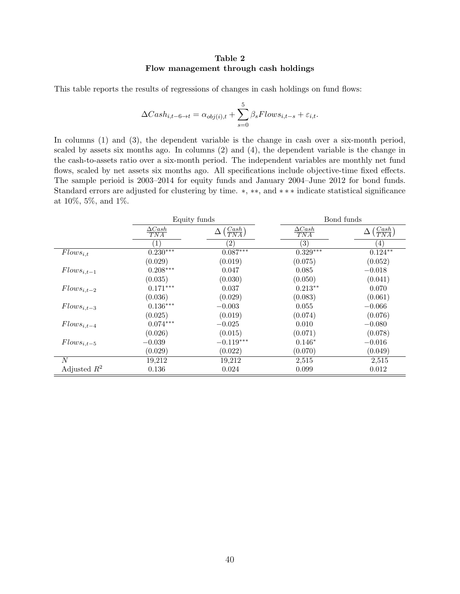# Table 2 Flow management through cash holdings

This table reports the results of regressions of changes in cash holdings on fund flows:

$$
\Delta Cash_{i,t-6 \to t} = \alpha_{obj(i),t} + \sum_{s=0}^{5} \beta_s Flows_{i,t-s} + \varepsilon_{i,t}.
$$

In columns (1) and (3), the dependent variable is the change in cash over a six-month period, scaled by assets six months ago. In columns (2) and (4), the dependent variable is the change in the cash-to-assets ratio over a six-month period. The independent variables are monthly net fund flows, scaled by net assets six months ago. All specifications include objective-time fixed effects. The sample perioid is 2003–2014 for equity funds and January 2004–June 2012 for bond funds. Standard errors are adjusted for clustering by time.  $*, **$ , and  $***$  indicate statistical significance at 10%, 5%, and 1%.

|                  | Equity funds         |                                      |                      | Bond funds                |
|------------------|----------------------|--------------------------------------|----------------------|---------------------------|
|                  | $\Delta Cash$<br>TNA | $\left(\frac{Cash}{TNA}\right)$<br>Δ | $\Delta Cash$<br>TNA | $(\frac{Cash}{TNA})$<br>Δ |
|                  | $\left  \right $     | $\left( 2\right)$                    | $\left( 3\right)$    | $\left(4\right)$          |
| $Flows_{i,t}$    | $0.230***$           | $0.087***$                           | $0.329***$           | $0.124**$                 |
|                  | (0.029)              | (0.019)                              | (0.075)              | (0.052)                   |
| $Flows_{i,t-1}$  | $0.208***$           | 0.047                                | 0.085                | $-0.018$                  |
|                  | (0.035)              | (0.030)                              | (0.050)              | (0.041)                   |
| $Flows_{i,t-2}$  | $0.171***$           | 0.037                                | $0.213**$            | 0.070                     |
|                  | (0.036)              | (0.029)                              | (0.083)              | (0.061)                   |
| $Flows_{i,t-3}$  | $0.136^{***}\,$      | $-0.003$                             | 0.055                | $-0.066$                  |
|                  | (0.025)              | (0.019)                              | (0.074)              | (0.076)                   |
| $Flows_{i,t-4}$  | $0.074***$           | $-0.025$                             | 0.010                | $-0.080$                  |
|                  | (0.026)              | (0.015)                              | (0.071)              | (0.078)                   |
| $Flows_{i,t-5}$  | $-0.039$             | $-0.119***$                          | $0.146*$             | $-0.016$                  |
|                  | (0.029)              | (0.022)                              | (0.070)              | (0.049)                   |
| $\boldsymbol{N}$ | 19,212               | 19,212                               | 2,515                | 2,515                     |
| Adjusted $R^2$   | 0.136                | 0.024                                | 0.099                | 0.012                     |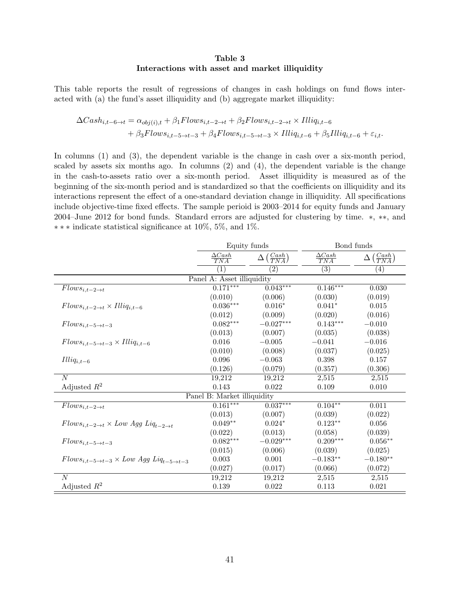# Table 3 Interactions with asset and market illiquidity

This table reports the result of regressions of changes in cash holdings on fund flows interacted with (a) the fund's asset illiquidity and (b) aggregate market illiquidity:

$$
\Delta Cash_{i,t-6 \to t} = \alpha_{obj(i),t} + \beta_1 Flows_{i,t-2 \to t} + \beta_2 Flows_{i,t-2 \to t} \times Illiq_{i,t-6}
$$
  
+ 
$$
\beta_3 Flows_{i,t-5 \to t-3} + \beta_4 Flows_{i,t-5 \to t-3} \times Illiq_{i,t-6} + \beta_5 Illiq_{i,t-6} + \varepsilon_{i,t}.
$$

In columns (1) and (3), the dependent variable is the change in cash over a six-month period, scaled by assets six months ago. In columns  $(2)$  and  $(4)$ , the dependent variable is the change in the cash-to-assets ratio over a six-month period. Asset illiquidity is measured as of the beginning of the six-month period and is standardized so that the coefficients on illiquidity and its interactions represent the effect of a one-standard deviation change in illiquidity. All specifications include objective-time fixed effects. The sample perioid is 2003–2014 for equity funds and January 2004–June 2012 for bond funds. Standard errors are adjusted for clustering by time.  $*, **$ , and  $***$  indicate statistical significance at 10%, 5%, and 1%.

|                                                                        | Equity funds                |                                       | Bond funds                |                                       |
|------------------------------------------------------------------------|-----------------------------|---------------------------------------|---------------------------|---------------------------------------|
|                                                                        | $\frac{\Delta Cash}{TNA}$   | $\Delta\left(\frac{Cash}{TNA}\right)$ | $\frac{\Delta Cash}{TNA}$ | $\Delta\left(\frac{Cash}{TNA}\right)$ |
|                                                                        | $\left( 1\right)$           | $\left( 2\right)$                     | (3)                       | $\left( 4\right)$                     |
|                                                                        | Panel A: Asset illiquidity  |                                       |                           |                                       |
| $Flows_{i,t-2\rightarrow t}$                                           | $0.171***$                  | $0.043***$                            | $0.146***$                | 0.030                                 |
|                                                                        | (0.010)                     | (0.006)                               | (0.030)                   | (0.019)                               |
| $Flows_{i,t-2\rightarrow t} \times Illiq_{i,t-6}$                      | $0.036^{\ast\ast\ast}$      | $0.016*$                              | $0.041*$                  | 0.015                                 |
|                                                                        | (0.012)                     | (0.009)                               | (0.020)                   | (0.016)                               |
| $Flows_{i,t-5\rightarrow t-3}$                                         | $0.082***$                  | $-0.027\mbox{***}$                    | $0.143***$                | $-0.010$                              |
|                                                                        | (0.013)                     | (0.007)                               | (0.035)                   | (0.038)                               |
| $Flows_{i,t-5\rightarrow t-3} \times Illiq_{i,t-6}$                    | 0.016                       | $-0.005$                              | $-0.041$                  | $-0.016$                              |
|                                                                        | (0.010)                     | (0.008)                               | (0.037)                   | (0.025)                               |
| $Illiq_{i,t-6}$                                                        | 0.096                       | $-0.063$                              | $0.398\,$                 | 0.157                                 |
|                                                                        | (0.126)                     | (0.079)                               | (0.357)                   | (0.306)                               |
| $\overline{N}$                                                         | 19,212                      | 19,212                                | 2,515                     | 2,515                                 |
| Adjusted $R^2$                                                         | 0.143                       | $0.022\,$                             | 0.109                     | 0.010                                 |
|                                                                        | Panel B: Market illiquidity |                                       |                           |                                       |
| $Flows_{i,t-2\rightarrow t}$                                           | $0.161***$                  | $0.037***$                            | $0.104**$                 | 0.011                                 |
|                                                                        | (0.013)                     | (0.007)                               | (0.039)                   | (0.022)                               |
| $Flows_{i,t-2\rightarrow t} \times Low \ Agg \ Liq_{t-2\rightarrow t}$ | $0.049**$                   | $0.024*$                              | $0.123**$                 | 0.056                                 |
|                                                                        | (0.022)                     | (0.013)                               | (0.058)                   | (0.039)                               |
| $Flows_{i,t-5\rightarrow t-3}$                                         | $0.082***$                  | $-0.029***$                           | $0.209***$                | $0.056**$                             |
|                                                                        | (0.015)                     | (0.006)                               | (0.039)                   | (0.025)                               |
| $Flows_{i,t-5\rightarrow t-3} \times Low Agg~Liq_{t-5\rightarrow t-3}$ | $0.003\,$                   | $0.001\,$                             | $-0.183**$                | $-0.180**$                            |
|                                                                        | (0.027)                     | (0.017)                               | (0.066)                   | (0.072)                               |
| $\boldsymbol{N}$                                                       | 19,212                      | 19,212                                | 2,515                     | 2,515                                 |
| Adjusted $R^2$                                                         | $0.139\,$                   | $0.022\,$                             | 0.113                     | 0.021                                 |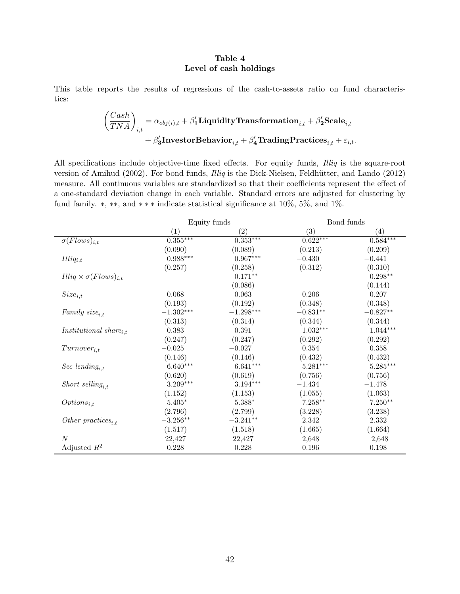# Table 4 Level of cash holdings

<span id="page-43-0"></span>This table reports the results of regressions of the cash-to-assets ratio on fund characteristics:

$$
\begin{aligned} \left(\frac{Cash}{TNA}\right)_{i,t} = \alpha_{obj(i),t} + \beta'_1 \textbf{Liquidity Transformation}_{i,t} + \beta'_2 \textbf{Scale}_{i,t} \\ + \beta'_3 \textbf{InvestorBehavior}_{i,t} + \beta'_4 \textbf{TradingPractices}_{i,t} + \varepsilon_{i,t}. \end{aligned}
$$

All specifications include objective-time fixed effects. For equity funds, *Illiq* is the square-root version of Amihud (2002). For bond funds, *Illiq* is the Dick-Nielsen, Feldhütter, and Lando (2012) measure. All continuous variables are standardized so that their coefficients represent the effect of a one-standard deviation change in each variable. Standard errors are adjusted for clustering by fund family.  $*, **$ , and  $***$  indicate statistical significance at 10%, 5%, and 1%.

|                                           | Equity funds           |                          |                   | Bond funds        |
|-------------------------------------------|------------------------|--------------------------|-------------------|-------------------|
|                                           | $\left( 1\right)$      | $\left( 2\right)$        | $\left( 3\right)$ | $\left( 4\right)$ |
| $\sigma(Flows)_{i,t}$                     | $0.355***$             | $0.\overline{353^{***}}$ | $0.622***$        | $0.584***$        |
|                                           | (0.090)                | (0.089)                  | (0.213)           | (0.209)           |
| $Illiq_{i,t}$                             | $0.988^{\ast\ast\ast}$ | $0.967***$               | $-0.430$          | $-0.441$          |
|                                           | (0.257)                | (0.258)                  | (0.312)           | (0.310)           |
| $Illiq \times \sigma(Flows)_{i,t}$        |                        | $0.171**$                |                   | $0.298**$         |
|                                           |                        | (0.086)                  |                   | (0.144)           |
| $Size_{i,t}$                              | 0.068                  | 0.063                    | 0.206             | 0.207             |
|                                           | (0.193)                | (0.192)                  | (0.348)           | (0.348)           |
| Family $size_{i.t}$                       | $-1.302***$            | $-1.298***$              | $-0.831**$        | $-0.827**$        |
|                                           | (0.313)                | (0.314)                  | (0.344)           | (0.344)           |
| <i>Institutional</i> share <sub>i.t</sub> | 0.383                  | $\,0.391\,$              | $1.032***$        | $1.044***$        |
|                                           | (0.247)                | (0.247)                  | (0.292)           | (0.292)           |
| $Turnover_{i,t}$                          | $-0.025\,$             | $-0.027$                 | $0.354\,$         | 0.358             |
|                                           | (0.146)                | (0.146)                  | (0.432)           | (0.432)           |
| Sec lending <sub>i.t</sub>                | $6.640***$             | $6.641***$               | $5.281***$        | $5.285***$        |
|                                           | (0.620)                | (0.619)                  | (0.756)           | (0.756)           |
| Short selling <sub>it</sub>               | $3.209***$             | $3.194***$               | $-1.434$          | $-1.478$          |
|                                           | (1.152)                | (1.153)                  | (1.055)           | (1.063)           |
| $Options_{i,t}$                           | $5.405*$               | $5.388*$                 | $7.258**$         | $7.250**$         |
|                                           | (2.796)                | (2.799)                  | (3.228)           | (3.238)           |
| Other practices <sub>i.t</sub>            | $-3.256**$             | $-3.241**$               | 2.342             | 2.332             |
|                                           | (1.517)                | (1.518)                  | (1.665)           | (1.664)           |
| $\overline{N}$                            | 22,427                 | 22,427                   | 2,648             | 2,648             |
| Adjusted $R^2$                            | 0.228                  | 0.228                    | 0.196             | 0.198             |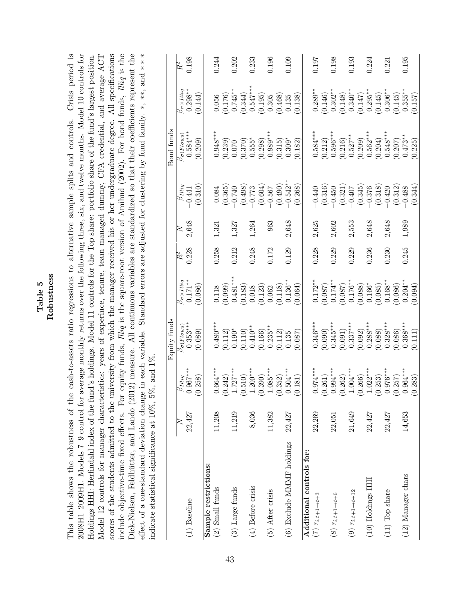|                          | w<br>n |
|--------------------------|--------|
| מו                       |        |
|                          |        |
|                          |        |
|                          |        |
| $\overline{\phantom{0}}$ |        |
|                          |        |

scores of the students admitted to the university from which the manager received his or her undergraduate degree. All specifications include objective-time fixed effects. For equity funds, *Illiq* is the square-root version of Amihud (2002). For bond funds, *Illiq* is the Dick-Nielsen, Feldhütter, and Lando (2012) measure. All continuous variables are standardized so that their coefficients represent the effect of a one-standard deviation change in each variable. Standard errors are adjusted for clustering by fund family. \*, \*\*, and \*\*\* This table shows the robustness of the cash-to-assets ratio regressions to alternative sample splits and controls. Crisis period is 2008H1-2009H1. Models 7-9 control for average monthly returns over the following three, six, and twelve months. Model 10 controls for Holdings HHI: Herfindahl index of the fund's holdings. Model 11 controls for the Top share: portfolio share of the fund's largest position. This table shows the robustness of the cash-to-assets ratio regressions to alternative sample splits and controls. Crisis period is 2008H1–2009H1. Models 7–9 control for average monthly returns over the following three, six, and twelve months. Model 10 controls for Holdings HHI: Herfindahl index of the fund's holdings. Model 11 controls for the Top share: portfolio share of the fund's largest position. Model 12 controls for manager characteristics: years of experince, tenure, team managed dummy, CFA credential, and average ACT Model 12 controls for manager characteristics: years of experince, tenure, team managed dummy, CFA credential, and average ACT scores of the students admitted to the university from which the manager received his or her undergraduate degree. All specifications include objective-time fixed effects. For equity funds, *Illiq* is the square-root version of Amihud (2002). For bond funds, *Illiq* is the Dick-Nielsen, Feldhütter, and Lando (2012) measure. All continuous variables are standardized so that their coefficients represent the effect of a one-standard deviation change in each variable. Standard errors are adjusted for clustering by fund family. \*, \*\*, and \*\* indicate statistical significance at  $10\%$ ,  $5\%$ , and  $1\%$ . indicate statistical significance at 10%, 5%, and 1%.

|                            |        |                           | Equity funds                                                                                                    |                                                                                                                            |       |       |                                                                       | Bond funds                                                                                                                                                                     |                                                                                                    |                      |
|----------------------------|--------|---------------------------|-----------------------------------------------------------------------------------------------------------------|----------------------------------------------------------------------------------------------------------------------------|-------|-------|-----------------------------------------------------------------------|--------------------------------------------------------------------------------------------------------------------------------------------------------------------------------|----------------------------------------------------------------------------------------------------|----------------------|
|                            | $\geq$ | $\beta_{Illiq}$           | $\beta_{\sigma(\underline{Flows})}$                                                                             | $\beta_{\sigma \times IIIig}$                                                                                              | $R^2$ | ≿     | $\beta_{Iliq}$                                                        | $\beta_{\sigma(\underline{Flows})}$                                                                                                                                            | $\beta_{\sigma\times I}$ lliq                                                                      | $\overline{R}{}^{2}$ |
| $(1)$ Baseline             | 22,427 | $.967***$<br>ö            | $0.35\overline{3***}$                                                                                           | $0.171**$                                                                                                                  | 0.228 | 2,648 | $-0.441$                                                              | $0.584***$                                                                                                                                                                     | $0.298*$                                                                                           | 0.198                |
|                            |        | 258)<br>S                 | (0.089)                                                                                                         | (0.086)                                                                                                                    |       |       | (0.310)                                                               | (0.209)                                                                                                                                                                        | (0.144)                                                                                            |                      |
| Sample restrictions:       |        |                           |                                                                                                                 |                                                                                                                            |       |       |                                                                       |                                                                                                                                                                                |                                                                                                    |                      |
| $(2)$ Small funds          | 11,208 | $.664***$                 | $0.480***$                                                                                                      |                                                                                                                            | 0.258 | 1,321 | 0.084                                                                 | $0.948***$                                                                                                                                                                     | 0.056                                                                                              | 0.244                |
|                            |        | .242)                     |                                                                                                                 | $(0.118)$<br>$(0.099)$                                                                                                     |       |       | (0.365)                                                               | (0.239)                                                                                                                                                                        |                                                                                                    |                      |
| (3) Large funds            | 11,219 | $727***$                  |                                                                                                                 |                                                                                                                            | 0.212 | 1,327 | $-0.740$                                                              |                                                                                                                                                                                |                                                                                                    | 0.202                |
|                            |        | 510)<br><u>غ</u> -        | $\begin{array}{c} (0.112)\\0.190^{*}\\0.110)\\0.410^{**}\\0.45^{**}\\0.000\\0.235^{**}\\0.235^{**} \end{array}$ |                                                                                                                            |       |       | (0.498)                                                               |                                                                                                                                                                                |                                                                                                    |                      |
| $(4)$ Before crisis        | 8,036  | $.200***$                 |                                                                                                                 |                                                                                                                            | 0.248 | 1,264 | $-0.773$<br>$(0.604)$<br>$-0.567$                                     |                                                                                                                                                                                |                                                                                                    | 0.233                |
|                            |        | 390)<br>S                 |                                                                                                                 |                                                                                                                            |       |       |                                                                       |                                                                                                                                                                                |                                                                                                    |                      |
| (5) After crisis           | 11,382 | $.085***$                 |                                                                                                                 | $\begin{array}{c} 0.481^{**} \\ (0.183) \\ 0.018 \\ (0.123) \\ (0.123) \\ (0.062 \\ (0.118) \\ (0.136^{**} \\ \end{array}$ | 0.172 | 963   |                                                                       | $\begin{array}{c} 0.070 \\ (0.370) \\ 0.555^* \\ (0.298) \\ 0.989^{***} \end{array}$                                                                                           | $\begin{array}{c} (0.176)\\0.745^{**}\\0.344)\\0.547^{***}\\0.547^{***}\\0.195)\\0.905\end{array}$ | 0.196                |
|                            |        | 352)<br>S                 | $\begin{array}{c} (0.112) \\ 0.135 \end{array}$                                                                 |                                                                                                                            |       |       | (0.490)                                                               | (0.315)                                                                                                                                                                        | $(0.468)$<br>$0.135$                                                                               |                      |
| (6) Exclude MMMF holdings  | 22,427 | $504***$<br>$\dot{\circ}$ |                                                                                                                 |                                                                                                                            | 0.129 | 2,648 | $-0.542**$                                                            | $0.309*$                                                                                                                                                                       |                                                                                                    | 0.109                |
|                            |        | 181)<br>S                 | (0.087)                                                                                                         | (0.064)                                                                                                                    |       |       | (0.268)                                                               | (0.182)                                                                                                                                                                        | (0.138)                                                                                            |                      |
| Additional controls for:   |        |                           |                                                                                                                 |                                                                                                                            |       |       |                                                                       |                                                                                                                                                                                |                                                                                                    |                      |
| $(7)$ $r_{i,t+1 \to t+3}$  | 22,269 | $974***$<br>Ċ             | $0.346***$                                                                                                      | $0.172**$                                                                                                                  | 0.228 | 2,625 | $-0.440$                                                              | $0.584***$                                                                                                                                                                     | $0.289***$                                                                                         | 197                  |
|                            |        | .261)<br>S 0.             | $(0.090)$<br>0.345***                                                                                           | $(0.087)$<br>0.174**                                                                                                       |       |       | $\begin{array}{c} (0.316) \\ -0.450 \\ (0.321) \\ -0.407 \end{array}$ |                                                                                                                                                                                | (0.146)                                                                                            |                      |
| (8) $r_{i,t+1 \to t+6}$    | 22,051 | $.994***$                 |                                                                                                                 |                                                                                                                            | 0.229 | 2,602 |                                                                       |                                                                                                                                                                                |                                                                                                    | 0.198                |
|                            |        | .262)<br>⊙ ⊣              |                                                                                                                 |                                                                                                                            |       |       |                                                                       |                                                                                                                                                                                |                                                                                                    |                      |
| $(9)$ $r_{i,t+1 \to t+12}$ | 21,649 | $.004***$                 | $(0.091)$<br>0.337***                                                                                           | $\begin{array}{c} (0.087) \ 0.176** \ 0.088) \end{array}$                                                                  | 0.229 | 2,553 |                                                                       |                                                                                                                                                                                | $\overset{\ast}{0.302}{}_{0.148}^{**}$<br>(0.148)<br>0.340**                                       | 0.193                |
|                            |        | .266)<br>_ خ              | (0.092)                                                                                                         |                                                                                                                            |       |       | (0.345)                                                               |                                                                                                                                                                                |                                                                                                    |                      |
| (10) Holdings HH           | 22,427 | $.022***$                 | $0.288***$                                                                                                      |                                                                                                                            | 0.236 | 2,648 | $-0.376$                                                              |                                                                                                                                                                                |                                                                                                    | 0.224                |
|                            |        | 253)<br>o o               | $(0.088)$<br>0.328***                                                                                           | $(0.166^{*}$<br>(0.085)                                                                                                    |       |       | $(0.318)$<br>-0.420                                                   | $\begin{array}{l} (0.212)\\ 0.596^{***}\\ 0.646^{***}\\ (0.216)\\ 0.527^{**}\\ (0.209)\\ 0.562^{***}\\ (0.204)\\ (0.204)\\ (0.562^{***}\\ (0.207)\\ (0.173^{**}\\ \end{array}$ | $(0.147)$<br>$0.295**$<br>$(0.145)$                                                                |                      |
| $(11)$ Top share           | 22,427 | $.976***$                 |                                                                                                                 | $0.168***$                                                                                                                 | 0.230 | 2,648 |                                                                       |                                                                                                                                                                                | $0.306**$                                                                                          | 0.221                |
|                            |        | 257)<br>S 9               | $(0.086)$<br>0.368***                                                                                           | $(0.086)$<br>0.204**                                                                                                       |       |       | $(0.312)$<br>-0.488                                                   |                                                                                                                                                                                | $(0.145)$<br>0.355**                                                                               |                      |
| (12) Manager chars         | 14,653 | $.964***$                 |                                                                                                                 |                                                                                                                            | 0.245 | 1,989 |                                                                       |                                                                                                                                                                                |                                                                                                    | 0.195                |
|                            |        | 283<br>S                  | (0.111)                                                                                                         | (0.094)                                                                                                                    |       |       | (0.344)                                                               | (0.225)                                                                                                                                                                        | (0.157)                                                                                            |                      |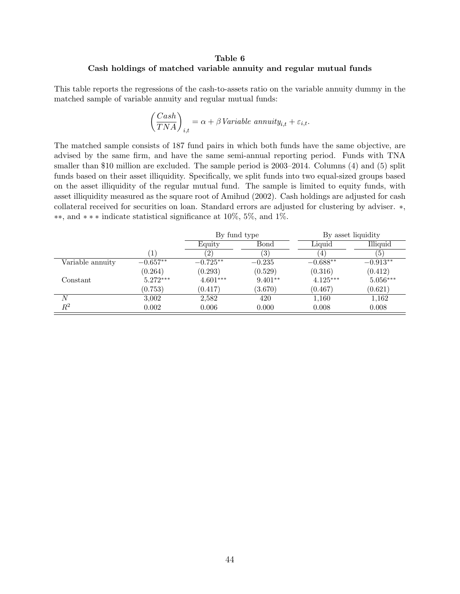# Table 6 Cash holdings of matched variable annuity and regular mutual funds

This table reports the regressions of the cash-to-assets ratio on the variable annuity dummy in the matched sample of variable annuity and regular mutual funds:

$$
\left(\frac{Cash}{TNA}\right)_{i,t} = \alpha + \beta \text{Variable annuity}_{i,t} + \varepsilon_{i,t}.
$$

The matched sample consists of 187 fund pairs in which both funds have the same objective, are advised by the same firm, and have the same semi-annual reporting period. Funds with TNA smaller than \$10 million are excluded. The sample period is 2003–2014. Columns (4) and (5) split funds based on their asset illiquidity. Specifically, we split funds into two equal-sized groups based on the asset illiquidity of the regular mutual fund. The sample is limited to equity funds, with asset illiquidity measured as the square root of Amihud (2002). Cash holdings are adjusted for cash collateral received for securities on loan. Standard errors are adjusted for clustering by adviser. \*, **\*\***, and  $**\ast$  indicate statistical significance at 10%, 5%, and 1%.

|                  |            | By fund type |           |            | By asset liquidity |
|------------------|------------|--------------|-----------|------------|--------------------|
|                  |            | Equity       | Bond      | Liquid     | Illiquid           |
|                  |            |              | (3)       | 4.         | (5)                |
| Variable annuity | $-0.657**$ | $-0.725**$   | $-0.235$  | $-0.688**$ | $-0.913**$         |
|                  | (0.264)    | (0.293)      | (0.529)   | (0.316)    | (0.412)            |
| Constant         | $5.272***$ | $4.601***$   | $9.401**$ | $4.125***$ | $5.056***$         |
|                  | (0.753)    | (0.417)      | (3.670)   | (0.467)    | (0.621)            |
| N                | 3,002      | 2,582        | 420       | 1,160      | 1,162              |
| $\mathbb{R}^2$   | 0.002      | 0.006        | 0.000     | 0.008      | 0.008              |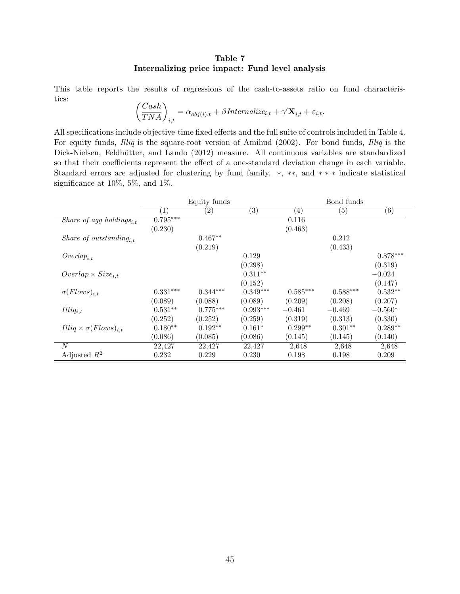# Table 7 Internalizing price impact: Fund level analysis

This table reports the results of regressions of the cash-to-assets ratio on fund characteristics:  $\sqrt{a}$ <sup>1</sup>

$$
\left(\frac{Cash}{TNA}\right)_{i,t} = \alpha_{obj(i),t} + \beta Internalize_{i,t} + \gamma' \mathbf{X}_{i,t} + \varepsilon_{i,t}.
$$

All specifications include objective-time fixed effects and the full suite of controls included in Table [4.](#page-43-0) For equity funds, *Illiq* is the square-root version of Amihud (2002). For bond funds, *Illiq* is the Dick-Nielsen, Feldhütter, and Lando (2012) measure. All continuous variables are standardized so that their coefficients represent the effect of a one-standard deviation change in each variable. Standard errors are adjusted for clustering by fund family.  $*, **$ , and  $***$  indicate statistical significance at 10%, 5%, and 1%.

|                                      |                  | Equity funds      |                   |                   | Bond funds        |                   |
|--------------------------------------|------------------|-------------------|-------------------|-------------------|-------------------|-------------------|
|                                      | $\left(1\right)$ | $\left( 2\right)$ | $\left( 3\right)$ | $\left( 4\right)$ | $\left( 5\right)$ | $\left( 6\right)$ |
| Share of agg holdings <sub>i,t</sub> | $0.795***$       |                   |                   | 0.116             |                   |                   |
|                                      | (0.230)          |                   |                   | (0.463)           |                   |                   |
| Share of outstanding <sub>it</sub>   |                  | $0.467**$         |                   |                   | 0.212             |                   |
|                                      |                  | (0.219)           |                   |                   | (0.433)           |                   |
| $Overlap_{i,t}$                      |                  |                   | 0.129             |                   |                   | $0.878***$        |
|                                      |                  |                   | (0.298)           |                   |                   | (0.319)           |
| $Overlap \times Size_{i,t}$          |                  |                   | $0.311**$         |                   |                   | $-0.024$          |
|                                      |                  |                   | (0.152)           |                   |                   | (0.147)           |
| $\sigma(Flows)_{i,t}$                | $0.331***$       | $0.344^{***}\,$   | $0.349***$        | $0.585***$        | $0.588***$        | $0.532**$         |
|                                      | (0.089)          | (0.088)           | (0.089)           | (0.209)           | (0.208)           | (0.207)           |
| $Illiq_{i,t}$                        | $0.531**$        | $0.775***$        | $0.993***$        | $-0.461$          | $-0.469$          | $-0.560*$         |
|                                      | (0.252)          | (0.252)           | (0.259)           | (0.319)           | (0.313)           | (0.330)           |
| $Illiq \times \sigma(Flows)_{i,t}$   | $0.180**$        | $0.192**$         | $0.161*$          | $0.299**$         | $0.301**$         | $0.289**$         |
|                                      | (0.086)          | (0.085)           | (0.086)           | (0.145)           | (0.145)           | (0.140)           |
| N                                    | 22,427           | 22,427            | 22,427            | 2,648             | 2,648             | 2,648             |
| Adjusted $R^2$                       | 0.232            | 0.229             | 0.230             | 0.198             | 0.198             | 0.209             |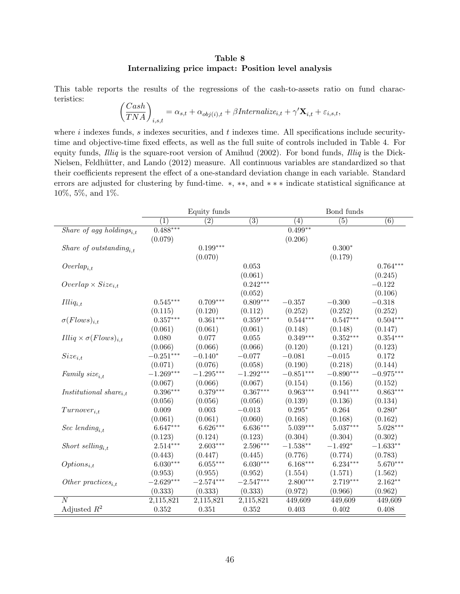# Table 8 Internalizing price impact: Position level analysis

This table reports the results of the regressions of the cash-to-assets ratio on fund characteristics: ✓*Cash*

$$
\left(\frac{Cash}{TNA}\right)_{i,s,t} = \alpha_{s,t} + \alpha_{obj(i),t} + \beta Internalize_{i,t} + \gamma' \mathbf{X}_{i,t} + \varepsilon_{i,s,t},
$$

where *i* indexes funds, *s* indexes securities, and *t* indexes time. All specifications include security-time and objective-time fixed effects, as well as the full suite of controls included in Table [4.](#page-43-0) For equity funds, *Illiq* is the square-root version of Amihud (2002). For bond funds, *Illiq* is the Dick-Nielsen, Feldhütter, and Lando (2012) measure. All continuous variables are standardized so that their coefficients represent the effect of a one-standard deviation change in each variable. Standard errors are adjusted for clustering by fund-time.  $*, **$ , and  $***$  indicate statistical significance at 10%, 5%, and 1%.

| $\overline{(3)}$<br>$\overline{(5)}$<br>$\overline{(6)}$<br>$\overline{(1)}$<br>$\overline{(2)}$<br>$\overline{(4)}$<br>$0.488***$<br>$0.499**$<br>Share of agg holdings <sub>i.t</sub><br>(0.079)<br>(0.206)<br>$0.199***$<br>$0.300*$<br>Share of outstanding <sub>it</sub><br>(0.070)<br>(0.179)<br>$0.764***$<br>0.053<br>$\operatorname{Overlap}_{i,t}$<br>(0.061)<br>(0.245)<br>$0.242***$<br>$-0.122$<br>$Overlap \times Size_{i,t}$<br>(0.106)<br>(0.052)<br>$0.809***$<br>$-0.318$<br>$0.545***$<br>$0.709***$<br>$-0.357$<br>$-0.300$<br>$Illiq_{i,t}$<br>(0.252)<br>(0.252)<br>(0.120)<br>(0.112)<br>(0.252)<br>(0.115)<br>$0.359***$<br>$0.504***$<br>$0.357***$<br>$0.361***$<br>$0.544***$<br>$0.547***$<br>$\sigma(Flows)_{i,t}$<br>(0.061)<br>(0.148)<br>(0.147)<br>(0.061)<br>(0.061)<br>(0.148)<br>$0.349***$<br>$0.352***$<br>$0.354***$<br>0.080<br>0.077<br>$0.055\,$<br>(0.066)<br>(0.066)<br>(0.066)<br>(0.120)<br>(0.121)<br>(0.123)<br>$-0.251***$<br>$-0.081$<br>$-0.015$<br>0.172<br>$-0.140*$<br>$-0.077$<br>$Size_{i,t}$<br>(0.071)<br>(0.058)<br>(0.190)<br>(0.218)<br>(0.144)<br>(0.076)<br>$-1.269***$<br>$-1.295***$<br>$-1.292***$<br>$-0.851***$<br>$-0.890***$<br>$-0.975***$<br>Family $size_{i,t}$<br>(0.067)<br>(0.152)<br>(0.066)<br>(0.067)<br>(0.154)<br>(0.156)<br>$0.396***$<br>$0.379***$<br>$0.367***$<br>$0.963***$<br>$0.941***$<br>$0.863***$<br><i>Institutional</i> share $_{i,t}$<br>(0.056)<br>(0.056)<br>(0.134)<br>(0.056)<br>(0.139)<br>(0.136)<br>0.009<br>0.003<br>$-0.013$<br>$0.295*$<br>0.264<br>$0.280*$<br>$Turnover_{i,t}$<br>(0.061)<br>(0.060)<br>(0.168)<br>(0.168)<br>(0.162)<br>(0.061)<br>$6.647***$<br>$6.626***$<br>$6.636***$<br>$5.039***$<br>$5.037***$<br>$5.028***$<br>Sec lending <sub>i,t</sub><br>(0.123)<br>(0.124)<br>(0.123)<br>(0.304)<br>(0.304)<br>(0.302)<br>$2.603***$<br>2.596***<br>$-1.633**$<br>$2.514***$<br>$-1.538**$<br>$-1.492*$<br>Short selling <sub>i,t</sub><br>(0.443)<br>(0.776)<br>(0.783)<br>(0.447)<br>(0.445)<br>(0.774)<br>$6.030***$<br>$6.055***$<br>$6.030***$<br>$6.168***$<br>$6.234***$<br>$5.670***$<br>$Options_{i,t}$<br>(0.953)<br>(0.955)<br>(0.952)<br>(1.554)<br>(1.571)<br>(1.562)<br>$-2.629***$<br>$-2.547***$<br>$2.800***$<br>2.719***<br>$2.162**$<br>$-2.574***$<br>Other practices <sub>i,t</sub><br>(0.333)<br>(0.333)<br>(0.333)<br>(0.972)<br>(0.966)<br>(0.962)<br>$\overline{N}$<br>2,115,821<br>2,115,821<br>2,115,821<br>449,609<br>449,609<br>449,609 |                                    |       | Equity funds |       |       | Bond funds |       |
|------------------------------------------------------------------------------------------------------------------------------------------------------------------------------------------------------------------------------------------------------------------------------------------------------------------------------------------------------------------------------------------------------------------------------------------------------------------------------------------------------------------------------------------------------------------------------------------------------------------------------------------------------------------------------------------------------------------------------------------------------------------------------------------------------------------------------------------------------------------------------------------------------------------------------------------------------------------------------------------------------------------------------------------------------------------------------------------------------------------------------------------------------------------------------------------------------------------------------------------------------------------------------------------------------------------------------------------------------------------------------------------------------------------------------------------------------------------------------------------------------------------------------------------------------------------------------------------------------------------------------------------------------------------------------------------------------------------------------------------------------------------------------------------------------------------------------------------------------------------------------------------------------------------------------------------------------------------------------------------------------------------------------------------------------------------------------------------------------------------------------------------------------------------------------------------------------------------------------------------------------------------------------------------------------------------------------------------------------------------------------------------------------------------------------------------------------------------------------------------------|------------------------------------|-------|--------------|-------|-------|------------|-------|
|                                                                                                                                                                                                                                                                                                                                                                                                                                                                                                                                                                                                                                                                                                                                                                                                                                                                                                                                                                                                                                                                                                                                                                                                                                                                                                                                                                                                                                                                                                                                                                                                                                                                                                                                                                                                                                                                                                                                                                                                                                                                                                                                                                                                                                                                                                                                                                                                                                                                                                |                                    |       |              |       |       |            |       |
|                                                                                                                                                                                                                                                                                                                                                                                                                                                                                                                                                                                                                                                                                                                                                                                                                                                                                                                                                                                                                                                                                                                                                                                                                                                                                                                                                                                                                                                                                                                                                                                                                                                                                                                                                                                                                                                                                                                                                                                                                                                                                                                                                                                                                                                                                                                                                                                                                                                                                                |                                    |       |              |       |       |            |       |
|                                                                                                                                                                                                                                                                                                                                                                                                                                                                                                                                                                                                                                                                                                                                                                                                                                                                                                                                                                                                                                                                                                                                                                                                                                                                                                                                                                                                                                                                                                                                                                                                                                                                                                                                                                                                                                                                                                                                                                                                                                                                                                                                                                                                                                                                                                                                                                                                                                                                                                |                                    |       |              |       |       |            |       |
|                                                                                                                                                                                                                                                                                                                                                                                                                                                                                                                                                                                                                                                                                                                                                                                                                                                                                                                                                                                                                                                                                                                                                                                                                                                                                                                                                                                                                                                                                                                                                                                                                                                                                                                                                                                                                                                                                                                                                                                                                                                                                                                                                                                                                                                                                                                                                                                                                                                                                                |                                    |       |              |       |       |            |       |
|                                                                                                                                                                                                                                                                                                                                                                                                                                                                                                                                                                                                                                                                                                                                                                                                                                                                                                                                                                                                                                                                                                                                                                                                                                                                                                                                                                                                                                                                                                                                                                                                                                                                                                                                                                                                                                                                                                                                                                                                                                                                                                                                                                                                                                                                                                                                                                                                                                                                                                |                                    |       |              |       |       |            |       |
|                                                                                                                                                                                                                                                                                                                                                                                                                                                                                                                                                                                                                                                                                                                                                                                                                                                                                                                                                                                                                                                                                                                                                                                                                                                                                                                                                                                                                                                                                                                                                                                                                                                                                                                                                                                                                                                                                                                                                                                                                                                                                                                                                                                                                                                                                                                                                                                                                                                                                                |                                    |       |              |       |       |            |       |
|                                                                                                                                                                                                                                                                                                                                                                                                                                                                                                                                                                                                                                                                                                                                                                                                                                                                                                                                                                                                                                                                                                                                                                                                                                                                                                                                                                                                                                                                                                                                                                                                                                                                                                                                                                                                                                                                                                                                                                                                                                                                                                                                                                                                                                                                                                                                                                                                                                                                                                |                                    |       |              |       |       |            |       |
|                                                                                                                                                                                                                                                                                                                                                                                                                                                                                                                                                                                                                                                                                                                                                                                                                                                                                                                                                                                                                                                                                                                                                                                                                                                                                                                                                                                                                                                                                                                                                                                                                                                                                                                                                                                                                                                                                                                                                                                                                                                                                                                                                                                                                                                                                                                                                                                                                                                                                                |                                    |       |              |       |       |            |       |
|                                                                                                                                                                                                                                                                                                                                                                                                                                                                                                                                                                                                                                                                                                                                                                                                                                                                                                                                                                                                                                                                                                                                                                                                                                                                                                                                                                                                                                                                                                                                                                                                                                                                                                                                                                                                                                                                                                                                                                                                                                                                                                                                                                                                                                                                                                                                                                                                                                                                                                |                                    |       |              |       |       |            |       |
|                                                                                                                                                                                                                                                                                                                                                                                                                                                                                                                                                                                                                                                                                                                                                                                                                                                                                                                                                                                                                                                                                                                                                                                                                                                                                                                                                                                                                                                                                                                                                                                                                                                                                                                                                                                                                                                                                                                                                                                                                                                                                                                                                                                                                                                                                                                                                                                                                                                                                                |                                    |       |              |       |       |            |       |
|                                                                                                                                                                                                                                                                                                                                                                                                                                                                                                                                                                                                                                                                                                                                                                                                                                                                                                                                                                                                                                                                                                                                                                                                                                                                                                                                                                                                                                                                                                                                                                                                                                                                                                                                                                                                                                                                                                                                                                                                                                                                                                                                                                                                                                                                                                                                                                                                                                                                                                |                                    |       |              |       |       |            |       |
|                                                                                                                                                                                                                                                                                                                                                                                                                                                                                                                                                                                                                                                                                                                                                                                                                                                                                                                                                                                                                                                                                                                                                                                                                                                                                                                                                                                                                                                                                                                                                                                                                                                                                                                                                                                                                                                                                                                                                                                                                                                                                                                                                                                                                                                                                                                                                                                                                                                                                                |                                    |       |              |       |       |            |       |
|                                                                                                                                                                                                                                                                                                                                                                                                                                                                                                                                                                                                                                                                                                                                                                                                                                                                                                                                                                                                                                                                                                                                                                                                                                                                                                                                                                                                                                                                                                                                                                                                                                                                                                                                                                                                                                                                                                                                                                                                                                                                                                                                                                                                                                                                                                                                                                                                                                                                                                |                                    |       |              |       |       |            |       |
|                                                                                                                                                                                                                                                                                                                                                                                                                                                                                                                                                                                                                                                                                                                                                                                                                                                                                                                                                                                                                                                                                                                                                                                                                                                                                                                                                                                                                                                                                                                                                                                                                                                                                                                                                                                                                                                                                                                                                                                                                                                                                                                                                                                                                                                                                                                                                                                                                                                                                                | $Illiq \times \sigma(Flows)_{i,t}$ |       |              |       |       |            |       |
|                                                                                                                                                                                                                                                                                                                                                                                                                                                                                                                                                                                                                                                                                                                                                                                                                                                                                                                                                                                                                                                                                                                                                                                                                                                                                                                                                                                                                                                                                                                                                                                                                                                                                                                                                                                                                                                                                                                                                                                                                                                                                                                                                                                                                                                                                                                                                                                                                                                                                                |                                    |       |              |       |       |            |       |
|                                                                                                                                                                                                                                                                                                                                                                                                                                                                                                                                                                                                                                                                                                                                                                                                                                                                                                                                                                                                                                                                                                                                                                                                                                                                                                                                                                                                                                                                                                                                                                                                                                                                                                                                                                                                                                                                                                                                                                                                                                                                                                                                                                                                                                                                                                                                                                                                                                                                                                |                                    |       |              |       |       |            |       |
|                                                                                                                                                                                                                                                                                                                                                                                                                                                                                                                                                                                                                                                                                                                                                                                                                                                                                                                                                                                                                                                                                                                                                                                                                                                                                                                                                                                                                                                                                                                                                                                                                                                                                                                                                                                                                                                                                                                                                                                                                                                                                                                                                                                                                                                                                                                                                                                                                                                                                                |                                    |       |              |       |       |            |       |
|                                                                                                                                                                                                                                                                                                                                                                                                                                                                                                                                                                                                                                                                                                                                                                                                                                                                                                                                                                                                                                                                                                                                                                                                                                                                                                                                                                                                                                                                                                                                                                                                                                                                                                                                                                                                                                                                                                                                                                                                                                                                                                                                                                                                                                                                                                                                                                                                                                                                                                |                                    |       |              |       |       |            |       |
|                                                                                                                                                                                                                                                                                                                                                                                                                                                                                                                                                                                                                                                                                                                                                                                                                                                                                                                                                                                                                                                                                                                                                                                                                                                                                                                                                                                                                                                                                                                                                                                                                                                                                                                                                                                                                                                                                                                                                                                                                                                                                                                                                                                                                                                                                                                                                                                                                                                                                                |                                    |       |              |       |       |            |       |
|                                                                                                                                                                                                                                                                                                                                                                                                                                                                                                                                                                                                                                                                                                                                                                                                                                                                                                                                                                                                                                                                                                                                                                                                                                                                                                                                                                                                                                                                                                                                                                                                                                                                                                                                                                                                                                                                                                                                                                                                                                                                                                                                                                                                                                                                                                                                                                                                                                                                                                |                                    |       |              |       |       |            |       |
|                                                                                                                                                                                                                                                                                                                                                                                                                                                                                                                                                                                                                                                                                                                                                                                                                                                                                                                                                                                                                                                                                                                                                                                                                                                                                                                                                                                                                                                                                                                                                                                                                                                                                                                                                                                                                                                                                                                                                                                                                                                                                                                                                                                                                                                                                                                                                                                                                                                                                                |                                    |       |              |       |       |            |       |
|                                                                                                                                                                                                                                                                                                                                                                                                                                                                                                                                                                                                                                                                                                                                                                                                                                                                                                                                                                                                                                                                                                                                                                                                                                                                                                                                                                                                                                                                                                                                                                                                                                                                                                                                                                                                                                                                                                                                                                                                                                                                                                                                                                                                                                                                                                                                                                                                                                                                                                |                                    |       |              |       |       |            |       |
|                                                                                                                                                                                                                                                                                                                                                                                                                                                                                                                                                                                                                                                                                                                                                                                                                                                                                                                                                                                                                                                                                                                                                                                                                                                                                                                                                                                                                                                                                                                                                                                                                                                                                                                                                                                                                                                                                                                                                                                                                                                                                                                                                                                                                                                                                                                                                                                                                                                                                                |                                    |       |              |       |       |            |       |
|                                                                                                                                                                                                                                                                                                                                                                                                                                                                                                                                                                                                                                                                                                                                                                                                                                                                                                                                                                                                                                                                                                                                                                                                                                                                                                                                                                                                                                                                                                                                                                                                                                                                                                                                                                                                                                                                                                                                                                                                                                                                                                                                                                                                                                                                                                                                                                                                                                                                                                |                                    |       |              |       |       |            |       |
|                                                                                                                                                                                                                                                                                                                                                                                                                                                                                                                                                                                                                                                                                                                                                                                                                                                                                                                                                                                                                                                                                                                                                                                                                                                                                                                                                                                                                                                                                                                                                                                                                                                                                                                                                                                                                                                                                                                                                                                                                                                                                                                                                                                                                                                                                                                                                                                                                                                                                                |                                    |       |              |       |       |            |       |
|                                                                                                                                                                                                                                                                                                                                                                                                                                                                                                                                                                                                                                                                                                                                                                                                                                                                                                                                                                                                                                                                                                                                                                                                                                                                                                                                                                                                                                                                                                                                                                                                                                                                                                                                                                                                                                                                                                                                                                                                                                                                                                                                                                                                                                                                                                                                                                                                                                                                                                |                                    |       |              |       |       |            |       |
|                                                                                                                                                                                                                                                                                                                                                                                                                                                                                                                                                                                                                                                                                                                                                                                                                                                                                                                                                                                                                                                                                                                                                                                                                                                                                                                                                                                                                                                                                                                                                                                                                                                                                                                                                                                                                                                                                                                                                                                                                                                                                                                                                                                                                                                                                                                                                                                                                                                                                                |                                    |       |              |       |       |            |       |
|                                                                                                                                                                                                                                                                                                                                                                                                                                                                                                                                                                                                                                                                                                                                                                                                                                                                                                                                                                                                                                                                                                                                                                                                                                                                                                                                                                                                                                                                                                                                                                                                                                                                                                                                                                                                                                                                                                                                                                                                                                                                                                                                                                                                                                                                                                                                                                                                                                                                                                |                                    |       |              |       |       |            |       |
|                                                                                                                                                                                                                                                                                                                                                                                                                                                                                                                                                                                                                                                                                                                                                                                                                                                                                                                                                                                                                                                                                                                                                                                                                                                                                                                                                                                                                                                                                                                                                                                                                                                                                                                                                                                                                                                                                                                                                                                                                                                                                                                                                                                                                                                                                                                                                                                                                                                                                                |                                    |       |              |       |       |            |       |
|                                                                                                                                                                                                                                                                                                                                                                                                                                                                                                                                                                                                                                                                                                                                                                                                                                                                                                                                                                                                                                                                                                                                                                                                                                                                                                                                                                                                                                                                                                                                                                                                                                                                                                                                                                                                                                                                                                                                                                                                                                                                                                                                                                                                                                                                                                                                                                                                                                                                                                |                                    |       |              |       |       |            |       |
|                                                                                                                                                                                                                                                                                                                                                                                                                                                                                                                                                                                                                                                                                                                                                                                                                                                                                                                                                                                                                                                                                                                                                                                                                                                                                                                                                                                                                                                                                                                                                                                                                                                                                                                                                                                                                                                                                                                                                                                                                                                                                                                                                                                                                                                                                                                                                                                                                                                                                                |                                    |       |              |       |       |            |       |
|                                                                                                                                                                                                                                                                                                                                                                                                                                                                                                                                                                                                                                                                                                                                                                                                                                                                                                                                                                                                                                                                                                                                                                                                                                                                                                                                                                                                                                                                                                                                                                                                                                                                                                                                                                                                                                                                                                                                                                                                                                                                                                                                                                                                                                                                                                                                                                                                                                                                                                |                                    |       |              |       |       |            |       |
|                                                                                                                                                                                                                                                                                                                                                                                                                                                                                                                                                                                                                                                                                                                                                                                                                                                                                                                                                                                                                                                                                                                                                                                                                                                                                                                                                                                                                                                                                                                                                                                                                                                                                                                                                                                                                                                                                                                                                                                                                                                                                                                                                                                                                                                                                                                                                                                                                                                                                                | Adjusted $R^2$                     | 0.352 | 0.351        | 0.352 | 0.403 | 0.402      | 0.408 |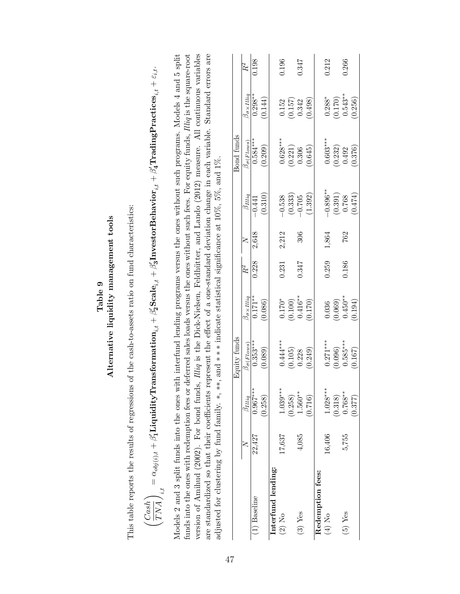|                                                                                                                                                                                                                                                                                                                                                                                                                                                                                                                                                                                                                        |        |                       |                                                                                                | Table 9                       |       |           |                     |                                                                                                                                                                                        |                              |       |
|------------------------------------------------------------------------------------------------------------------------------------------------------------------------------------------------------------------------------------------------------------------------------------------------------------------------------------------------------------------------------------------------------------------------------------------------------------------------------------------------------------------------------------------------------------------------------------------------------------------------|--------|-----------------------|------------------------------------------------------------------------------------------------|-------------------------------|-------|-----------|---------------------|----------------------------------------------------------------------------------------------------------------------------------------------------------------------------------------|------------------------------|-------|
| This table reports the results of regressions                                                                                                                                                                                                                                                                                                                                                                                                                                                                                                                                                                          |        |                       | of the cash-to-assets ratio on fund characteristics:<br>Alternative liquidity management tools |                               |       |           |                     |                                                                                                                                                                                        |                              |       |
| $\sqrt{TNA}\,/\,{}_{i,t}$<br>$\langle \textit{Cash} \rangle$                                                                                                                                                                                                                                                                                                                                                                                                                                                                                                                                                           |        |                       |                                                                                                |                               |       |           |                     | $\alpha=\alpha_{obj(i),t}+\beta'_1$ LiquidityTransformation $_{i,t}+\beta'_2$ Scal $e_{i,t}+\beta'_3$ InvestorBehavior $_{i,t}+\beta'_4$ TradingPractices $_{i,t}+\varepsilon_{i,t}$ . |                              |       |
| Models 2 and 3 split funds into the ones with interfund lending programs versus the ones without such programs. Models 4 and 5 split<br>funds into the ones with redemption fees or deferred sales loads versus the ones without such fees. For equity funds, <i>Illiq</i> is the square-root<br>version of Amihud (2002). For bond funds, <i>Illiq</i> is the Dick-Nielsen, Feldhütter, and Lando (2012) measure. All continuous variables<br>adjusted for clustering by fund family. *, **, and *** indicate statistical significance at $10\%$ , $5\%$ , and $1\%$ .<br>are standardized so that their coefficients |        |                       |                                                                                                |                               |       |           |                     | represent the effect of a one-standard deviation change in each variable. Standard errors are                                                                                          |                              |       |
|                                                                                                                                                                                                                                                                                                                                                                                                                                                                                                                                                                                                                        |        |                       | Equity funds                                                                                   |                               |       |           |                     | Bond funds                                                                                                                                                                             |                              |       |
|                                                                                                                                                                                                                                                                                                                                                                                                                                                                                                                                                                                                                        |        | $\beta_{Illiq}$       | $\beta_{\sigma(\mathit{Flows})}$                                                               | $\beta_{\sigma \times Illiq}$ | $R^2$ | ≿         | $\beta_{Illiq}$     | $\beta_{\sigma (Flows)}$                                                                                                                                                               | $\beta_{\sigma\times Illiq}$ | $R^2$ |
| (1) Baseline                                                                                                                                                                                                                                                                                                                                                                                                                                                                                                                                                                                                           | 22,427 | $0.967***$<br>(0.258) | $0.353***$<br>(0.089)                                                                          | $0.171***$<br>(0.086)         | 0.228 | 2,648     | (0.310)<br>$-0.441$ | $0.584***$<br>(0.209)                                                                                                                                                                  | $0.298***$<br>(0.144)        | 0.198 |
| Interfund lending:                                                                                                                                                                                                                                                                                                                                                                                                                                                                                                                                                                                                     |        |                       |                                                                                                |                               |       |           |                     |                                                                                                                                                                                        |                              |       |
| $(2)$ No                                                                                                                                                                                                                                                                                                                                                                                                                                                                                                                                                                                                               | 17,637 | $1.039***$<br>(0.258) | $0.444***$<br>(0.105)                                                                          | $0.170^{\ast}$<br>(0.100)     | 0.231 | 2,212     | (0.333)<br>$-0.538$ | $0.628***$<br>(0.221)                                                                                                                                                                  | (0.157)<br>0.152             | 0.196 |
| $(3)$ Yes                                                                                                                                                                                                                                                                                                                                                                                                                                                                                                                                                                                                              | 4,085  | $1.560***$<br>(0.716) | (0.249)<br>0.228                                                                               | $0.416**$<br>(0.170)          | 0.347 | 306       | (1.392)<br>$-0.705$ | (0.645)<br>0.306                                                                                                                                                                       | (0.498)<br>0.342             | 0.347 |
| Redemption fees:                                                                                                                                                                                                                                                                                                                                                                                                                                                                                                                                                                                                       |        |                       |                                                                                                |                               |       |           |                     |                                                                                                                                                                                        |                              |       |
| (4) No                                                                                                                                                                                                                                                                                                                                                                                                                                                                                                                                                                                                                 | 16,406 | $1.028***$            | $0.271***$                                                                                     | 0.036                         | 0.259 | $1,\!864$ | $-0.896***$         | $0.603***$                                                                                                                                                                             | $0.288*$                     | 0.212 |
|                                                                                                                                                                                                                                                                                                                                                                                                                                                                                                                                                                                                                        |        | (0.318)               | (0.096)                                                                                        | (0.069)                       |       |           | (0.391)             | (0.232)                                                                                                                                                                                | (0.170)                      |       |
| $(5)$ Yes                                                                                                                                                                                                                                                                                                                                                                                                                                                                                                                                                                                                              | 5,755  | $0.768***$<br>(0.377) | $0.585***$<br>(0.167)                                                                          | $0.450**$<br>(0.194)          | 0.186 | 762       | (0.474)<br>0.768    | (0.376)<br>0.492                                                                                                                                                                       | $0.543***$<br>(0.256)        | 0.266 |
|                                                                                                                                                                                                                                                                                                                                                                                                                                                                                                                                                                                                                        |        |                       |                                                                                                |                               |       |           |                     |                                                                                                                                                                                        |                              |       |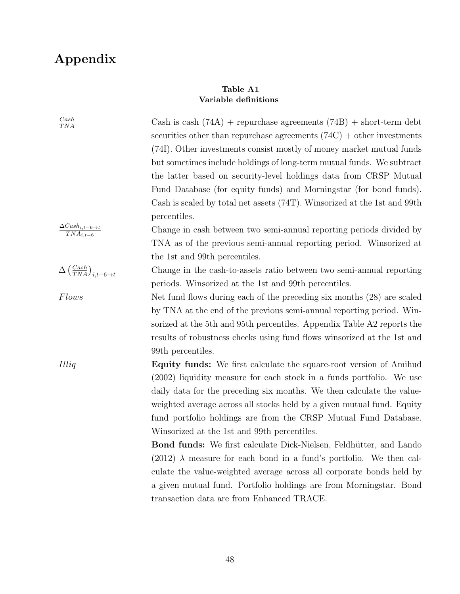# Appendix

# Table A1 Variable definitions

| $\frac{Cash}{TNA}$                                          | Cash is cash $(74A)$ + repurchase agreements $(74B)$ + short-term debt<br>securities other than repurchase agreements $(74C) +$ other investments |
|-------------------------------------------------------------|---------------------------------------------------------------------------------------------------------------------------------------------------|
|                                                             | (74I). Other investments consist mostly of money market mutual funds                                                                              |
|                                                             | but sometimes include holdings of long-term mutual funds. We subtract                                                                             |
|                                                             | the latter based on security-level holdings data from CRSP Mutual                                                                                 |
|                                                             | Fund Database (for equity funds) and Morningstar (for bond funds).                                                                                |
|                                                             | Cash is scaled by total net assets (74T). Winsorized at the 1st and 99th                                                                          |
|                                                             | percentiles.                                                                                                                                      |
| $\frac{\Delta Cash_{i,t-6 \rightarrow t}}{TNA_{i,t-6}}$     | Change in cash between two semi-annual reporting periods divided by                                                                               |
|                                                             | TNA as of the previous semi-annual reporting period. Winsorized at                                                                                |
|                                                             | the 1st and 99th percentiles.                                                                                                                     |
| $\Delta\left(\frac{Cash}{TNA}\right)_{i,t-6 \rightarrow t}$ | Change in the cash-to-assets ratio between two semi-annual reporting                                                                              |
|                                                             | periods. Winsorized at the 1st and 99th percentiles.                                                                                              |
| <i>Flows</i>                                                | Net fund flows during each of the preceding six months (28) are scaled                                                                            |
|                                                             | by TNA at the end of the previous semi-annual reporting period. Win-                                                                              |
|                                                             | sorized at the 5th and 95th percentiles. Appendix Table A2 reports the                                                                            |
|                                                             | results of robustness checks using fund flows winsorized at the 1st and                                                                           |
|                                                             | 99th percentiles.                                                                                                                                 |
| Illiq                                                       | <b>Equity funds:</b> We first calculate the square-root version of Amihud                                                                         |
|                                                             | (2002) liquidity measure for each stock in a funds portfolio. We use                                                                              |
|                                                             | daily data for the preceding six months. We then calculate the value-                                                                             |
|                                                             | weighted average across all stocks held by a given mutual fund. Equity                                                                            |
|                                                             | fund portfolio holdings are from the CRSP Mutual Fund Database.                                                                                   |
|                                                             | Winsorized at the 1st and 99th percentiles.                                                                                                       |
|                                                             | Bond funds: We first calculate Dick-Nielsen, Feldhütter, and Lando                                                                                |
|                                                             | $(2012)$ $\lambda$ measure for each bond in a fund's portfolio. We then cal-                                                                      |
|                                                             | culate the value-weighted average across all corporate bonds held by                                                                              |
|                                                             | a given mutual fund. Portfolio holdings are from Morningstar. Bond                                                                                |
|                                                             | transaction data are from Enhanced TRACE.                                                                                                         |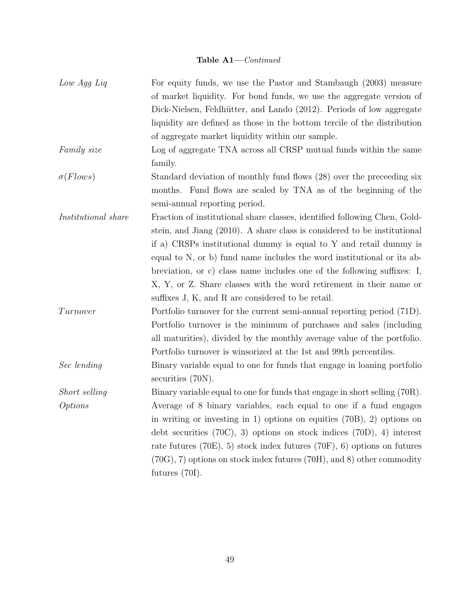# Table A1—*Continued*

| Low Agg Liq                | For equity funds, we use the Pastor and Stambaugh (2003) measure                                |
|----------------------------|-------------------------------------------------------------------------------------------------|
|                            | of market liquidity. For bond funds, we use the aggregate version of                            |
|                            | Dick-Nielsen, Feldhütter, and Lando (2012). Periods of low aggregate                            |
|                            | liquidity are defined as those in the bottom tercile of the distribution                        |
|                            | of aggregate market liquidity within our sample.                                                |
| Family size                | Log of aggregate TNA across all CRSP mutual funds within the same                               |
|                            | family.                                                                                         |
| $\sigma$ (Flows)           | Standard deviation of monthly fund flows (28) over the preceeding six                           |
|                            | months. Fund flows are scaled by TNA as of the beginning of the                                 |
|                            | semi-annual reporting period.                                                                   |
| <i>Institutional share</i> | Fraction of institutional share classes, identified following Chen, Gold-                       |
|                            | stein, and Jiang (2010). A share class is considered to be institutional                        |
|                            | if a) CRSPs institutional dummy is equal to $Y$ and retail dummy is                             |
|                            | equal to N, or b) fund name includes the word institutional or its ab-                          |
|                            | breviation, or c) class name includes one of the following suffixes: $I$ ,                      |
|                            | X, Y, or Z. Share classes with the word retirement in their name or                             |
|                            | suffixes J, K, and R are considered to be retail.                                               |
| Turnover                   | Portfolio turnover for the current semi-annual reporting period (71D).                          |
|                            | Portfolio turnover is the minimum of purchases and sales (including                             |
|                            | all maturities), divided by the monthly average value of the portfolio.                         |
|                            | Portfolio turnover is winsorized at the 1st and 99th percentiles.                               |
| Sec lending                | Binary variable equal to one for funds that engage in loaning portfolio<br>securities $(70N)$ . |
| Short selling              | Binary variable equal to one for funds that engage in short selling (70R).                      |
| <i>Options</i>             | Average of 8 binary variables, each equal to one if a fund engages                              |
|                            | in writing or investing in 1) options on equities $(70B)$ , 2) options on                       |
|                            | debt securities $(70C)$ , 3) options on stock indices $(70D)$ , 4) interest                     |
|                            | rate futures $(70E)$ , 5) stock index futures $(70F)$ , 6) options on futures                   |
|                            | $(70G), 7$ options on stock index futures $(70H),$ and 8) other commodity                       |
|                            | futures $(70I)$ .                                                                               |
|                            |                                                                                                 |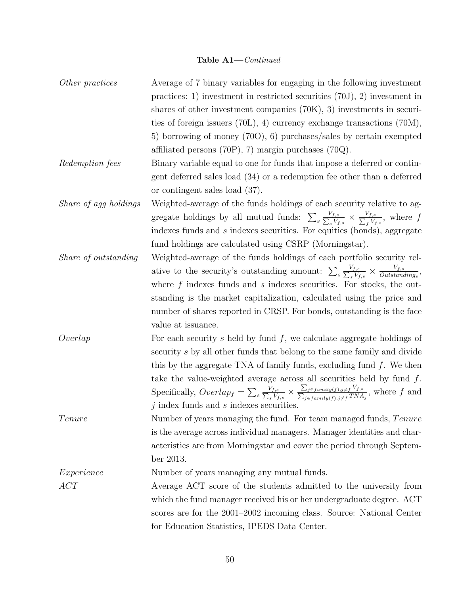#### Table A1—*Continued*

*Other practices* Average of 7 binary variables for engaging in the following investment practices: 1) investment in restricted securities (70J), 2) investment in shares of other investment companies (70K), 3) investments in securities of foreign issuers (70L), 4) currency exchange transactions (70M), 5) borrowing of money (70O), 6) purchases/sales by certain exempted affiliated persons  $(70P)$ , 7) margin purchases  $(70Q)$ . *Redemption fees* Binary variable equal to one for funds that impose a deferred or contingent deferred sales load (34) or a redemption fee other than a deferred or contingent sales load (37). *Share of agg holdings* Weighted-average of the funds holdings of each security relative to aggregate holdings by all mutual funds:  $\sum_{s}$ *Vf,s*  $\frac{V_{f,s}}{S V_{f,s}} \times \frac{V_{f,s}}{\sum_{f} V_{f,s}},$  where *f* indexes funds and *s* indexes securities. For equities (bonds), aggregate fund holdings are calculated using CSRP (Morningstar). *Share of outstanding* Weighted-average of the funds holdings of each portfolio security relative to the security's outstanding amount:  $\sum_{s}$ *Vf,s*  $\frac{V_{f,s}}{S} \times \frac{V_{f,s}}{Outstanding_s},$ where f indexes funds and *s* indexes securities. For stocks, the outstanding is the market capitalization, calculated using the price and number of shares reported in CRSP. For bonds, outstanding is the face value at issuance. *Overlap* For each security *s* held by fund *f*, we calculate aggregate holdings of security *s* by all other funds that belong to the same family and divide this by the aggregate TNA of family funds, excluding fund *f*. We then take the value-weighted average across all securities held by fund *f*. Specifically,  $\text{Overlap}_f = \sum_s \frac{1}{\sum_a^s}$  $V_{f,s}$  $\frac{J,5}{sV_{f,s}} \times$  $\frac{\sum_{j \in family(f), j \neq f}}{\sum_{j \in f, j \neq j} f_j(f)}$  $V_{f,s}$  $\frac{f_{j \in family(f), j \neq f} \cdot f_{j,s}}{f_{j \in family(f), j \neq f} \cdot T N A_{j}}$ , where *f* and *j* index funds and *s* indexes securities. *Tenure* Number of years managing the fund. For team managed funds, *Tenure* is the average across individual managers. Manager identities and characteristics are from Morningstar and cover the period through September 2013. *Experience* Number of years managing any mutual funds. *ACT* Average ACT score of the students admitted to the university from which the fund manager received his or her undergraduate degree. ACT scores are for the 2001–2002 incoming class. Source: [National Center](http://nces.ed.gov/ipeds/datacenter/Ranking.aspx) [for Education Statistics, IPEDS Data Center.](http://nces.ed.gov/ipeds/datacenter/Ranking.aspx)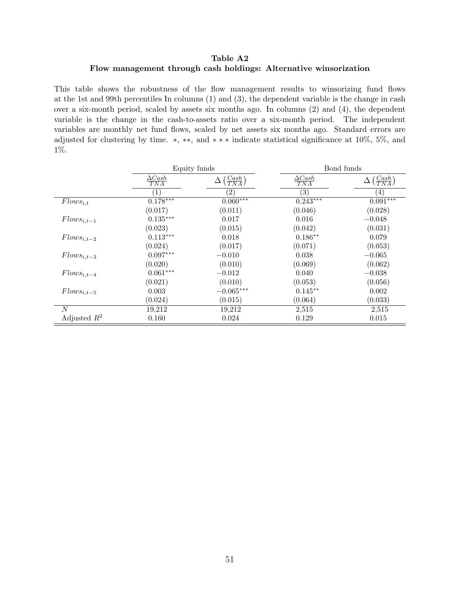# <span id="page-52-0"></span>Table A2 Flow management through cash holdings: Alternative winsorization

This table shows the robustness of the flow management results to winsorizing fund flows at the 1st and 99th percentiles In columns (1) and (3), the dependent variable is the change in cash over a six-month period, scaled by assets six months ago. In columns (2) and (4), the dependent variable is the change in the cash-to-assets ratio over a six-month period. The independent variables are monthly net fund flows, scaled by net assets six months ago. Standard errors are adjusted for clustering by time.  $*, **$ , and  $***$  indicate statistical significance at 10%, 5%, and 1%.

|                 | Equity funds         |                                      | Bond funds                |                                  |
|-----------------|----------------------|--------------------------------------|---------------------------|----------------------------------|
|                 | $\Delta Cash$<br>TNA | $\left(\frac{Cash}{TNA}\right)$<br>Δ | $\frac{\Delta Cash}{TNA}$ | $\left( \frac{Cash}{TNA}\right)$ |
|                 | $\left(1\right)$     | $\left( 2\right)$                    | $\left( 3\right)$         | (4)                              |
| $Flows_{i,t}$   | $0.178***$           | $0.060***$                           | $0.243***$                | $0.091***$                       |
|                 | (0.017)              | (0.011)                              | (0.046)                   | (0.028)                          |
| $Flows_{i,t-1}$ | $0.135***$           | 0.017                                | 0.016                     | $-0.048$                         |
|                 | (0.023)              | (0.015)                              | (0.042)                   | (0.031)                          |
| $Flows_{i,t-2}$ | $0.113***$           | 0.018                                | $0.186**$                 | 0.079                            |
|                 | (0.024)              | (0.017)                              | (0.071)                   | (0.053)                          |
| $Flows_{i,t-3}$ | $0.097***$           | $-0.010$                             | 0.038                     | $-0.065$                         |
|                 | (0.020)              | (0.010)                              | (0.069)                   | (0.062)                          |
| $Flows_{i,t-4}$ | $0.061***$           | $-0.012$                             | 0.040                     | $-0.038$                         |
|                 | (0.021)              | (0.010)                              | (0.053)                   | (0.056)                          |
| $Flows_{i,t-5}$ | 0.003                | $-0.065***$                          | $0.145**$                 | 0.002                            |
|                 | (0.024)              | (0.015)                              | (0.064)                   | (0.033)                          |
| N               | 19,212               | 19,212                               | 2,515                     | 2,515                            |
| Adjusted $R^2$  | 0.160                | 0.024                                | 0.129                     | 0.015                            |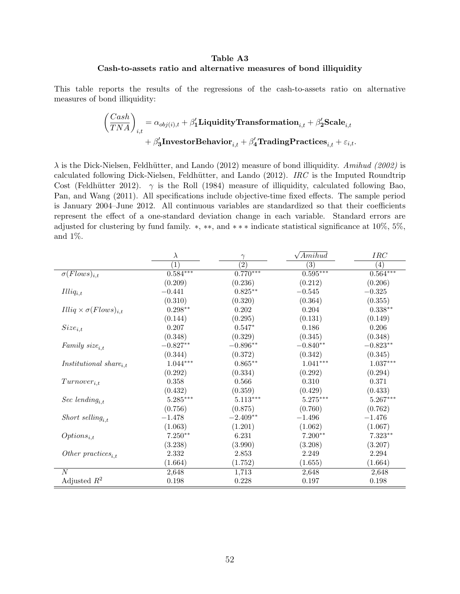# Table A3 Cash-to-assets ratio and alternative measures of bond illiquidity

This table reports the results of the regressions of the cash-to-assets ratio on alternative measures of bond illiquidity:

$$
\begin{aligned} \left(\frac{Cash}{TNA}\right)_{i,t} = \alpha_{obj(i),t} + \beta'_1 \textbf{Liquidity} \textbf{Transformation}_{i,t} + \beta'_2 \textbf{Scale}_{i,t} \\ + \beta'_3 \textbf{InvestorBehavior}_{i,t} + \beta'_4 \textbf{TradingPractices}_{i,t} + \varepsilon_{i,t}. \end{aligned}
$$

 $\lambda$  is the Dick-Nielsen, Feldhütter, and Lando (2012) measure of bond illiquidity. *Amihud (2002)* is calculated following Dick-Nielsen, Feldhütter, and Lando (2012). *IRC* is the Imputed Roundtrip Cost (Feldhütter 2012).  $\gamma$  is the Roll (1984) measure of illiquidity, calculated following Bao, Pan, and Wang (2011). All specifications include objective-time fixed effects. The sample period is January 2004–June 2012. All continuous variables are standardized so that their coefficients represent the effect of a one-standard deviation change in each variable. Standard errors are adjusted for clustering by fund family.  $*, **$ , and  $***$  indicate statistical significance at 10%, 5%, and 1%.

|                                                  | $\lambda$      | $\gamma$          | $\sqrt{Amihud}$     | IRC              |
|--------------------------------------------------|----------------|-------------------|---------------------|------------------|
|                                                  | $\overline{1}$ | $\left( 2\right)$ | $\left(3\right)$    | $\overline{(4)}$ |
| $\sigma(Flows)_{i,t}$                            | $0.584***$     | $0.770***$        | $0.595***$          | $0.564***$       |
|                                                  | (0.209)        | (0.236)           | (0.212)             | (0.206)          |
| $Illiq_{i,t}$                                    | $-0.441$       | $0.825***$        | $-0.545$            | $-0.325$         |
|                                                  | (0.310)        | (0.320)           | (0.364)             | (0.355)          |
| $Illiq \times \sigma(Flows)_{i,t}$               | $0.298**$      | 0.202             | 0.204               | $0.338**$        |
|                                                  | (0.144)        | (0.295)           | (0.131)             | (0.149)          |
| $Size_{i,t}$                                     | 0.207          | $0.547*$          | 0.186               | 0.206            |
|                                                  | (0.348)        | (0.329)           | (0.345)             | (0.348)          |
| Family $size_{i.t}$                              | $-0.827**$     | $-0.896**$        | $-0.840^{\ast\ast}$ | $-0.823**$       |
|                                                  | (0.344)        | (0.372)           | (0.342)             | (0.345)          |
| <i>Institutional share</i> <sub><i>i,t</i></sub> | $1.044***$     | $0.865***$        | $1.041***$          | $1.037***$       |
|                                                  | (0.292)        | (0.334)           | (0.292)             | (0.294)          |
| $Turnover_{i,t}$                                 | 0.358          | 0.566             | 0.310               | 0.371            |
|                                                  | (0.432)        | (0.359)           | (0.429)             | (0.433)          |
| Sec lending <sub>i.t</sub>                       | $5.285***$     | $5.113***$        | $5.275***$          | $5.267***$       |
|                                                  | (0.756)        | (0.875)           | (0.760)             | (0.762)          |
| Short selling <sub>i.t</sub>                     | $-1.478$       | $-2.409**$        | $-1.496$            | $-1.476$         |
|                                                  | (1.063)        | (1.201)           | (1.062)             | (1.067)          |
| $Options_{i,t}$                                  | $7.250**$      | 6.231             | $7.200**$           | $7.323**$        |
|                                                  | (3.238)        | (3.990)           | (3.208)             | (3.207)          |
| Other practices <sub>i.t</sub>                   | 2.332          | 2.853             | 2.249               | 2.294            |
|                                                  | (1.664)        | (1.752)           | (1.655)             | (1.664)          |
| $\overline{N}$                                   | 2,648          | 1,713             | 2,648               | 2,648            |
| Adjusted $R^2$                                   | 0.198          | 0.228             | 0.197               | 0.198            |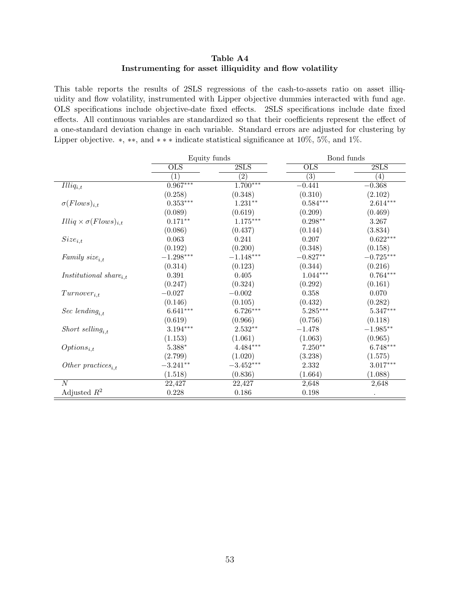# Table A4 Instrumenting for asset illiquidity and flow volatility

This table reports the results of 2SLS regressions of the cash-to-assets ratio on asset illiquidity and flow volatility, instrumented with Lipper objective dummies interacted with fund age. OLS specifications include objective-date fixed effects. 2SLS specifications include date fixed effects. All continuous variables are standardized so that their coefficients represent the effect of a one-standard deviation change in each variable. Standard errors are adjusted for clustering by Lipper objective.  $*, **$ , and  $***$  indicate statistical significance at 10%, 5%, and 1%.

|                                                  | Equity funds           |                           | Bond funds                       |                           |
|--------------------------------------------------|------------------------|---------------------------|----------------------------------|---------------------------|
|                                                  | $_{OLS}$<br>(1)        | 2SLS<br>$\left( 2\right)$ | $_{\rm OLS}$<br>$\overline{(3)}$ | 2SLS<br>$\left( 4\right)$ |
|                                                  |                        |                           |                                  |                           |
| $Illiq_{i,t}$                                    | $0.967***$             | $1.700^{***}$             | $-0.441$                         | $-0.368$                  |
|                                                  | (0.258)                | (0.348)                   | (0.310)                          | (2.102)                   |
| $\sigma(Flows)_{i,t}$                            | $0.353^{\ast\ast\ast}$ | $1.231**$                 | $0.584^{\ast\ast\ast}$           | $2.614***$                |
|                                                  | (0.089)                | (0.619)                   | (0.209)                          | (0.469)                   |
| $Illiq \times \sigma(Flows)_{i,t}$               | $0.171**$              | $1.175^{\ast\ast\ast}$    | $0.298**$                        | 3.267                     |
|                                                  | (0.086)                | (0.437)                   | (0.144)                          | (3.834)                   |
| $Size_{i,t}$                                     | 0.063                  | 0.241                     | 0.207                            | $0.622***$                |
|                                                  | (0.192)                | (0.200)                   | (0.348)                          | (0.158)                   |
| Family $size_{i.t}$                              | $-1.298***$            | $-1.148***$               | $-0.827**$                       | $-0.725***$               |
|                                                  | (0.314)                | (0.123)                   | (0.344)                          | (0.216)                   |
| <i>Institutional share</i> <sub><i>i,t</i></sub> | 0.391                  | $0.405\,$                 | $1.044***$                       | $0.764***$                |
|                                                  | (0.247)                | (0.324)                   | (0.292)                          | (0.161)                   |
| $Turnover_{i,t}$                                 | $-0.027$               | $-0.002$                  | 0.358                            | 0.070                     |
|                                                  | (0.146)                | (0.105)                   | (0.432)                          | (0.282)                   |
| Sec lending <sub>i,t</sub>                       | $6.641***$             | $6.726***$                | $5.285***$                       | $5.347***$                |
|                                                  | (0.619)                | (0.966)                   | (0.756)                          | (0.118)                   |
| Short selling <sub>i.t</sub>                     | $3.194***$             | $2.532**$                 | $-1.478$                         | $-1.985**$                |
|                                                  | (1.153)                | (1.061)                   | (1.063)                          | (0.965)                   |
| $Options_{i,t}$                                  | $5.388^*$              | $4.484***$                | $7.250**$                        | $6.748***$                |
|                                                  | (2.799)                | (1.020)                   | (3.238)                          | (1.575)                   |
| Other practices <sub>it</sub>                    | $-3.241**$             | $-3.452***$               | 2.332                            | $3.017***$                |
|                                                  | (1.518)                | (0.836)                   | (1.664)                          | (1.088)                   |
| N                                                | 22,427                 | 22,427                    | 2,648                            | 2,648                     |
| Adjusted $R^2$                                   | 0.228                  | 0.186                     | 0.198                            |                           |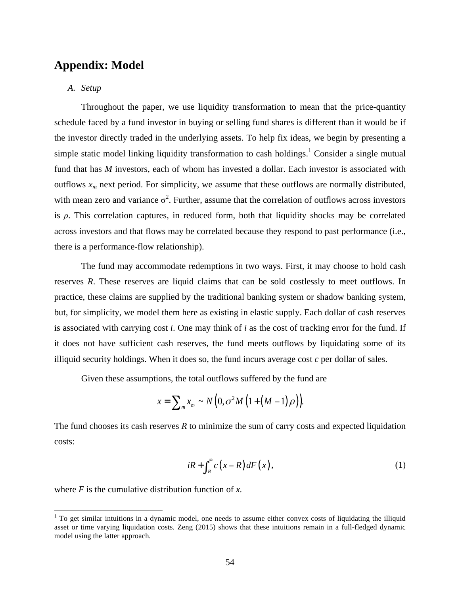# **Appendix: Model**

# *A. Setup*

Throughout the paper, we use liquidity transformation to mean that the price-quantity schedule faced by a fund investor in buying or selling fund shares is different than it would be if the investor directly traded in the underlying assets. To help fix ideas, we begin by presenting a simple static model linking liquidity transformation to cash holdings.<sup>1</sup> Consider a single mutual fund that has *M* investors, each of whom has invested a dollar. Each investor is associated with outflows  $x_m$  next period. For simplicity, we assume that these outflows are normally distributed, with mean zero and variance  $\sigma^2$ . Further, assume that the correlation of outflows across investors is *ρ*. This correlation captures, in reduced form, both that liquidity shocks may be correlated across investors and that flows may be correlated because they respond to past performance (i.e., there is a performance-flow relationship).

The fund may accommodate redemptions in two ways. First, it may choose to hold cash reserves *R*. These reserves are liquid claims that can be sold costlessly to meet outflows. In practice, these claims are supplied by the traditional banking system or shadow banking system, but, for simplicity, we model them here as existing in elastic supply. Each dollar of cash reserves is associated with carrying cost *i*. One may think of *i* as the cost of tracking error for the fund. If it does not have sufficient cash reserves, the fund meets outflows by liquidating some of its illiquid security holdings. When it does so, the fund incurs average cost  $c$  per dollar of sales.

Given these assumptions, the total outflows suffered by the fund are

$$
x = \sum_{m} x_m \sim N\left(0, \sigma^2 M\left(1 + \left(M - 1\right)\rho\right)\right).
$$

The fund chooses its cash reserves *R* to minimize the sum of carry costs and expected liquidation costs:

$$
iR + \int_{R}^{\infty} c\left(x - R\right) dF\left(x\right),\tag{1}
$$

where *F* is the cumulative distribution function of *x.*

 $1$  To get similar intuitions in a dynamic model, one needs to assume either convex costs of liquidating the illiquid asset or time varying liquidation costs. Zeng (2015) shows that these intuitions remain in a full-fledged dynamic model using the latter approach.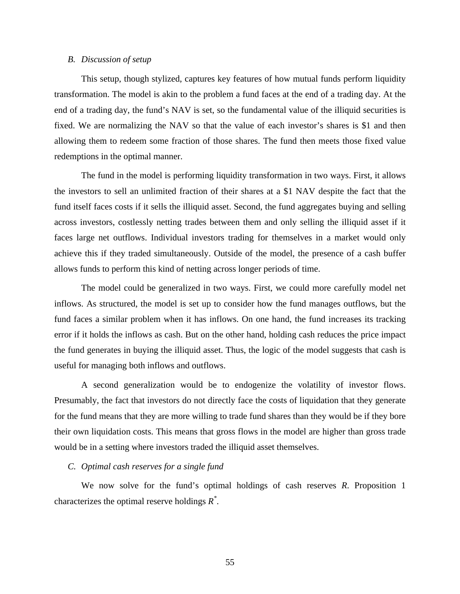#### *B. Discussion of setup*

This setup, though stylized, captures key features of how mutual funds perform liquidity transformation. The model is akin to the problem a fund faces at the end of a trading day. At the end of a trading day, the fund's NAV is set, so the fundamental value of the illiquid securities is fixed. We are normalizing the NAV so that the value of each investor's shares is \$1 and then allowing them to redeem some fraction of those shares. The fund then meets those fixed value redemptions in the optimal manner.

The fund in the model is performing liquidity transformation in two ways. First, it allows the investors to sell an unlimited fraction of their shares at a \$1 NAV despite the fact that the fund itself faces costs if it sells the illiquid asset. Second, the fund aggregates buying and selling across investors, costlessly netting trades between them and only selling the illiquid asset if it faces large net outflows. Individual investors trading for themselves in a market would only achieve this if they traded simultaneously. Outside of the model, the presence of a cash buffer allows funds to perform this kind of netting across longer periods of time.

The model could be generalized in two ways. First, we could more carefully model net inflows. As structured, the model is set up to consider how the fund manages outflows, but the fund faces a similar problem when it has inflows. On one hand, the fund increases its tracking error if it holds the inflows as cash. But on the other hand, holding cash reduces the price impact the fund generates in buying the illiquid asset. Thus, the logic of the model suggests that cash is useful for managing both inflows and outflows.

A second generalization would be to endogenize the volatility of investor flows. Presumably, the fact that investors do not directly face the costs of liquidation that they generate for the fund means that they are more willing to trade fund shares than they would be if they bore their own liquidation costs. This means that gross flows in the model are higher than gross trade would be in a setting where investors traded the illiquid asset themselves.

#### *C. Optimal cash reserves for a single fund*

We now solve for the fund's optimal holdings of cash reserves *R*. Proposition 1 characterizes the optimal reserve holdings *R\** .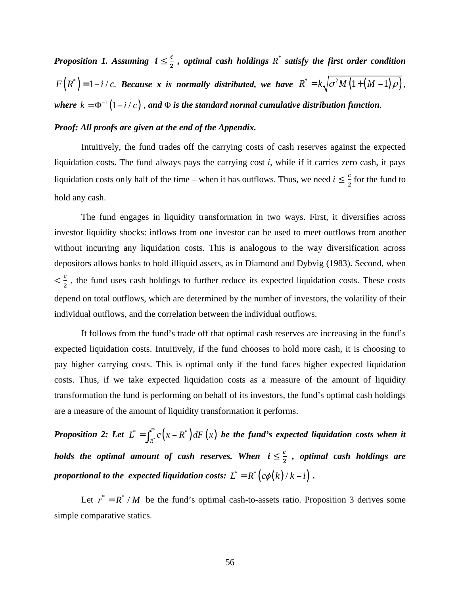*Proposition 1. Assuming*  $i \leq \frac{c}{2}$ , *optimal cash holdings*  $R^*$  *satisfy the first order condition*  $F(R^*) = 1 - i/c$ . Because *x* is normally distributed, we have  $R^* = k\sqrt{\sigma^2 M \left(1 + \left(M - 1\right)\rho\right)}$ , *where*  $k = \Phi^{-1}(1 - i/c)$ , and  $\Phi$  *is the standard normal cumulative distribution function.* 

# *Proof: All proofs are given at the end of the Appendix.*

Intuitively, the fund trades off the carrying costs of cash reserves against the expected liquidation costs. The fund always pays the carrying cost *i*, while if it carries zero cash, it pays liquidation costs only half of the time – when it has outflows. Thus, we need  $i \leq \frac{c}{2}$  for the fund to hold any cash.

The fund engages in liquidity transformation in two ways. First, it diversifies across investor liquidity shocks: inflows from one investor can be used to meet outflows from another without incurring any liquidation costs. This is analogous to the way diversification across depositors allows banks to hold illiquid assets, as in Diamond and Dybvig (1983). Second, when  $\langle \frac{c}{2} \rangle$ , the fund uses cash holdings to further reduce its expected liquidation costs. These costs depend on total outflows, which are determined by the number of investors, the volatility of their individual outflows, and the correlation between the individual outflows.

It follows from the fund's trade off that optimal cash reserves are increasing in the fund's expected liquidation costs. Intuitively, if the fund chooses to hold more cash, it is choosing to pay higher carrying costs. This is optimal only if the fund faces higher expected liquidation costs. Thus, if we take expected liquidation costs as a measure of the amount of liquidity transformation the fund is performing on behalf of its investors, the fund's optimal cash holdings are a measure of the amount of liquidity transformation it performs.

**Proposition 2:** Let  $L^* = \int_{R^*}^{\infty} c(x - R^*) dF(x)$  $L^* = \int_{R^*}^{\infty} c(x - R^*) dF(x)$  *be the fund's expected liquidation costs when it holds the optimal amount of cash reserves. When*  $i \leq \frac{c}{2}$ *, optimal cash holdings are proportional to the expected liquidation costs:*  $L^* = R^* (c\phi(k)/k - i)$ .

Let  $r^* = R^* / M$  be the fund's optimal cash-to-assets ratio. Proposition 3 derives some simple comparative statics.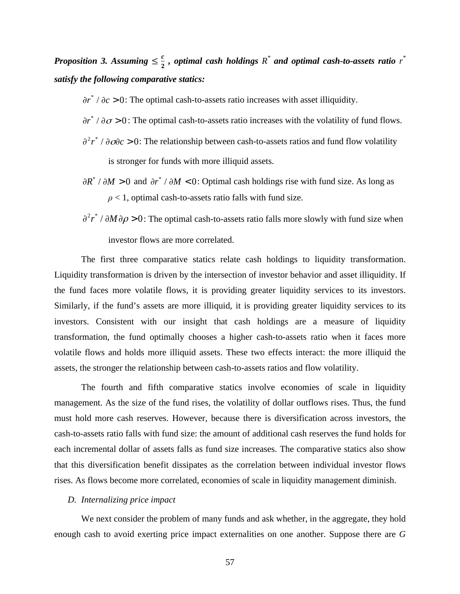*Proposition* 3. Assuming  $\leq \frac{c}{2}$ , optimal cash holdings  $R^*$  and optimal cash-to-assets ratio  $r^*$ *satisfy the following comparative statics:*

- $\partial r^* / \partial c > 0$ : The optimal cash-to-assets ratio increases with asset illiquidity.
- $\partial$ *r*<sup>\*</sup> /  $\partial$ *σ* > 0: The optimal cash-to-assets ratio increases with the volatility of fund flows.
- $\frac{\partial^2 r^*}{\partial \overrightarrow{\alpha}}$  /  $\frac{\partial \overrightarrow{\alpha}}{\partial c}$  > 0: The relationship between cash-to-assets ratios and fund flow volatility is stronger for funds with more illiquid assets.
- $\partial R^* / \partial M > 0$  and  $\partial r^* / \partial M < 0$ : Optimal cash holdings rise with fund size. As long as  $\rho$  < 1, optimal cash-to-assets ratio falls with fund size.
- $\partial^2 r^* / \partial M \partial \rho > 0$ : The optimal cash-to-assets ratio falls more slowly with fund size when investor flows are more correlated.

The first three comparative statics relate cash holdings to liquidity transformation. Liquidity transformation is driven by the intersection of investor behavior and asset illiquidity. If the fund faces more volatile flows, it is providing greater liquidity services to its investors. Similarly, if the fund's assets are more illiquid, it is providing greater liquidity services to its investors. Consistent with our insight that cash holdings are a measure of liquidity transformation, the fund optimally chooses a higher cash-to-assets ratio when it faces more volatile flows and holds more illiquid assets. These two effects interact: the more illiquid the assets, the stronger the relationship between cash-to-assets ratios and flow volatility.

The fourth and fifth comparative statics involve economies of scale in liquidity management. As the size of the fund rises, the volatility of dollar outflows rises. Thus, the fund must hold more cash reserves. However, because there is diversification across investors, the cash-to-assets ratio falls with fund size: the amount of additional cash reserves the fund holds for each incremental dollar of assets falls as fund size increases. The comparative statics also show that this diversification benefit dissipates as the correlation between individual investor flows rises. As flows become more correlated, economies of scale in liquidity management diminish.

# *D. Internalizing price impact*

We next consider the problem of many funds and ask whether, in the aggregate, they hold enough cash to avoid exerting price impact externalities on one another. Suppose there are *G*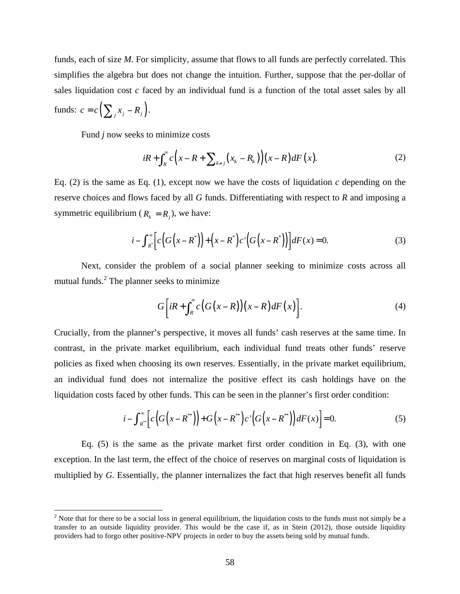funds, each of size *M*. For simplicity, assume that flows to all funds are perfectly correlated. This simplifies the algebra but does not change the intuition. Further, suppose that the per-dollar of sales liquidation cost *c* faced by an individual fund is a function of the total asset sales by all funds:  $c = c \left( \sum_{i} x_{i} - R_{i} \right).$ 

Fund *j* now seeks to minimize costs

$$
iR + \int_{R}^{\infty} c\left(x - R + \sum_{k \neq j} (x_k - R_k)\right) (x - R) dF(x).
$$
 (2)

Eq. (2) is the same as Eq. (1), except now we have the costs of liquidation *c* depending on the reserve choices and flows faced by all *G* funds. Differentiating with respect to *R* and imposing a symmetric equilibrium ( $R_k = R_i$ ), we have:

$$
i - \int_{R^*}^{\infty} \left[ c \left( G \left( x - R^* \right) \right) + \left( x - R^* \right) c' \left( G \left( x - R^* \right) \right) \right] dF(x) = 0. \tag{3}
$$

Next, consider the problem of a social planner seeking to minimize costs across all mutual funds. $^{2}$  The planner seeks to minimize

$$
G\bigg[iR + \int_{R}^{\infty} c\big(G\big(x-R\big)\big)\big(x-R\big)dF\big(x\big)\bigg].\tag{4}
$$

Crucially, from the planner's perspective, it moves all funds' cash reserves at the same time. In contrast, in the private market equilibrium, each individual fund treats other funds' reserve policies as fixed when choosing its own reserves. Essentially, in the private market equilibrium, an individual fund does not internalize the positive effect its cash holdings have on the liquidation costs faced by other funds. This can be seen in the planner's first order condition:

$$
i - \int_{R^*}^{\infty} \left[ c \left( G \left( x - R^{**} \right) \right) + G \left( x - R^{**} \right) c \left( G \left( x - R^{**} \right) \right) dF(x) \right] = 0. \tag{5}
$$

Eq. (5) is the same as the private market first order condition in Eq. (3), with one exception. In the last term, the effect of the choice of reserves on marginal costs of liquidation is multiplied by *G*. Essentially, the planner internalizes the fact that high reserves benefit all funds

<sup>&</sup>lt;sup>2</sup> Note that for there to be a social loss in general equilibrium, the liquidation costs to the funds must not simply be a transfer to an outside liquidity provider. This would be the case if, as in Stein (2012), those outside liquidity providers had to forgo other positive-NPV projects in order to buy the assets being sold by mutual funds.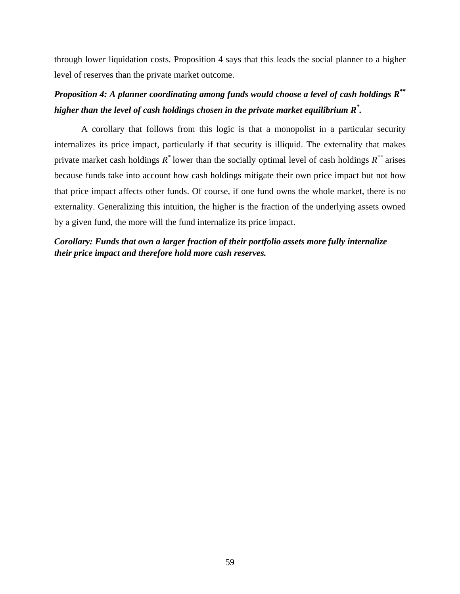through lower liquidation costs. Proposition 4 says that this leads the social planner to a higher level of reserves than the private market outcome.

# *Proposition 4: A planner coordinating among funds would choose a level of cash holdings R\*\* higher than the level of cash holdings chosen in the private market equilibrium R\* .*

A corollary that follows from this logic is that a monopolist in a particular security internalizes its price impact, particularly if that security is illiquid. The externality that makes private market cash holdings *R\** lower than the socially optimal level of cash holdings *R\*\** arises because funds take into account how cash holdings mitigate their own price impact but not how that price impact affects other funds. Of course, if one fund owns the whole market, there is no externality. Generalizing this intuition, the higher is the fraction of the underlying assets owned by a given fund, the more will the fund internalize its price impact.

# *Corollary: Funds that own a larger fraction of their portfolio assets more fully internalize their price impact and therefore hold more cash reserves.*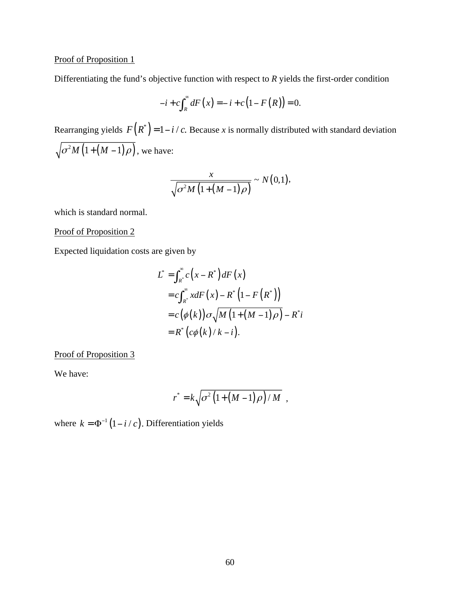# Proof of Proposition 1

Differentiating the fund's objective function with respect to *R* yields the first-order condition

$$
-i + c \int_{R}^{\infty} dF\left(x\right) = -i + c\left(1 - F\left(R\right)\right) = 0.
$$

Rearranging yields  $F(R^*) = 1 - i/c$ . Because *x* is normally distributed with standard deviation  $\sqrt{\sigma^2 M \left( 1 + \left( M - 1 \right) \rho \right)}$ , we have:

$$
\frac{x}{\sqrt{\sigma^2 M \left(1 + \left(M - 1\right)\rho\right)}} \sim N\left(0, 1\right),\,
$$

which is standard normal.

Proof of Proposition 2

Expected liquidation costs are given by

$$
L^* = \int_{R^*}^{\infty} c\left(x - R^*\right) dF\left(x\right)
$$
  
=  $c \int_{R^*}^{\infty} x dF\left(x\right) - R^*\left(1 - F\left(R^*\right)\right)$   
=  $c\left(\phi(k)\right) \sigma \sqrt{M\left(1 + \left(M - 1\right)\rho\right)} - R^*i$   
=  $R^*\left(c\phi(k)/k - i\right)$ .

Proof of Proposition 3

We have:

$$
r^* = k \sqrt{\sigma^2 \left(1 + \left(M - 1\right) \rho\right) / M} \quad ,
$$

where  $k = \Phi^{-1}(1 - i/c)$ . Differentiation yields